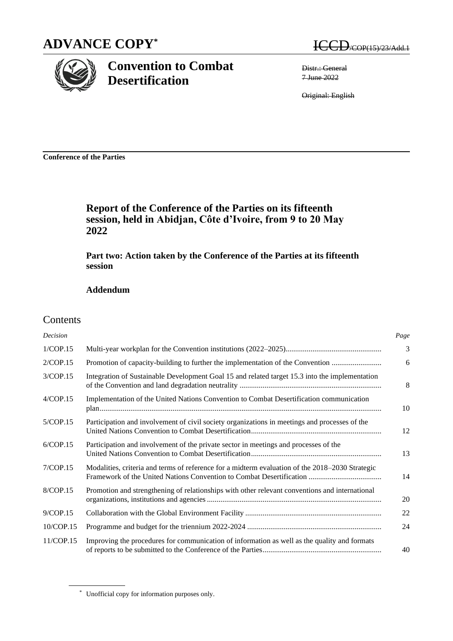# **ADVANCE COPY\***



# **Convention to Combat Desertification**

**ICCD**/cop(15)/23/Add.1

Distr.: General 7 June 2022

Original: English

**Conference of the Parties**

## **Report of the Conference of the Parties on its fifteenth session, held in Abidjan, Côte d'Ivoire, from 9 to 20 May 2022**

**Part two: Action taken by the Conference of the Parties at its fifteenth session**

### **Addendum**

## Contents

| Decision  |                                                                                                 | Page |
|-----------|-------------------------------------------------------------------------------------------------|------|
| 1/COP.15  |                                                                                                 | 3    |
| 2/COP.15  | Promotion of capacity-building to further the implementation of the Convention                  | 6    |
| 3/COP.15  | Integration of Sustainable Development Goal 15 and related target 15.3 into the implementation  | 8    |
| 4/COP.15  | Implementation of the United Nations Convention to Combat Desertification communication         | 10   |
| 5/COP.15  | Participation and involvement of civil society organizations in meetings and processes of the   | 12   |
| 6/COP.15  | Participation and involvement of the private sector in meetings and processes of the            | 13   |
| 7/COP.15  | Modalities, criteria and terms of reference for a midterm evaluation of the 2018–2030 Strategic | 14   |
| 8/COP.15  | Promotion and strengthening of relationships with other relevant conventions and international  | 20   |
| 9/COP.15  |                                                                                                 | 22   |
| 10/COP.15 |                                                                                                 | 24   |
| 11/COP.15 | Improving the procedures for communication of information as well as the quality and formats    | 40   |

<sup>\*</sup> Unofficial copy for information purposes only.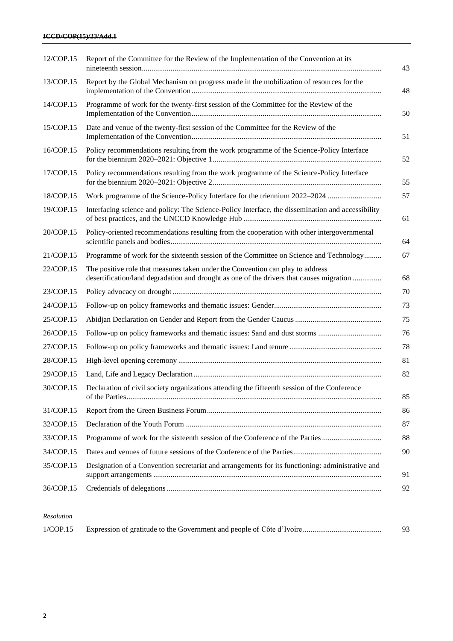| 12/COP.15 | Report of the Committee for the Review of the Implementation of the Convention at its<br>43                                                                                      |
|-----------|----------------------------------------------------------------------------------------------------------------------------------------------------------------------------------|
| 13/COP.15 | Report by the Global Mechanism on progress made in the mobilization of resources for the<br>48                                                                                   |
| 14/COP.15 | Programme of work for the twenty-first session of the Committee for the Review of the<br>50                                                                                      |
| 15/COP.15 | Date and venue of the twenty-first session of the Committee for the Review of the<br>51                                                                                          |
| 16/COP.15 | Policy recommendations resulting from the work programme of the Science-Policy Interface<br>52                                                                                   |
| 17/COP.15 | Policy recommendations resulting from the work programme of the Science-Policy Interface<br>55                                                                                   |
| 18/COP.15 | 57                                                                                                                                                                               |
| 19/COP.15 | Interfacing science and policy: The Science-Policy Interface, the dissemination and accessibility<br>61                                                                          |
| 20/COP.15 | Policy-oriented recommendations resulting from the cooperation with other intergovernmental<br>64                                                                                |
| 21/COP.15 | Programme of work for the sixteenth session of the Committee on Science and Technology<br>67                                                                                     |
| 22/COP.15 | The positive role that measures taken under the Convention can play to address<br>desertification/land degradation and drought as one of the drivers that causes migration<br>68 |
| 23/COP.15 | 70                                                                                                                                                                               |
| 24/COP.15 | 73                                                                                                                                                                               |
| 25/COP.15 | 75                                                                                                                                                                               |
| 26/COP.15 | 76                                                                                                                                                                               |
| 27/COP.15 | 78                                                                                                                                                                               |
| 28/COP.15 | 81                                                                                                                                                                               |
| 29/COP.15 | 82                                                                                                                                                                               |
| 30/COP.15 | Declaration of civil society organizations attending the fifteenth session of the Conference<br>85                                                                               |
| 31/COP.15 | 86                                                                                                                                                                               |
| 32/COP.15 | 87                                                                                                                                                                               |
| 33/COP.15 | 88<br>Programme of work for the sixteenth session of the Conference of the Parties                                                                                               |
| 34/COP.15 | 90                                                                                                                                                                               |
| 35/COP.15 | Designation of a Convention secretariat and arrangements for its functioning: administrative and<br>91                                                                           |
| 36/COP.15 | 92                                                                                                                                                                               |

#### *Resolution*

| 1/CDP.15 |  |  |  |
|----------|--|--|--|
|----------|--|--|--|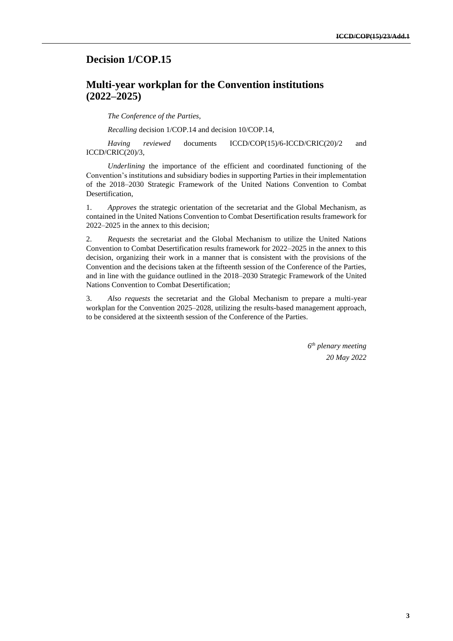### **Decision 1/COP.15**

#### **Multi-year workplan for the Convention institutions (2022–2025)**

*The Conference of the Parties,*

*Recalling* decision 1/COP.14 and decision 10/COP.14,

*Having reviewed* documents ICCD/COP(15)/6-ICCD/CRIC(20)/2 and ICCD/CRIC(20)/3,

*Underlining* the importance of the efficient and coordinated functioning of the Convention's institutions and subsidiary bodies in supporting Parties in their implementation of the 2018–2030 Strategic Framework of the United Nations Convention to Combat Desertification,

1. *Approves* the strategic orientation of the secretariat and the Global Mechanism, as contained in the United Nations Convention to Combat Desertification results framework for 2022–2025 in the annex to this decision;

2. *Requests* the secretariat and the Global Mechanism to utilize the United Nations Convention to Combat Desertification results framework for 2022–2025 in the annex to this decision, organizing their work in a manner that is consistent with the provisions of the Convention and the decisions taken at the fifteenth session of the Conference of the Parties, and in line with the guidance outlined in the 2018–2030 Strategic Framework of the United Nations Convention to Combat Desertification;

3. *Also requests* the secretariat and the Global Mechanism to prepare a multi-year workplan for the Convention 2025–2028, utilizing the results-based management approach, to be considered at the sixteenth session of the Conference of the Parties.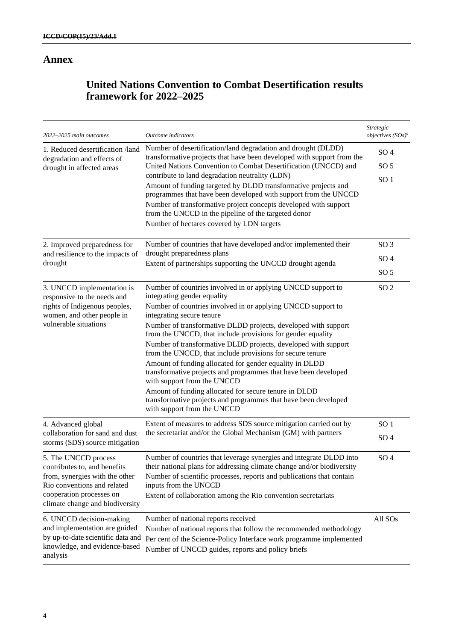### **Annex**

## **United Nations Convention to Combat Desertification results framework for 2022–2025**

| 2022-2025 main outcomes                                                                                                                                                              | Outcome indicators                                                                                                                                                                                                                                                                                               | Strategic<br>objectives $(SOs)^a$ |
|--------------------------------------------------------------------------------------------------------------------------------------------------------------------------------------|------------------------------------------------------------------------------------------------------------------------------------------------------------------------------------------------------------------------------------------------------------------------------------------------------------------|-----------------------------------|
| 1. Reduced desertification /land<br>degradation and effects of                                                                                                                       | Number of desertification/land degradation and drought (DLDD)<br>transformative projects that have been developed with support from the                                                                                                                                                                          | SO <sub>4</sub>                   |
| drought in affected areas                                                                                                                                                            | United Nations Convention to Combat Desertification (UNCCD) and                                                                                                                                                                                                                                                  | SO <sub>5</sub>                   |
|                                                                                                                                                                                      | contribute to land degradation neutrality (LDN)<br>Amount of funding targeted by DLDD transformative projects and<br>programmes that have been developed with support from the UNCCD                                                                                                                             | SO <sub>1</sub>                   |
|                                                                                                                                                                                      | Number of transformative project concepts developed with support<br>from the UNCCD in the pipeline of the targeted donor                                                                                                                                                                                         |                                   |
|                                                                                                                                                                                      | Number of hectares covered by LDN targets                                                                                                                                                                                                                                                                        |                                   |
| 2. Improved preparedness for                                                                                                                                                         | Number of countries that have developed and/or implemented their                                                                                                                                                                                                                                                 | SO <sub>3</sub>                   |
| and resilience to the impacts of<br>drought                                                                                                                                          | drought preparedness plans<br>Extent of partnerships supporting the UNCCD drought agenda                                                                                                                                                                                                                         | SO <sub>4</sub>                   |
|                                                                                                                                                                                      |                                                                                                                                                                                                                                                                                                                  | SO <sub>5</sub>                   |
| 3. UNCCD implementation is<br>responsive to the needs and                                                                                                                            | Number of countries involved in or applying UNCCD support to<br>integrating gender equality                                                                                                                                                                                                                      | SO <sub>2</sub>                   |
| rights of Indigenous peoples,<br>women, and other people in                                                                                                                          | Number of countries involved in or applying UNCCD support to<br>integrating secure tenure                                                                                                                                                                                                                        |                                   |
| vulnerable situations                                                                                                                                                                | Number of transformative DLDD projects, developed with support<br>from the UNCCD, that include provisions for gender equality                                                                                                                                                                                    |                                   |
|                                                                                                                                                                                      | Number of transformative DLDD projects, developed with support<br>from the UNCCD, that include provisions for secure tenure                                                                                                                                                                                      |                                   |
|                                                                                                                                                                                      | Amount of funding allocated for gender equality in DLDD<br>transformative projects and programmes that have been developed<br>with support from the UNCCD                                                                                                                                                        |                                   |
|                                                                                                                                                                                      | Amount of funding allocated for secure tenure in DLDD<br>transformative projects and programmes that have been developed<br>with support from the UNCCD                                                                                                                                                          |                                   |
| 4. Advanced global                                                                                                                                                                   | Extent of measures to address SDS source mitigation carried out by                                                                                                                                                                                                                                               | SO <sub>1</sub>                   |
| collaboration for sand and dust<br>storms (SDS) source mitigation                                                                                                                    | the secretariat and/or the Global Mechanism (GM) with partners                                                                                                                                                                                                                                                   | SO <sub>4</sub>                   |
| 5. The UNCCD process<br>contributes to, and benefits<br>from, synergies with the other<br>Rio conventions and related<br>cooperation processes on<br>climate change and biodiversity | Number of countries that leverage synergies and integrate DLDD into<br>their national plans for addressing climate change and/or biodiversity<br>Number of scientific processes, reports and publications that contain<br>inputs from the UNCCD<br>Extent of collaboration among the Rio convention secretariats | SO <sub>4</sub>                   |
| 6. UNCCD decision-making<br>and implementation are guided<br>by up-to-date scientific data and<br>knowledge, and evidence-based<br>analysis                                          | Number of national reports received<br>Number of national reports that follow the recommended methodology<br>Per cent of the Science-Policy Interface work programme implemented<br>Number of UNCCD guides, reports and policy briefs                                                                            | All SOs                           |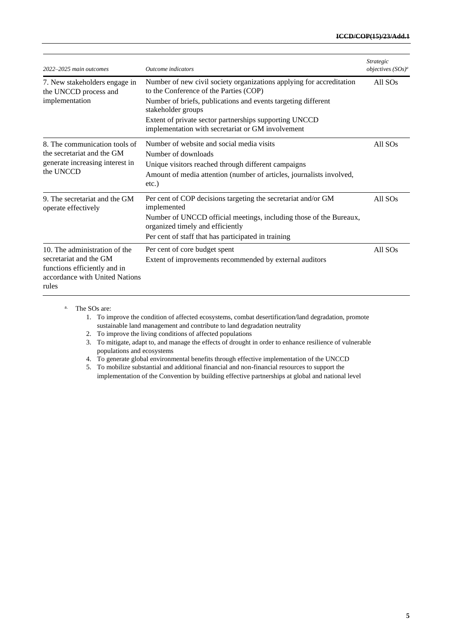| 2022-2025 main outcomes                                                                                                            | Outcome indicators                                                                                                                                                                                                                            | <b>Strategic</b><br>objectives $(SOs)^a$ |
|------------------------------------------------------------------------------------------------------------------------------------|-----------------------------------------------------------------------------------------------------------------------------------------------------------------------------------------------------------------------------------------------|------------------------------------------|
| 7. New stakeholders engage in<br>the UNCCD process and<br>implementation                                                           | Number of new civil society organizations applying for accreditation<br>to the Conference of the Parties (COP)<br>Number of briefs, publications and events targeting different<br>stakeholder groups                                         | All SO <sub>s</sub>                      |
|                                                                                                                                    | Extent of private sector partnerships supporting UNCCD<br>implementation with secretariat or GM involvement                                                                                                                                   |                                          |
| 8. The communication tools of<br>the secretariat and the GM                                                                        | Number of website and social media visits<br>Number of downloads                                                                                                                                                                              | All SO <sub>s</sub>                      |
| generate increasing interest in<br>the UNCCD                                                                                       | Unique visitors reached through different campaigns<br>Amount of media attention (number of articles, journalists involved,<br>$etc.$ )                                                                                                       |                                          |
| 9. The secretariat and the GM<br>operate effectively                                                                               | Per cent of COP decisions targeting the secretariat and/or GM<br>implemented<br>Number of UNCCD official meetings, including those of the Bureaux,<br>organized timely and efficiently<br>Per cent of staff that has participated in training | All SO <sub>s</sub>                      |
| 10. The administration of the<br>secretariat and the GM<br>functions efficiently and in<br>accordance with United Nations<br>rules | Per cent of core budget spent<br>Extent of improvements recommended by external auditors                                                                                                                                                      | All SO <sub>s</sub>                      |

a. The SOs are:

1. To improve the condition of affected ecosystems, combat desertification/land degradation, promote sustainable land management and contribute to land degradation neutrality

2. To improve the living conditions of affected populations

3. To mitigate, adapt to, and manage the effects of drought in order to enhance resilience of vulnerable populations and ecosystems

4. To generate global environmental benefits through effective implementation of the UNCCD

5. To mobilize substantial and additional financial and non-financial resources to support the implementation of the Convention by building effective partnerships at global and national level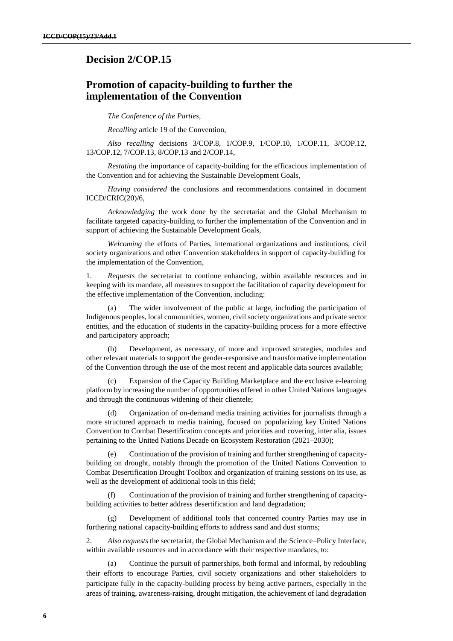#### **Decision 2/COP.15**

### **Promotion of capacity-building to further the implementation of the Convention**

*The Conference of the Parties,*

*Recalling* article 19 of the Convention,

*Also recalling* decisions 3/COP.8, 1/COP.9, 1/COP.10, 1/COP.11, 3/COP.12, 13/COP.12, 7/COP.13, 8/COP.13 and 2/COP.14,

*Restating* the importance of capacity-building for the efficacious implementation of the Convention and for achieving the Sustainable Development Goals,

*Having considered* the conclusions and recommendations contained in document ICCD/CRIC(20)/6,

*Acknowledging* the work done by the secretariat and the Global Mechanism to facilitate targeted capacity-building to further the implementation of the Convention and in support of achieving the Sustainable Development Goals,

*Welcoming* the efforts of Parties, international organizations and institutions, civil society organizations and other Convention stakeholders in support of capacity-building for the implementation of the Convention,

1. *Requests* the secretariat to continue enhancing, within available resources and in keeping with its mandate, all measures to support the facilitation of capacity development for the effective implementation of the Convention, including:

(a) The wider involvement of the public at large, including the participation of Indigenous peoples, local communities, women, civil society organizations and private sector entities, and the education of students in the capacity-building process for a more effective and participatory approach;

(b) Development, as necessary, of more and improved strategies, modules and other relevant materials to support the gender-responsive and transformative implementation of the Convention through the use of the most recent and applicable data sources available;

(c) Expansion of the Capacity Building Marketplace and the exclusive e-learning platform by increasing the number of opportunities offered in other United Nations languages and through the continuous widening of their clientele;

(d) Organization of on-demand media training activities for journalists through a more structured approach to media training, focused on popularizing key United Nations Convention to Combat Desertification concepts and priorities and covering, inter alia, issues pertaining to the United Nations Decade on Ecosystem Restoration (2021–2030);

(e) Continuation of the provision of training and further strengthening of capacitybuilding on drought, notably through the promotion of the United Nations Convention to Combat Desertification Drought Toolbox and organization of training sessions on its use, as well as the development of additional tools in this field;

Continuation of the provision of training and further strengthening of capacitybuilding activities to better address desertification and land degradation;

(g) Development of additional tools that concerned country Parties may use in furthering national capacity-building efforts to address sand and dust storms;

2. *Also requests* the secretariat, the Global Mechanism and the Science–Policy Interface, within available resources and in accordance with their respective mandates, to:

(a) Continue the pursuit of partnerships, both formal and informal, by redoubling their efforts to encourage Parties, civil society organizations and other stakeholders to participate fully in the capacity-building process by being active partners, especially in the areas of training, awareness-raising, drought mitigation, the achievement of land degradation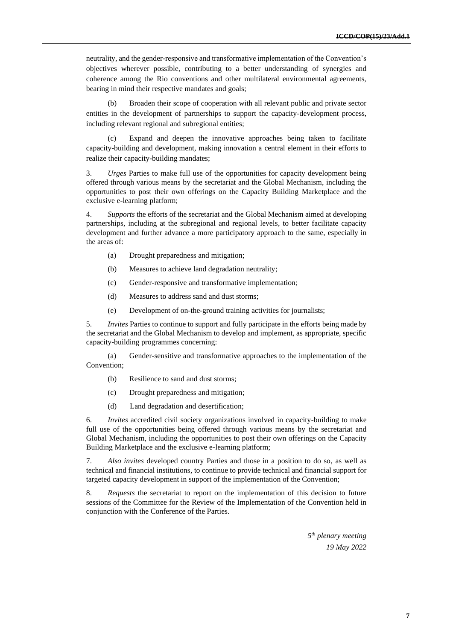neutrality, and the gender-responsive and transformative implementation of the Convention's objectives wherever possible, contributing to a better understanding of synergies and coherence among the Rio conventions and other multilateral environmental agreements, bearing in mind their respective mandates and goals;

(b) Broaden their scope of cooperation with all relevant public and private sector entities in the development of partnerships to support the capacity-development process, including relevant regional and subregional entities;

(c) Expand and deepen the innovative approaches being taken to facilitate capacity-building and development, making innovation a central element in their efforts to realize their capacity-building mandates;

3. *Urges* Parties to make full use of the opportunities for capacity development being offered through various means by the secretariat and the Global Mechanism, including the opportunities to post their own offerings on the Capacity Building Marketplace and the exclusive e-learning platform;

4. *Supports* the efforts of the secretariat and the Global Mechanism aimed at developing partnerships, including at the subregional and regional levels, to better facilitate capacity development and further advance a more participatory approach to the same, especially in the areas of:

- (a) Drought preparedness and mitigation;
- (b) Measures to achieve land degradation neutrality;
- (c) Gender-responsive and transformative implementation;
- (d) Measures to address sand and dust storms;
- (e) Development of on-the-ground training activities for journalists;

5. *Invites* Parties to continue to support and fully participate in the efforts being made by the secretariat and the Global Mechanism to develop and implement, as appropriate, specific capacity-building programmes concerning:

(a) Gender-sensitive and transformative approaches to the implementation of the Convention;

- (b) Resilience to sand and dust storms;
- (c) Drought preparedness and mitigation;
- (d) Land degradation and desertification;

6. *Invites* accredited civil society organizations involved in capacity-building to make full use of the opportunities being offered through various means by the secretariat and Global Mechanism, including the opportunities to post their own offerings on the Capacity Building Marketplace and the exclusive e-learning platform;

7. *Also invites* developed country Parties and those in a position to do so, as well as technical and financial institutions, to continue to provide technical and financial support for targeted capacity development in support of the implementation of the Convention;

8. *Requests* the secretariat to report on the implementation of this decision to future sessions of the Committee for the Review of the Implementation of the Convention held in conjunction with the Conference of the Parties.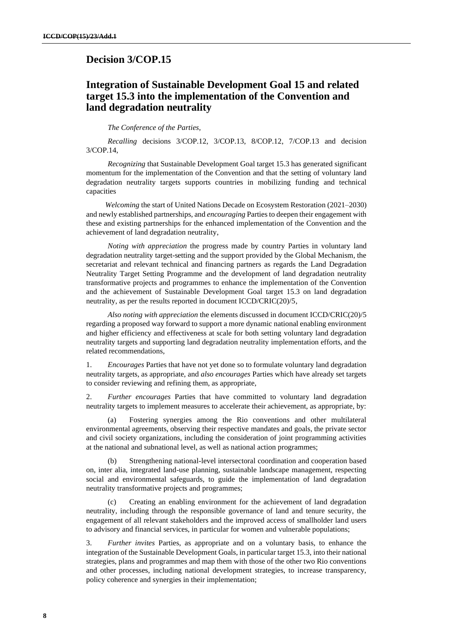#### **Decision 3/COP.15**

## **Integration of Sustainable Development Goal 15 and related target 15.3 into the implementation of the Convention and land degradation neutrality**

*The Conference of the Parties,*

*Recalling* decisions 3/COP.12, 3/COP.13, 8/COP.12, 7/COP.13 and decision 3/COP.14,

*Recognizing* that Sustainable Development Goal target 15.3 has generated significant momentum for the implementation of the Convention and that the setting of voluntary land degradation neutrality targets supports countries in mobilizing funding and technical capacities

*Welcoming* the start of United Nations Decade on Ecosystem Restoration (2021–2030) and newly established partnerships, and *encouraging* Parties to deepen their engagement with these and existing partnerships for the enhanced implementation of the Convention and the achievement of land degradation neutrality,

*Noting with appreciation* the progress made by country Parties in voluntary land degradation neutrality target-setting and the support provided by the Global Mechanism, the secretariat and relevant technical and financing partners as regards the Land Degradation Neutrality Target Setting Programme and the development of land degradation neutrality transformative projects and programmes to enhance the implementation of the Convention and the achievement of Sustainable Development Goal target 15.3 on land degradation neutrality, as per the results reported in document ICCD/CRIC(20)/5,

*Also noting with appreciation* the elements discussed in document ICCD/CRIC(20)/5 regarding a proposed way forward to support a more dynamic national enabling environment and higher efficiency and effectiveness at scale for both setting voluntary land degradation neutrality targets and supporting land degradation neutrality implementation efforts, and the related recommendations,

1. *Encourages* Parties that have not yet done so to formulate voluntary land degradation neutrality targets, as appropriate, and *also encourages* Parties which have already set targets to consider reviewing and refining them, as appropriate,

2. *Further encourages* Parties that have committed to voluntary land degradation neutrality targets to implement measures to accelerate their achievement, as appropriate, by:

(a) Fostering synergies among the Rio conventions and other multilateral environmental agreements, observing their respective mandates and goals, the private sector and civil society organizations, including the consideration of joint programming activities at the national and subnational level, as well as national action programmes;

Strengthening national-level intersectoral coordination and cooperation based on, inter alia, integrated land-use planning, sustainable landscape management, respecting social and environmental safeguards, to guide the implementation of land degradation neutrality transformative projects and programmes;

Creating an enabling environment for the achievement of land degradation neutrality, including through the responsible governance of land and tenure security, the engagement of all relevant stakeholders and the improved access of smallholder land users to advisory and financial services, in particular for women and vulnerable populations;

3. *Further invites* Parties, as appropriate and on a voluntary basis, to enhance the integration of the Sustainable Development Goals, in particular target 15.3, into their national strategies, plans and programmes and map them with those of the other two Rio conventions and other processes, including national development strategies, to increase transparency, policy coherence and synergies in their implementation;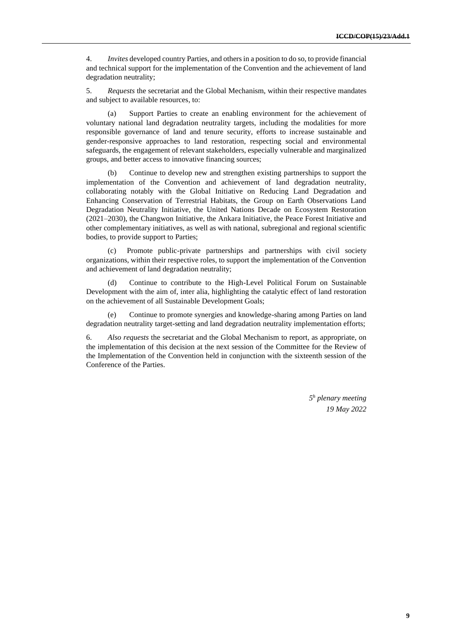4. *Invites* developed country Parties, and others in a position to do so, to provide financial and technical support for the implementation of the Convention and the achievement of land degradation neutrality;

5. *Requests* the secretariat and the Global Mechanism, within their respective mandates and subject to available resources, to:

(a) Support Parties to create an enabling environment for the achievement of voluntary national land degradation neutrality targets, including the modalities for more responsible governance of land and tenure security, efforts to increase sustainable and gender-responsive approaches to land restoration, respecting social and environmental safeguards, the engagement of relevant stakeholders, especially vulnerable and marginalized groups, and better access to innovative financing sources;

(b) Continue to develop new and strengthen existing partnerships to support the implementation of the Convention and achievement of land degradation neutrality, collaborating notably with the Global Initiative on Reducing Land Degradation and Enhancing Conservation of Terrestrial Habitats, the Group on Earth Observations Land Degradation Neutrality Initiative, the United Nations Decade on Ecosystem Restoration (2021–2030), the Changwon Initiative, the Ankara Initiative, the Peace Forest Initiative and other complementary initiatives, as well as with national, subregional and regional scientific bodies, to provide support to Parties;

(c) Promote public-private partnerships and partnerships with civil society organizations, within their respective roles, to support the implementation of the Convention and achievement of land degradation neutrality;

(d) Continue to contribute to the High-Level Political Forum on Sustainable Development with the aim of, inter alia, highlighting the catalytic effect of land restoration on the achievement of all Sustainable Development Goals;

(e) Continue to promote synergies and knowledge-sharing among Parties on land degradation neutrality target-setting and land degradation neutrality implementation efforts;

6. *Also requests* the secretariat and the Global Mechanism to report, as appropriate, on the implementation of this decision at the next session of the Committee for the Review of the Implementation of the Convention held in conjunction with the sixteenth session of the Conference of the Parties.

> *5 <sup>h</sup> plenary meeting 19 May 2022*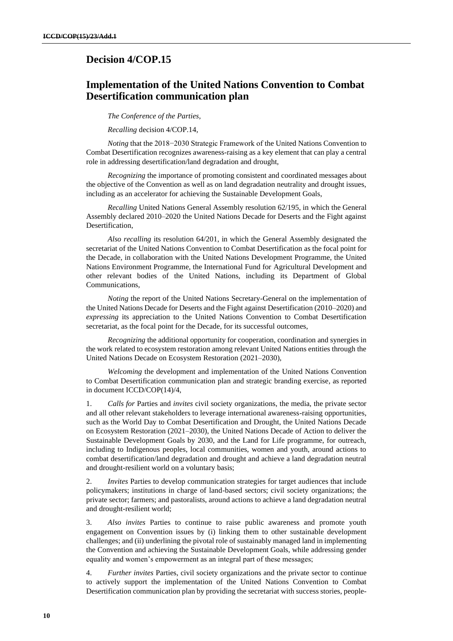### **Decision 4/COP.15**

### **Implementation of the United Nations Convention to Combat Desertification communication plan**

*The Conference of the Parties,* 

*Recalling* decision 4/COP.14,

*Noting* that the 2018−2030 Strategic Framework of the United Nations Convention to Combat Desertification recognizes awareness-raising as a key element that can play a central role in addressing desertification/land degradation and drought,

*Recognizing* the importance of promoting consistent and coordinated messages about the objective of the Convention as well as on land degradation neutrality and drought issues, including as an accelerator for achieving the Sustainable Development Goals,

*Recalling* United Nations General Assembly resolution 62/195, in which the General Assembly declared 2010–2020 the United Nations Decade for Deserts and the Fight against Desertification,

*Also recalling* its resolution 64/201, in which the General Assembly designated the secretariat of the United Nations Convention to Combat Desertification as the focal point for the Decade, in collaboration with the United Nations Development Programme, the United Nations Environment Programme, the International Fund for Agricultural Development and other relevant bodies of the United Nations, including its Department of Global Communications,

*Noting* the report of the United Nations Secretary-General on the implementation of the United Nations Decade for Deserts and the Fight against Desertification (2010–2020) and *expressing* its appreciation to the United Nations Convention to Combat Desertification secretariat, as the focal point for the Decade, for its successful outcomes,

*Recognizing* the additional opportunity for cooperation, coordination and synergies in the work related to ecosystem restoration among relevant United Nations entities through the United Nations Decade on Ecosystem Restoration (2021–2030),

*Welcoming* the development and implementation of the United Nations Convention to Combat Desertification communication plan and strategic branding exercise, as reported in document ICCD/COP(14)/4,

1. *Calls for* Parties and *invites* civil society organizations, the media, the private sector and all other relevant stakeholders to leverage international awareness-raising opportunities, such as the World Day to Combat Desertification and Drought, the United Nations Decade on Ecosystem Restoration (2021–2030), the United Nations Decade of Action to deliver the Sustainable Development Goals by 2030, and the Land for Life programme, for outreach, including to Indigenous peoples, local communities, women and youth, around actions to combat desertification/land degradation and drought and achieve a land degradation neutral and drought-resilient world on a voluntary basis;

2. *Invites* Parties to develop communication strategies for target audiences that include policymakers; institutions in charge of land-based sectors; civil society organizations; the private sector; farmers; and pastoralists, around actions to achieve a land degradation neutral and drought-resilient world;

3. *Also invites* Parties to continue to raise public awareness and promote youth engagement on Convention issues by (i) linking them to other sustainable development challenges; and (ii) underlining the pivotal role of sustainably managed land in implementing the Convention and achieving the Sustainable Development Goals, while addressing gender equality and women's empowerment as an integral part of these messages;

4. *Further invites* Parties, civil society organizations and the private sector to continue to actively support the implementation of the United Nations Convention to Combat Desertification communication plan by providing the secretariat with success stories, people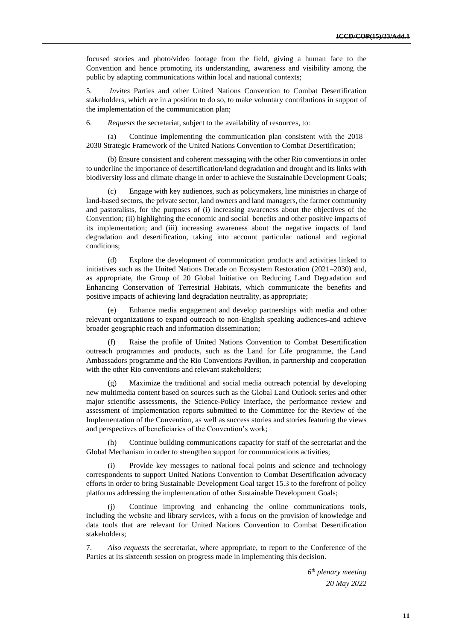focused stories and photo/video footage from the field, giving a human face to the Convention and hence promoting its understanding, awareness and visibility among the public by adapting communications within local and national contexts;

5. *Invites* Parties and other United Nations Convention to Combat Desertification stakeholders, which are in a position to do so, to make voluntary contributions in support of the implementation of the communication plan;

6. *Requests* the secretariat, subject to the availability of resources, to:

(a) Continue implementing the communication plan consistent with the 2018– 2030 Strategic Framework of the United Nations Convention to Combat Desertification;

(b) Ensure consistent and coherent messaging with the other Rio conventions in order to underline the importance of desertification/land degradation and drought and its links with biodiversity loss and climate change in order to achieve the Sustainable Development Goals;

(c) Engage with key audiences, such as policymakers, line ministries in charge of land-based sectors, the private sector, land owners and land managers, the farmer community and pastoralists, for the purposes of (i) increasing awareness about the objectives of the Convention; (ii) highlighting the economic and social benefits and other positive impacts of its implementation; and (iii) increasing awareness about the negative impacts of land degradation and desertification, taking into account particular national and regional conditions;

(d) Explore the development of communication products and activities linked to initiatives such as the United Nations Decade on Ecosystem Restoration (2021–2030) and, as appropriate, the Group of 20 Global Initiative on Reducing Land Degradation and Enhancing Conservation of Terrestrial Habitats, which communicate the benefits and positive impacts of achieving land degradation neutrality, as appropriate;

(e) Enhance media engagement and develop partnerships with media and other relevant organizations to expand outreach to non-English speaking audiences and achieve broader geographic reach and information dissemination;

(f) Raise the profile of United Nations Convention to Combat Desertification outreach programmes and products, such as the Land for Life programme, the Land Ambassadors programme and the Rio Conventions Pavilion, in partnership and cooperation with the other Rio conventions and relevant stakeholders;

(g) Maximize the traditional and social media outreach potential by developing new multimedia content based on sources such as the Global Land Outlook series and other major scientific assessments, the Science-Policy Interface, the performance review and assessment of implementation reports submitted to the Committee for the Review of the Implementation of the Convention, as well as success stories and stories featuring the views and perspectives of beneficiaries of the Convention's work;

(h) Continue building communications capacity for staff of the secretariat and the Global Mechanism in order to strengthen support for communications activities;

(i) Provide key messages to national focal points and science and technology correspondents to support United Nations Convention to Combat Desertification advocacy efforts in order to bring Sustainable Development Goal target 15.3 to the forefront of policy platforms addressing the implementation of other Sustainable Development Goals;

Continue improving and enhancing the online communications tools, including the website and library services, with a focus on the provision of knowledge and data tools that are relevant for United Nations Convention to Combat Desertification stakeholders;

7. *Also requests* the secretariat, where appropriate, to report to the Conference of the Parties at its sixteenth session on progress made in implementing this decision.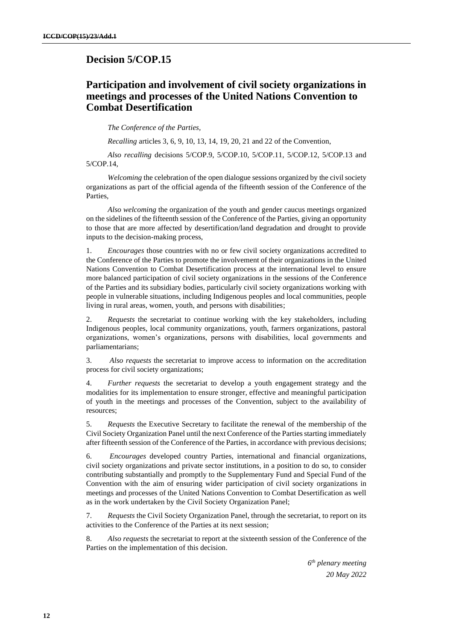### **Decision 5/COP.15**

## **Participation and involvement of civil society organizations in meetings and processes of the United Nations Convention to Combat Desertification**

*The Conference of the Parties,* 

*Recalling* articles 3, 6, 9, 10, 13, 14, 19, 20, 21 and 22 of the Convention,

*Also recalling* decisions 5/COP.9, 5/COP.10, 5/COP.11, 5/COP.12, 5/COP.13 and 5/COP.14,

*Welcoming* the celebration of the open dialogue sessions organized by the civil society organizations as part of the official agenda of the fifteenth session of the Conference of the Parties,

*Also welcoming* the organization of the youth and gender caucus meetings organized on the sidelines of the fifteenth session of the Conference of the Parties, giving an opportunity to those that are more affected by desertification/land degradation and drought to provide inputs to the decision-making process,

1. *Encourages* those countries with no or few civil society organizations accredited to the Conference of the Parties to promote the involvement of their organizations in the United Nations Convention to Combat Desertification process at the international level to ensure more balanced participation of civil society organizations in the sessions of the Conference of the Parties and its subsidiary bodies, particularly civil society organizations working with people in vulnerable situations, including Indigenous peoples and local communities, people living in rural areas, women, youth, and persons with disabilities;

2. *Requests* the secretariat to continue working with the key stakeholders, including Indigenous peoples, local community organizations, youth, farmers organizations, pastoral organizations, women's organizations, persons with disabilities, local governments and parliamentarians;

3. *Also requests* the secretariat to improve access to information on the accreditation process for civil society organizations;

4. *Further requests* the secretariat to develop a youth engagement strategy and the modalities for its implementation to ensure stronger, effective and meaningful participation of youth in the meetings and processes of the Convention, subject to the availability of resources;

5. *Requests* the Executive Secretary to facilitate the renewal of the membership of the Civil Society Organization Panel until the next Conference of the Parties starting immediately after fifteenth session of the Conference of the Parties, in accordance with previous decisions;

6. *Encourages* developed country Parties, international and financial organizations, civil society organizations and private sector institutions, in a position to do so, to consider contributing substantially and promptly to the Supplementary Fund and Special Fund of the Convention with the aim of ensuring wider participation of civil society organizations in meetings and processes of the United Nations Convention to Combat Desertification as well as in the work undertaken by the Civil Society Organization Panel;

7. *Requests* the Civil Society Organization Panel, through the secretariat, to report on its activities to the Conference of the Parties at its next session;

8. *Also requests* the secretariat to report at the sixteenth session of the Conference of the Parties on the implementation of this decision.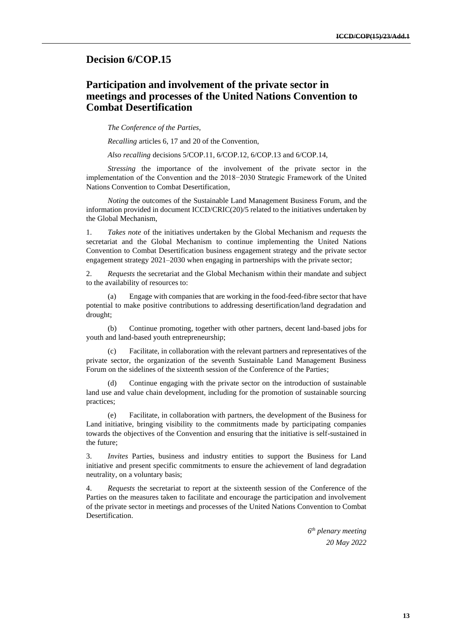### **Decision 6/COP.15**

## **Participation and involvement of the private sector in meetings and processes of the United Nations Convention to Combat Desertification**

*The Conference of the Parties,*

*Recalling* articles 6, 17 and 20 of the Convention,

*Also recalling* decisions 5/COP.11, 6/COP.12, 6/COP.13 and 6/COP.14,

*Stressing* the importance of the involvement of the private sector in the implementation of the Convention and the 2018−2030 Strategic Framework of the United Nations Convention to Combat Desertification,

*Noting* the outcomes of the Sustainable Land Management Business Forum, and the information provided in document ICCD/CRIC(20)/5 related to the initiatives undertaken by the Global Mechanism,

1. *Takes note* of the initiatives undertaken by the Global Mechanism and *requests* the secretariat and the Global Mechanism to continue implementing the United Nations Convention to Combat Desertification business engagement strategy and the private sector engagement strategy 2021–2030 when engaging in partnerships with the private sector;

2. *Requests* the secretariat and the Global Mechanism within their mandate and subject to the availability of resources to:

(a) Engage with companies that are working in the food-feed-fibre sector that have potential to make positive contributions to addressing desertification/land degradation and drought;

(b) Continue promoting, together with other partners, decent land-based jobs for youth and land-based youth entrepreneurship;

(c) Facilitate, in collaboration with the relevant partners and representatives of the private sector, the organization of the seventh Sustainable Land Management Business Forum on the sidelines of the sixteenth session of the Conference of the Parties;

(d) Continue engaging with the private sector on the introduction of sustainable land use and value chain development, including for the promotion of sustainable sourcing practices;

(e) Facilitate, in collaboration with partners, the development of the Business for Land initiative, bringing visibility to the commitments made by participating companies towards the objectives of the Convention and ensuring that the initiative is self-sustained in the future;

3. *Invites* Parties, business and industry entities to support the Business for Land initiative and present specific commitments to ensure the achievement of land degradation neutrality, on a voluntary basis;

4. *Requests* the secretariat to report at the sixteenth session of the Conference of the Parties on the measures taken to facilitate and encourage the participation and involvement of the private sector in meetings and processes of the United Nations Convention to Combat Desertification.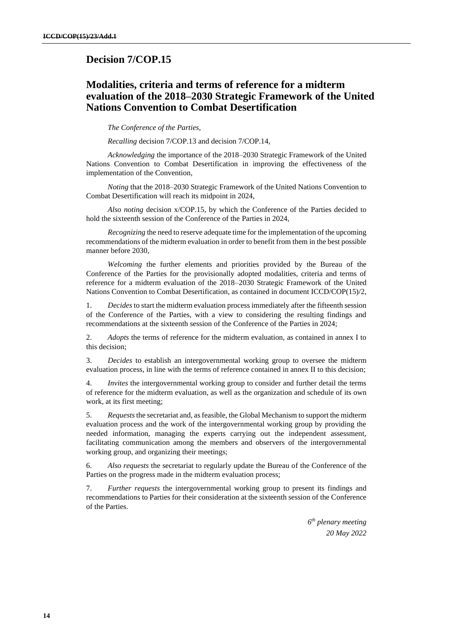### **Decision 7/COP.15**

## **Modalities, criteria and terms of reference for a midterm evaluation of the 2018–2030 Strategic Framework of the United Nations Convention to Combat Desertification**

*The Conference of the Parties,*

*Recalling* decision 7/COP.13 and decision 7/COP.14,

*Acknowledging* the importance of the 2018–2030 Strategic Framework of the United Nations Convention to Combat Desertification in improving the effectiveness of the implementation of the Convention,

*Noting* that the 2018–2030 Strategic Framework of the United Nations Convention to Combat Desertification will reach its midpoint in 2024,

*Also noting* decision x/COP.15, by which the Conference of the Parties decided to hold the sixteenth session of the Conference of the Parties in 2024,

*Recognizing* the need to reserve adequate time for the implementation of the upcoming recommendations of the midterm evaluation in order to benefit from them in the best possible manner before 2030,

*Welcoming* the further elements and priorities provided by the Bureau of the Conference of the Parties for the provisionally adopted modalities, criteria and terms of reference for a midterm evaluation of the 2018–2030 Strategic Framework of the United Nations Convention to Combat Desertification, as contained in document ICCD/COP(15)/2,

1. *Decides* to start the midterm evaluation process immediately after the fifteenth session of the Conference of the Parties, with a view to considering the resulting findings and recommendations at the sixteenth session of the Conference of the Parties in 2024;

2. *Adopts* the terms of reference for the midterm evaluation, as contained in annex I to this decision;

3. *Decides* to establish an intergovernmental working group to oversee the midterm evaluation process, in line with the terms of reference contained in annex II to this decision;

4. *Invites* the intergovernmental working group to consider and further detail the terms of reference for the midterm evaluation, as well as the organization and schedule of its own work, at its first meeting;

5. *Requests* the secretariat and, as feasible, the Global Mechanism to support the midterm evaluation process and the work of the intergovernmental working group by providing the needed information, managing the experts carrying out the independent assessment, facilitating communication among the members and observers of the intergovernmental working group, and organizing their meetings;

6. *Also requests* the secretariat to regularly update the Bureau of the Conference of the Parties on the progress made in the midterm evaluation process;

7. *Further requests* the intergovernmental working group to present its findings and recommendations to Parties for their consideration at the sixteenth session of the Conference of the Parties.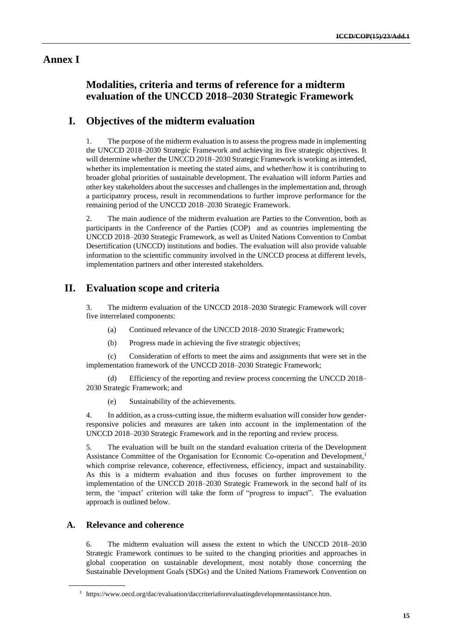### **Annex I**

## **Modalities, criteria and terms of reference for a midterm evaluation of the UNCCD 2018–2030 Strategic Framework**

### **I. Objectives of the midterm evaluation**

1. The purpose of the midterm evaluation is to assess the progress made in implementing the UNCCD 2018–2030 Strategic Framework and achieving its five strategic objectives. It will determine whether the UNCCD 2018–2030 Strategic Framework is working as intended, whether its implementation is meeting the stated aims, and whether/how it is contributing to broader global priorities of sustainable development. The evaluation will inform Parties and other key stakeholders about the successes and challenges in the implementation and, through a participatory process, result in recommendations to further improve performance for the remaining period of the UNCCD 2018–2030 Strategic Framework.

2. The main audience of the midterm evaluation are Parties to the Convention, both as participants in the Conference of the Parties (COP) and as countries implementing the UNCCD 2018–2030 Strategic Framework, as well as United Nations Convention to Combat Desertification (UNCCD) institutions and bodies. The evaluation will also provide valuable information to the scientific community involved in the UNCCD process at different levels, implementation partners and other interested stakeholders.

### **II. Evaluation scope and criteria**

3. The midterm evaluation of the UNCCD 2018–2030 Strategic Framework will cover five interrelated components:

- (a) Continued relevance of the UNCCD 2018–2030 Strategic Framework;
- (b) Progress made in achieving the five strategic objectives;

(c) Consideration of efforts to meet the aims and assignments that were set in the implementation framework of the UNCCD 2018–2030 Strategic Framework;

(d) Efficiency of the reporting and review process concerning the UNCCD 2018– 2030 Strategic Framework; and

(e) Sustainability of the achievements.

4. In addition, as a cross-cutting issue, the midterm evaluation will consider how genderresponsive policies and measures are taken into account in the implementation of the UNCCD 2018–2030 Strategic Framework and in the reporting and review process.

5. The evaluation will be built on the standard evaluation criteria of the Development Assistance Committee of the Organisation for Economic Co-operation and Development, 1 which comprise relevance, coherence, effectiveness, efficiency, impact and sustainability. As this is a midterm evaluation and thus focuses on further improvement to the implementation of the UNCCD 2018–2030 Strategic Framework in the second half of its term, the 'impact' criterion will take the form of "progress to impact". The evaluation approach is outlined below.

#### **A. Relevance and coherence**

6. The midterm evaluation will assess the extent to which the UNCCD 2018–2030 Strategic Framework continues to be suited to the changing priorities and approaches in global cooperation on sustainable development, most notably those concerning the Sustainable Development Goals (SDGs) and the United Nations Framework Convention on

<sup>1</sup> https://www.oecd.org/dac/evaluation/daccriteriaforevaluatingdevelopmentassistance.htm.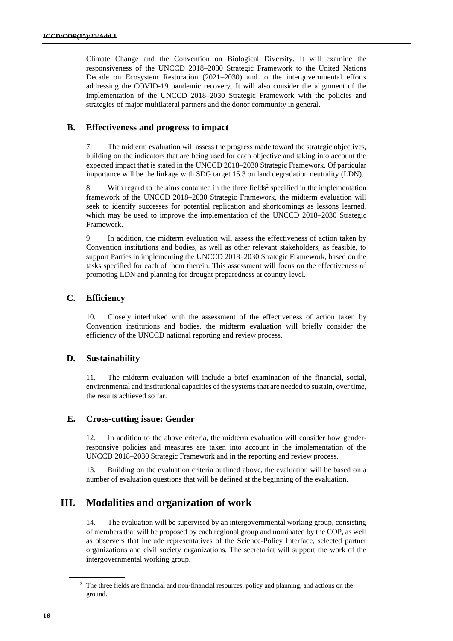Climate Change and the Convention on Biological Diversity. It will examine the responsiveness of the UNCCD 2018–2030 Strategic Framework to the United Nations Decade on Ecosystem Restoration (2021–2030) and to the intergovernmental efforts addressing the COVID-19 pandemic recovery. It will also consider the alignment of the implementation of the UNCCD 2018–2030 Strategic Framework with the policies and strategies of major multilateral partners and the donor community in general.

#### **B. Effectiveness and progress to impact**

7. The midterm evaluation will assess the progress made toward the strategic objectives, building on the indicators that are being used for each objective and taking into account the expected impact that is stated in the UNCCD 2018–2030 Strategic Framework. Of particular importance will be the linkage with SDG target 15.3 on land degradation neutrality (LDN).

8. With regard to the aims contained in the three fields<sup>2</sup> specified in the implementation framework of the UNCCD 2018–2030 Strategic Framework, the midterm evaluation will seek to identify successes for potential replication and shortcomings as lessons learned, which may be used to improve the implementation of the UNCCD 2018–2030 Strategic Framework.

9. In addition, the midterm evaluation will assess the effectiveness of action taken by Convention institutions and bodies, as well as other relevant stakeholders, as feasible, to support Parties in implementing the UNCCD 2018–2030 Strategic Framework, based on the tasks specified for each of them therein. This assessment will focus on the effectiveness of promoting LDN and planning for drought preparedness at country level.

#### **C. Efficiency**

10. Closely interlinked with the assessment of the effectiveness of action taken by Convention institutions and bodies, the midterm evaluation will briefly consider the efficiency of the UNCCD national reporting and review process.

#### **D. Sustainability**

11. The midterm evaluation will include a brief examination of the financial, social, environmental and institutional capacities of the systems that are needed to sustain, over time, the results achieved so far.

#### **E. Cross-cutting issue: Gender**

In addition to the above criteria, the midterm evaluation will consider how genderresponsive policies and measures are taken into account in the implementation of the UNCCD 2018–2030 Strategic Framework and in the reporting and review process.

13. Building on the evaluation criteria outlined above, the evaluation will be based on a number of evaluation questions that will be defined at the beginning of the evaluation.

## **III. Modalities and organization of work**

14. The evaluation will be supervised by an intergovernmental working group, consisting of members that will be proposed by each regional group and nominated by the COP, as well as observers that include representatives of the Science-Policy Interface, selected partner organizations and civil society organizations. The secretariat will support the work of the intergovernmental working group.

<sup>&</sup>lt;sup>2</sup> The three fields are financial and non-financial resources, policy and planning, and actions on the ground.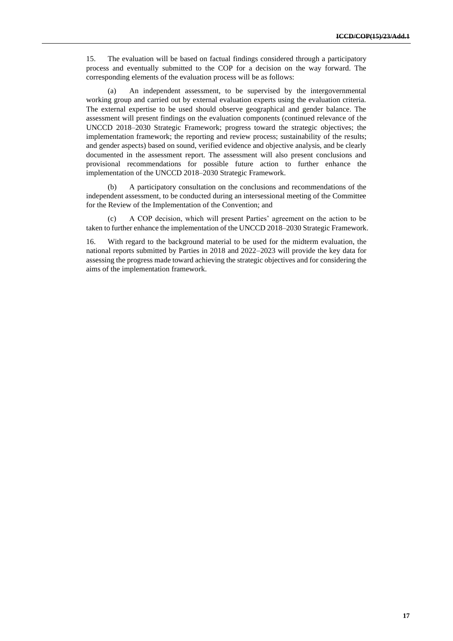15. The evaluation will be based on factual findings considered through a participatory process and eventually submitted to the COP for a decision on the way forward. The corresponding elements of the evaluation process will be as follows:

(a) An independent assessment, to be supervised by the intergovernmental working group and carried out by external evaluation experts using the evaluation criteria. The external expertise to be used should observe geographical and gender balance. The assessment will present findings on the evaluation components (continued relevance of the UNCCD 2018–2030 Strategic Framework; progress toward the strategic objectives; the implementation framework; the reporting and review process; sustainability of the results; and gender aspects) based on sound, verified evidence and objective analysis, and be clearly documented in the assessment report. The assessment will also present conclusions and provisional recommendations for possible future action to further enhance the implementation of the UNCCD 2018–2030 Strategic Framework.

(b) A participatory consultation on the conclusions and recommendations of the independent assessment, to be conducted during an intersessional meeting of the Committee for the Review of the Implementation of the Convention; and

A COP decision, which will present Parties' agreement on the action to be taken to further enhance the implementation of the UNCCD 2018–2030 Strategic Framework.

16. With regard to the background material to be used for the midterm evaluation, the national reports submitted by Parties in 2018 and 2022–2023 will provide the key data for assessing the progress made toward achieving the strategic objectives and for considering the aims of the implementation framework.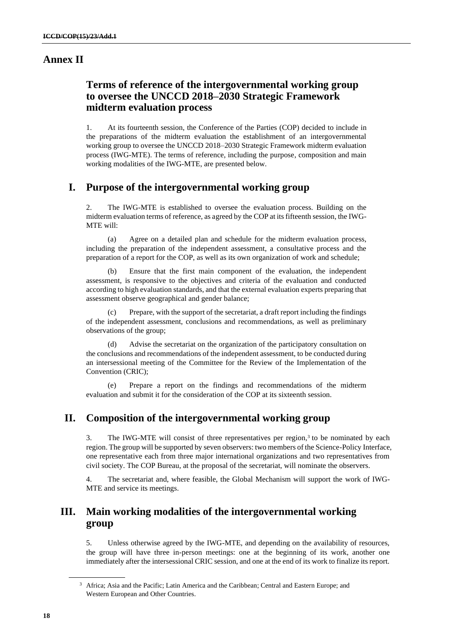#### **Annex II**

## **Terms of reference of the intergovernmental working group to oversee the UNCCD 2018–2030 Strategic Framework midterm evaluation process**

1. At its fourteenth session, the Conference of the Parties (COP) decided to include in the preparations of the midterm evaluation the establishment of an intergovernmental working group to oversee the UNCCD 2018–2030 Strategic Framework midterm evaluation process (IWG-MTE). The terms of reference, including the purpose, composition and main working modalities of the IWG-MTE, are presented below.

#### **I. Purpose of the intergovernmental working group**

2. The IWG-MTE is established to oversee the evaluation process. Building on the midterm evaluation terms of reference, as agreed by the COP at its fifteenth session, the IWG-MTE will:

(a) Agree on a detailed plan and schedule for the midterm evaluation process, including the preparation of the independent assessment, a consultative process and the preparation of a report for the COP, as well as its own organization of work and schedule;

Ensure that the first main component of the evaluation, the independent assessment, is responsive to the objectives and criteria of the evaluation and conducted according to high evaluation standards, and that the external evaluation experts preparing that assessment observe geographical and gender balance;

(c) Prepare, with the support of the secretariat, a draft report including the findings of the independent assessment, conclusions and recommendations, as well as preliminary observations of the group;

(d) Advise the secretariat on the organization of the participatory consultation on the conclusions and recommendations of the independent assessment, to be conducted during an intersessional meeting of the Committee for the Review of the Implementation of the Convention (CRIC);

(e) Prepare a report on the findings and recommendations of the midterm evaluation and submit it for the consideration of the COP at its sixteenth session.

### **II. Composition of the intergovernmental working group**

3. The IWG-MTE will consist of three representatives per region,<sup>3</sup> to be nominated by each region. The group will be supported by seven observers: two members of the Science-Policy Interface, one representative each from three major international organizations and two representatives from civil society. The COP Bureau, at the proposal of the secretariat, will nominate the observers.

4. The secretariat and, where feasible, the Global Mechanism will support the work of IWG-MTE and service its meetings.

## **III. Main working modalities of the intergovernmental working group**

5. Unless otherwise agreed by the IWG-MTE, and depending on the availability of resources, the group will have three in-person meetings: one at the beginning of its work, another one immediately after the intersessional CRIC session, and one at the end of its work to finalize its report.

<sup>&</sup>lt;sup>3</sup> Africa; Asia and the Pacific; Latin America and the Caribbean; Central and Eastern Europe; and Western European and Other Countries.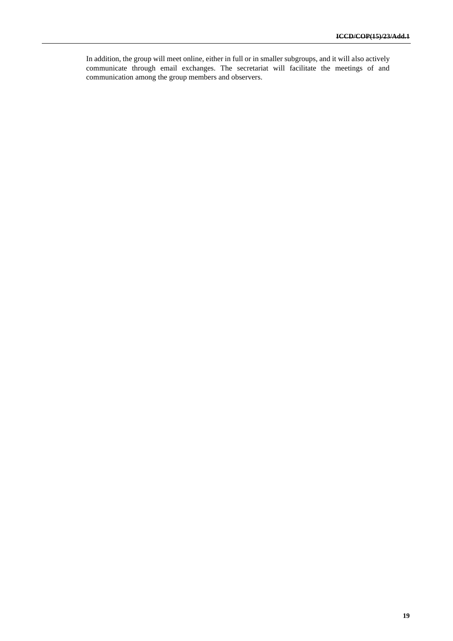In addition, the group will meet online, either in full or in smaller subgroups, and it will also actively communicate through email exchanges. The secretariat will facilitate the meetings of and communication among the group members and observers.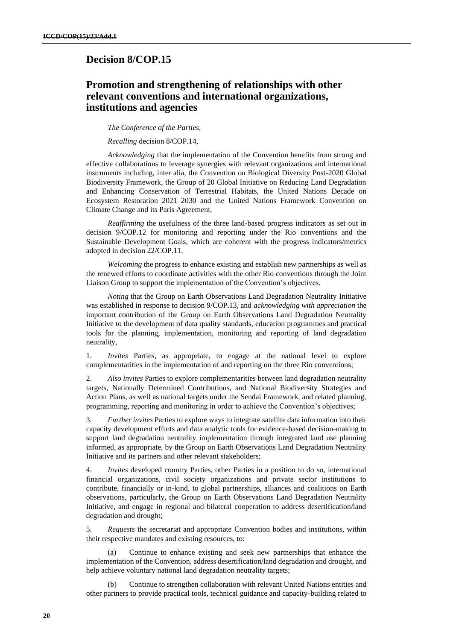#### **Decision 8/COP.15**

## **Promotion and strengthening of relationships with other relevant conventions and international organizations, institutions and agencies**

*The Conference of the Parties,* 

*Recalling* decision 8/COP.14,

*Acknowledging* that the implementation of the Convention benefits from strong and effective collaborations to leverage synergies with relevant organizations and international instruments including, inter alia, the Convention on Biological Diversity Post-2020 Global Biodiversity Framework, the Group of 20 Global Initiative on Reducing Land Degradation and Enhancing Conservation of Terrestrial Habitats, the United Nations Decade on Ecosystem Restoration 2021–2030 and the United Nations Framework Convention on Climate Change and its Paris Agreement,

*Reaffirming* the usefulness of the three land-based progress indicators as set out in decision 9/COP.12 for monitoring and reporting under the Rio conventions and the Sustainable Development Goals, which are coherent with the progress indicators/metrics adopted in decision 22/COP.11,

*Welcoming* the progress to enhance existing and establish new partnerships as well as the renewed efforts to coordinate activities with the other Rio conventions through the Joint Liaison Group to support the implementation of the Convention's objectives,

*Noting* that the Group on Earth Observations Land Degradation Neutrality Initiative was established in response to decision 9/COP.13, and *acknowledging with appreciation* the important contribution of the Group on Earth Observations Land Degradation Neutrality Initiative to the development of data quality standards, education programmes and practical tools for the planning, implementation, monitoring and reporting of land degradation neutrality,

1. *Invites* Parties, as appropriate, to engage at the national level to explore complementarities in the implementation of and reporting on the three Rio conventions;

2. *Also invites* Parties to explore complementarities between land degradation neutrality targets, Nationally Determined Contributions, and National Biodiversity Strategies and Action Plans, as well as national targets under the Sendai Framework, and related planning, programming, reporting and monitoring in order to achieve the Convention's objectives;

3. *Further invites* Parties to explore ways to integrate satellite data information into their capacity development efforts and data analytic tools for evidence-based decision-making to support land degradation neutrality implementation through integrated land use planning informed, as appropriate, by the Group on Earth Observations Land Degradation Neutrality Initiative and its partners and other relevant stakeholders;

4. *Invites* developed country Parties, other Parties in a position to do so, international financial organizations, civil society organizations and private sector institutions to contribute, financially or in-kind, to global partnerships, alliances and coalitions on Earth observations, particularly, the Group on Earth Observations Land Degradation Neutrality Initiative, and engage in regional and bilateral cooperation to address desertification/land degradation and drought;

5. *Requests* the secretariat and appropriate Convention bodies and institutions, within their respective mandates and existing resources, to:

(a) Continue to enhance existing and seek new partnerships that enhance the implementation of the Convention, address desertification/land degradation and drought, and help achieve voluntary national land degradation neutrality targets;

(b) Continue to strengthen collaboration with relevant United Nations entities and other partners to provide practical tools, technical guidance and capacity-building related to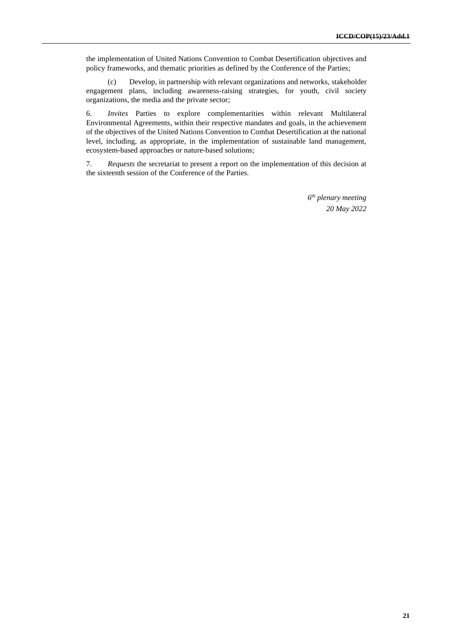the implementation of United Nations Convention to Combat Desertification objectives and policy frameworks, and thematic priorities as defined by the Conference of the Parties;

(c) Develop, in partnership with relevant organizations and networks, stakeholder engagement plans, including awareness-raising strategies, for youth, civil society organizations, the media and the private sector;

6. *Invites* Parties to explore complementarities within relevant Multilateral Environmental Agreements, within their respective mandates and goals, in the achievement of the objectives of the United Nations Convention to Combat Desertification at the national level, including, as appropriate, in the implementation of sustainable land management, ecosystem-based approaches or nature-based solutions;

7. *Requests* the secretariat to present a report on the implementation of this decision at the sixteenth session of the Conference of the Parties.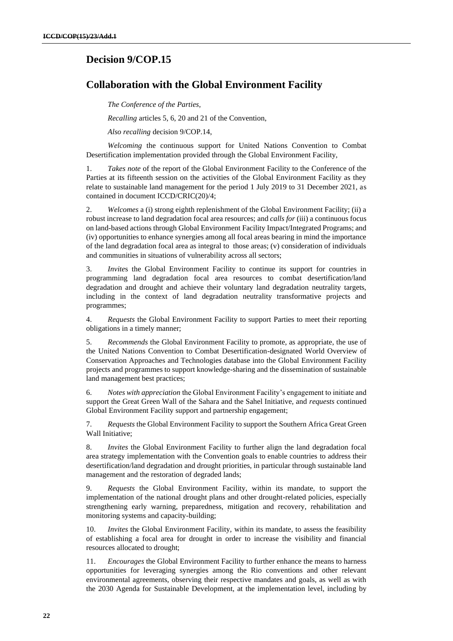### **Decision 9/COP.15**

#### **Collaboration with the Global Environment Facility**

*The Conference of the Parties,*

*Recalling* articles 5, 6, 20 and 21 of the Convention,

*Also recalling* decision 9/COP.14,

*Welcoming* the continuous support for United Nations Convention to Combat Desertification implementation provided through the Global Environment Facility,

1. *Takes note* of the report of the Global Environment Facility to the Conference of the Parties at its fifteenth session on the activities of the Global Environment Facility as they relate to sustainable land management for the period 1 July 2019 to 31 December 2021, as contained in document ICCD/CRIC(20)/4;

2. *Welcomes* a (i) strong eighth replenishment of the Global Environment Facility; (ii) a robust increase to land degradation focal area resources; and *calls for* (iii) a continuous focus on land-based actions through Global Environment Facility Impact/Integrated Programs; and (iv) opportunities to enhance synergies among all focal areas bearing in mind the importance of the land degradation focal area as integral to those areas; (v) consideration of individuals and communities in situations of vulnerability across all sectors;

3. *Invite*s the Global Environment Facility to continue its support for countries in programming land degradation focal area resources to combat desertification/land degradation and drought and achieve their voluntary land degradation neutrality targets, including in the context of land degradation neutrality transformative projects and programmes;

4. *Requests* the Global Environment Facility to support Parties to meet their reporting obligations in a timely manner;

5. *Recommends* the Global Environment Facility to promote, as appropriate, the use of the United Nations Convention to Combat Desertification-designated World Overview of Conservation Approaches and Technologies database into the Global Environment Facility projects and programmes to support knowledge-sharing and the dissemination of sustainable land management best practices;

6. *Notes with appreciation* the Global Environment Facility's engagement to initiate and support the Great Green Wall of the Sahara and the Sahel Initiative, and *requests* continued Global Environment Facility support and partnership engagement;

7. *Requests* the Global Environment Facility to support the Southern Africa Great Green Wall Initiative;

8. *Invites* the Global Environment Facility to further align the land degradation focal area strategy implementation with the Convention goals to enable countries to address their desertification/land degradation and drought priorities, in particular through sustainable land management and the restoration of degraded lands;

9. *Requests* the Global Environment Facility, within its mandate, to support the implementation of the national drought plans and other drought-related policies, especially strengthening early warning, preparedness, mitigation and recovery, rehabilitation and monitoring systems and capacity-building;

10. *Invites* the Global Environment Facility, within its mandate, to assess the feasibility of establishing a focal area for drought in order to increase the visibility and financial resources allocated to drought;

11. *Encourages* the Global Environment Facility to further enhance the means to harness opportunities for leveraging synergies among the Rio conventions and other relevant environmental agreements, observing their respective mandates and goals, as well as with the 2030 Agenda for Sustainable Development, at the implementation level, including by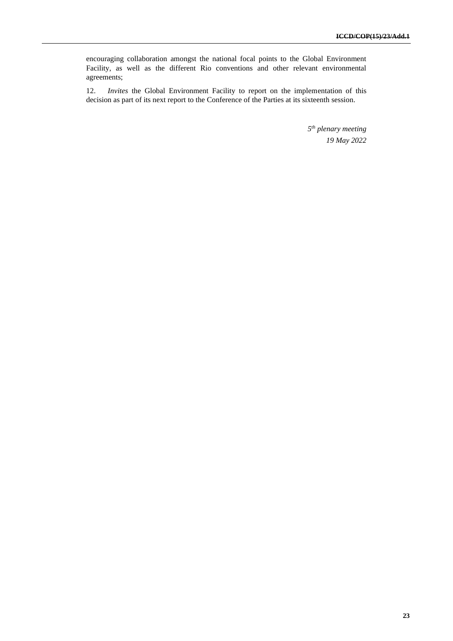encouraging collaboration amongst the national focal points to the Global Environment Facility, as well as the different Rio conventions and other relevant environmental agreements;

12. *Invites* the Global Environment Facility to report on the implementation of this decision as part of its next report to the Conference of the Parties at its sixteenth session.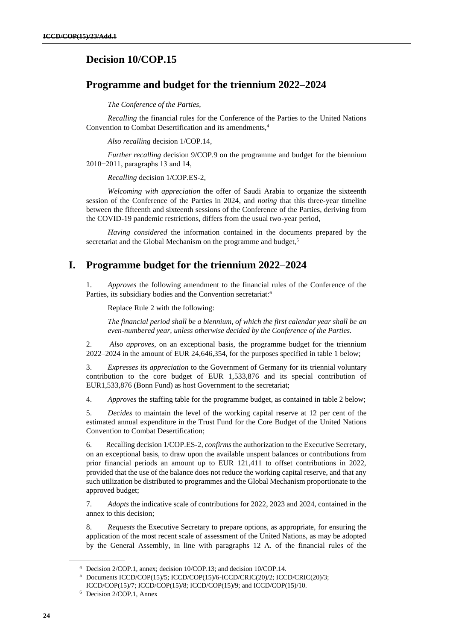### **Decision 10/COP.15**

#### **Programme and budget for the triennium 2022–2024**

*The Conference of the Parties,*

*Recalling* the financial rules for the Conference of the Parties to the United Nations Convention to Combat Desertification and its amendments,<sup>4</sup>

*Also recalling* decision 1/COP.14,

*Further recalling* decision 9/COP.9 on the programme and budget for the biennium 2010−2011, paragraphs 13 and 14,

*Recalling* decision 1/COP.ES-2,

*Welcoming with appreciation* the offer of Saudi Arabia to organize the sixteenth session of the Conference of the Parties in 2024, and *noting* that this three-year timeline between the fifteenth and sixteenth sessions of the Conference of the Parties, deriving from the COVID-19 pandemic restrictions, differs from the usual two-year period,

*Having considered* the information contained in the documents prepared by the secretariat and the Global Mechanism on the programme and budget,<sup>5</sup>

#### **I. Programme budget for the triennium 2022–2024**

1. *Approves* the following amendment to the financial rules of the Conference of the Parties, its subsidiary bodies and the Convention secretariat:<sup>6</sup>

Replace Rule 2 with the following:

*The financial period shall be a biennium, of which the first calendar year shall be an even-numbered year, unless otherwise decided by the Conference of the Parties.*

2. *Also approves,* on an exceptional basis, the programme budget for the triennium 2022–2024 in the amount of EUR 24,646,354, for the purposes specified in table 1 below;

3. *Expresses its appreciation* to the Government of Germany for its triennial voluntary contribution to the core budget of EUR 1,533,876 and its special contribution of EUR1,533,876 (Bonn Fund) as host Government to the secretariat;

4. *Approves* the staffing table for the programme budget, as contained in table 2 below;

5. *Decides* to maintain the level of the working capital reserve at 12 per cent of the estimated annual expenditure in the Trust Fund for the Core Budget of the United Nations Convention to Combat Desertification;

6. Recalling decision 1/COP.ES-2, *confirms* the authorization to the Executive Secretary, on an exceptional basis, to draw upon the available unspent balances or contributions from prior financial periods an amount up to EUR 121,411 to offset contributions in 2022, provided that the use of the balance does not reduce the working capital reserve, and that any such utilization be distributed to programmes and the Global Mechanism proportionate to the approved budget;

7. *Adopts* the indicative scale of contributions for 2022, 2023 and 2024, contained in the annex to this decision;

8. *Requests* the Executive Secretary to prepare options, as appropriate, for ensuring the application of the most recent scale of assessment of the United Nations, as may be adopted by the General Assembly, in line with paragraphs 12 A. of the financial rules of the

<sup>4</sup> Decision 2/COP.1, annex; decision 10/COP.13; and decision 10/COP.14.

<sup>5</sup> Documents ICCD/COP(15)/5; ICCD/COP(15)/6-ICCD/CRIC(20)/2; ICCD/CRIC(20)/3; ICCD/COP(15)/7; ICCD/COP(15)/8; ICCD/COP(15)/9; and ICCD/COP(15)/10.

<sup>6</sup> Decision 2/COP.1, Annex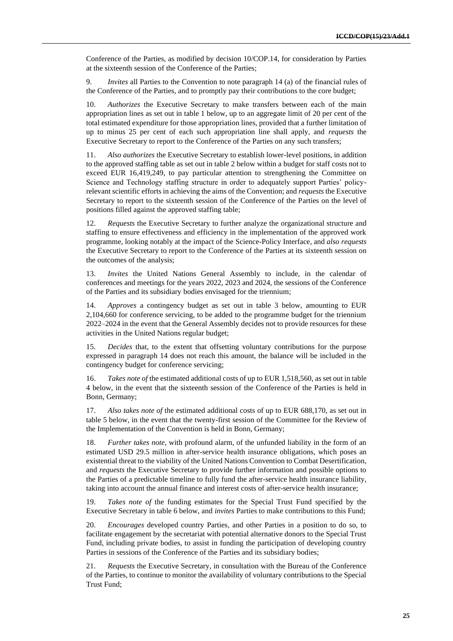Conference of the Parties, as modified by decision 10/COP.14, for consideration by Parties at the sixteenth session of the Conference of the Parties;

9. *Invites* all Parties to the Convention to note paragraph 14 (a) of the financial rules of the Conference of the Parties, and to promptly pay their contributions to the core budget;

10. *Authorizes* the Executive Secretary to make transfers between each of the main appropriation lines as set out in table 1 below, up to an aggregate limit of 20 per cent of the total estimated expenditure for those appropriation lines, provided that a further limitation of up to minus 25 per cent of each such appropriation line shall apply, and *requests* the Executive Secretary to report to the Conference of the Parties on any such transfers;

11. *Also authorizes* the Executive Secretary to establish lower-level positions, in addition to the approved staffing table as set out in table 2 below within a budget for staff costs not to exceed EUR 16,419,249, to pay particular attention to strengthening the Committee on Science and Technology staffing structure in order to adequately support Parties' policyrelevant scientific efforts in achieving the aims of the Convention; and *requests* the Executive Secretary to report to the sixteenth session of the Conference of the Parties on the level of positions filled against the approved staffing table;

12. *Requests* the Executive Secretary to further analyze the organizational structure and staffing to ensure effectiveness and efficiency in the implementation of the approved work programme, looking notably at the impact of the Science-Policy Interface, and *also requests* the Executive Secretary to report to the Conference of the Parties at its sixteenth session on the outcomes of the analysis;

13. *Invites* the United Nations General Assembly to include, in the calendar of conferences and meetings for the years 2022, 2023 and 2024, the sessions of the Conference of the Parties and its subsidiary bodies envisaged for the triennium;

14. *Approves* a contingency budget as set out in table 3 below, amounting to EUR 2,104,660 for conference servicing, to be added to the programme budget for the triennium 2022–2024 in the event that the General Assembly decides not to provide resources for these activities in the United Nations regular budget;

15. *Decides* that, to the extent that offsetting voluntary contributions for the purpose expressed in paragraph 14 does not reach this amount, the balance will be included in the contingency budget for conference servicing;

16. *Takes note of* the estimated additional costs of up to EUR 1,518,560, as set out in table 4 below, in the event that the sixteenth session of the Conference of the Parties is held in Bonn, Germany;

17. *Also takes note of* the estimated additional costs of up to EUR 688,170, as set out in table 5 below, in the event that the twenty-first session of the Committee for the Review of the Implementation of the Convention is held in Bonn, Germany;

18. *Further takes note*, with profound alarm, of the unfunded liability in the form of an estimated USD 29.5 million in after-service health insurance obligations, which poses an existential threat to the viability of the United Nations Convention to Combat Desertification, and *requests* the Executive Secretary to provide further information and possible options to the Parties of a predictable timeline to fully fund the after-service health insurance liability, taking into account the annual finance and interest costs of after-service health insurance;

19. *Takes note of* the funding estimates for the Special Trust Fund specified by the Executive Secretary in table 6 below, and *invites* Parties to make contributions to this Fund;

20. *Encourages* developed country Parties, and other Parties in a position to do so, to facilitate engagement by the secretariat with potential alternative donors to the Special Trust Fund, including private bodies, to assist in funding the participation of developing country Parties in sessions of the Conference of the Parties and its subsidiary bodies;

21. *Requests* the Executive Secretary, in consultation with the Bureau of the Conference of the Parties, to continue to monitor the availability of voluntary contributions to the Special Trust Fund;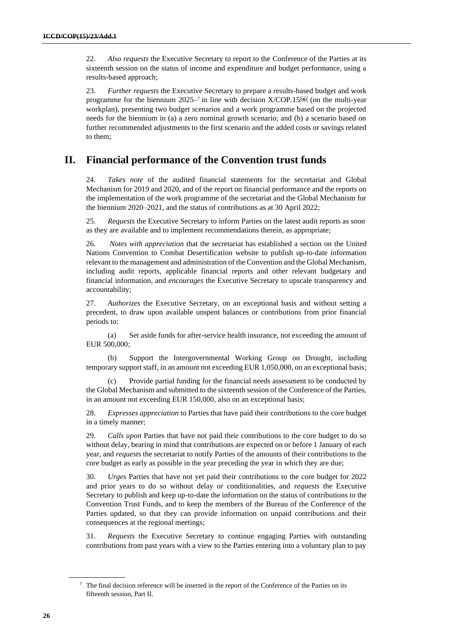22. *Also requests* the Executive Secretary to report to the Conference of the Parties at its sixteenth session on the status of income and expenditure and budget performance, using a results-based approach;

23. *Further requests* the Executive Secretary to prepare a results-based budget and work programme for the biennium  $2025^{-7}$  in line with decision  $X/COP.15\$ workplan), presenting two budget scenarios and a work programme based on the projected needs for the biennium in (a) a zero nominal growth scenario; and (b) a scenario based on further recommended adjustments to the first scenario and the added costs or savings related to them;

## **II. Financial performance of the Convention trust funds**

24. *Takes note* of the audited financial statements for the secretariat and Global Mechanism for 2019 and 2020, and of the report on financial performance and the reports on the implementation of the work programme of the secretariat and the Global Mechanism for the biennium 2020–2021, and the status of contributions as at 30 April 2022;

25. *Requests* the Executive Secretary to inform Parties on the latest audit reports as soon as they are available and to implement recommendations therein, as appropriate;

26. *Notes with appreciation* that the secretariat has established a section on the United Nations Convention to Combat Desertification website to publish up-to-date information relevant to the management and administration of the Convention and the Global Mechanism, including audit reports, applicable financial reports and other relevant budgetary and financial information, and *encourages* the Executive Secretary to upscale transparency and accountability;

27. *Authorizes* the Executive Secretary, on an exceptional basis and without setting a precedent, to draw upon available unspent balances or contributions from prior financial periods to:

(a) Set aside funds for after-service health insurance, not exceeding the amount of EUR 500,000;

(b) Support the Intergovernmental Working Group on Drought, including temporary support staff, in an amount not exceeding EUR 1,050,000, on an exceptional basis;

(c) Provide partial funding for the financial needs assessment to be conducted by the Global Mechanism and submitted to the sixteenth session of the Conference of the Parties, in an amount not exceeding EUR 150,000, also on an exceptional basis;

28. *Expresses appreciation* to Parties that have paid their contributions to the core budget in a timely manner;

29. *Calls upon* Parties that have not paid their contributions to the core budget to do so without delay, bearing in mind that contributions are expected on or before 1 January of each year, and *requests* the secretariat to notify Parties of the amounts of their contributions to the core budget as early as possible in the year preceding the year in which they are due;

30. *Urges* Parties that have not yet paid their contributions to the core budget for 2022 and prior years to do so without delay or conditionalities, and *requests* the Executive Secretary to publish and keep up-to-date the information on the status of contributions to the Convention Trust Funds, and to keep the members of the Bureau of the Conference of the Parties updated, so that they can provide information on unpaid contributions and their consequences at the regional meetings;

31. *Requests* the Executive Secretary to continue engaging Parties with outstanding contributions from past years with a view to the Parties entering into a voluntary plan to pay

 $\frac{7}{1}$  The final decision reference will be inserted in the report of the Conference of the Parties on its fifteenth session, Part II.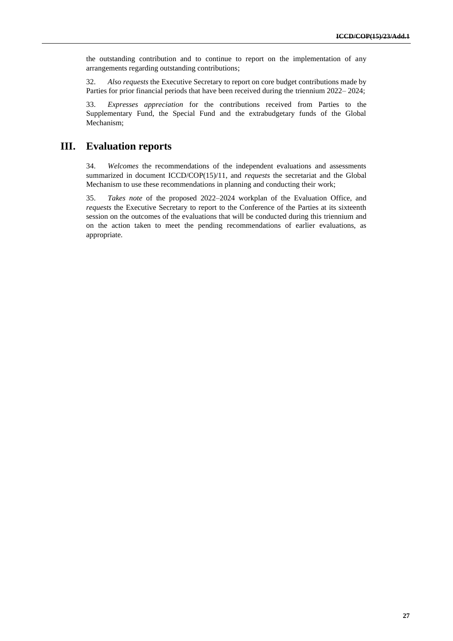the outstanding contribution and to continue to report on the implementation of any arrangements regarding outstanding contributions;

32. *Also requests* the Executive Secretary to report on core budget contributions made by Parties for prior financial periods that have been received during the triennium 2022– 2024;

33. *Expresses appreciation* for the contributions received from Parties to the Supplementary Fund, the Special Fund and the extrabudgetary funds of the Global Mechanism;

### **III. Evaluation reports**

34. *Welcomes* the recommendations of the independent evaluations and assessments summarized in document ICCD/COP(15)/11, and *requests* the secretariat and the Global Mechanism to use these recommendations in planning and conducting their work;

35. *Takes note* of the proposed 2022–2024 workplan of the Evaluation Office, and *requests* the Executive Secretary to report to the Conference of the Parties at its sixteenth session on the outcomes of the evaluations that will be conducted during this triennium and on the action taken to meet the pending recommendations of earlier evaluations, as appropriate.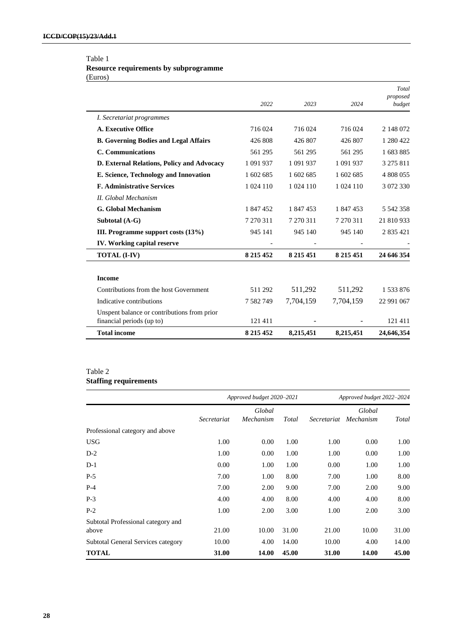#### Table 1 **Resource requirements by subprogramme** (Euros)

|                                              | 2022        | 2023          | 2024          | Total<br>proposed<br>budget |
|----------------------------------------------|-------------|---------------|---------------|-----------------------------|
| I. Secretariat programmes                    |             |               |               |                             |
| A. Executive Office                          | 716 024     | 716 024       | 716 024       | 2 148 072                   |
| <b>B. Governing Bodies and Legal Affairs</b> | 426 808     | 426 807       | 426 807       | 1 280 422                   |
| C. Communications                            | 561 295     | 561 295       | 561 295       | 1 683 885                   |
| D. External Relations, Policy and Advocacy   | 1 091 937   | 1 091 937     | 1 091 937     | 3 275 811                   |
| E. Science, Technology and Innovation        | 1 602 685   | 1 602 685     | 1 602 685     | 4 808 055                   |
| <b>F. Administrative Services</b>            | 1 0 24 1 10 | 1 0 24 1 10   | 1 024 110     | 3 072 330                   |
| II. Global Mechanism                         |             |               |               |                             |
| <b>G.</b> Global Mechanism                   | 1 847 452   | 1 847 453     | 1 847 453     | 5 542 358                   |
| Subtotal (A-G)                               | 7 270 311   | 7 270 311     | 7 270 311     | 21 810 933                  |
| III. Programme support costs $(13%)$         | 945 141     | 945 140       | 945 140       | 2 835 421                   |
| <b>IV. Working capital reserve</b>           |             |               |               |                             |
| <b>TOTAL (I-IV)</b>                          | 8 215 452   | 8 2 1 5 4 5 1 | 8 2 1 5 4 5 1 | 24 646 354                  |
| <b>Income</b>                                |             |               |               |                             |
| Contributions from the host Government       | 511 292     | 511,292       | 511,292       | 1 533 876                   |
| Indicative contributions                     | 7 582 749   | 7,704,159     | 7,704,159     | 22 991 067                  |
| Unspent balance or contributions from prior  |             |               |               |                             |
| financial periods (up to)                    | 121 411     |               |               | 121 411                     |
| <b>Total income</b>                          | 8 215 452   | 8,215,451     | 8,215,451     | 24,646,354                  |

#### Table 2 **Staffing requirements**

|                                    | Approved budget 2020–2021 |           | Approved budget 2022-2024 |             |           |       |
|------------------------------------|---------------------------|-----------|---------------------------|-------------|-----------|-------|
|                                    | Global                    |           | Global                    |             |           |       |
|                                    | Secretariat               | Mechanism | Total                     | Secretariat | Mechanism | Total |
| Professional category and above    |                           |           |                           |             |           |       |
| <b>USG</b>                         | 1.00                      | 0.00      | 1.00                      | 1.00        | 0.00      | 1.00  |
| $D-2$                              | 1.00                      | 0.00      | 1.00                      | 1.00        | 0.00      | 1.00  |
| $D-1$                              | 0.00                      | 1.00      | 1.00                      | 0.00        | 1.00      | 1.00  |
| $P-5$                              | 7.00                      | 1.00      | 8.00                      | 7.00        | 1.00      | 8.00  |
| $P-4$                              | 7.00                      | 2.00      | 9.00                      | 7.00        | 2.00      | 9.00  |
| $P-3$                              | 4.00                      | 4.00      | 8.00                      | 4.00        | 4.00      | 8.00  |
| $P-2$                              | 1.00                      | 2.00      | 3.00                      | 1.00        | 2.00      | 3.00  |
| Subtotal Professional category and |                           |           |                           |             |           |       |
| above                              | 21.00                     | 10.00     | 31.00                     | 21.00       | 10.00     | 31.00 |
| Subtotal General Services category | 10.00                     | 4.00      | 14.00                     | 10.00       | 4.00      | 14.00 |
| <b>TOTAL</b>                       | 31.00                     | 14.00     | 45.00                     | 31.00       | 14.00     | 45.00 |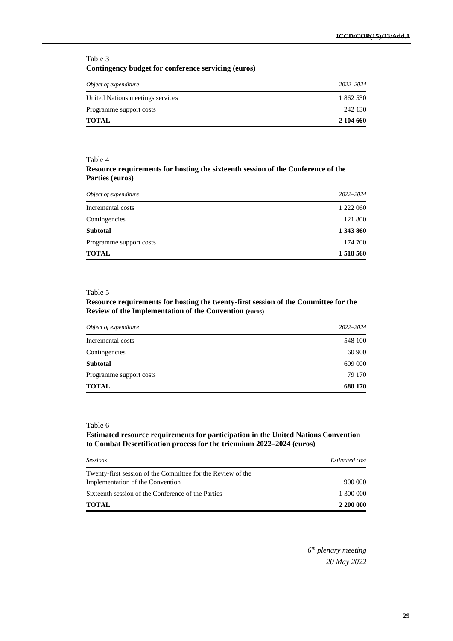#### Table 3

**Contingency budget for conference servicing (euros)**

| Object of expenditure            | 2022-2024 |
|----------------------------------|-----------|
| United Nations meetings services | 1 862 530 |
| Programme support costs          | 242 130   |
| <b>TOTAL</b>                     | 2 104 660 |

#### Table 4

#### **Resource requirements for hosting the sixteenth session of the Conference of the Parties (euros)**

| Object of expenditure   | 2022-2024 |
|-------------------------|-----------|
| Incremental costs       | 1 222 060 |
| Contingencies           | 121 800   |
| <b>Subtotal</b>         | 1 343 860 |
| Programme support costs | 174 700   |
| <b>TOTAL</b>            | 1518560   |

#### Table 5

#### **Resource requirements for hosting the twenty-first session of the Committee for the Review of the Implementation of the Convention (euros)**

| Object of expenditure   | 2022-2024 |
|-------------------------|-----------|
| Incremental costs       | 548 100   |
| Contingencies           | 60 900    |
| <b>Subtotal</b>         | 609 000   |
| Programme support costs | 79 170    |
| <b>TOTAL</b>            | 688 170   |

#### Table 6

#### **Estimated resource requirements for participation in the United Nations Convention to Combat Desertification process for the triennium 2022–2024 (euros)**

| <b>Sessions</b>                                                                                 | Estimated cost |
|-------------------------------------------------------------------------------------------------|----------------|
| Twenty-first session of the Committee for the Review of the<br>Implementation of the Convention | 900 000        |
| Sixteenth session of the Conference of the Parties                                              | 1 300 000      |
| <b>TOTAL</b>                                                                                    | 2 200 000      |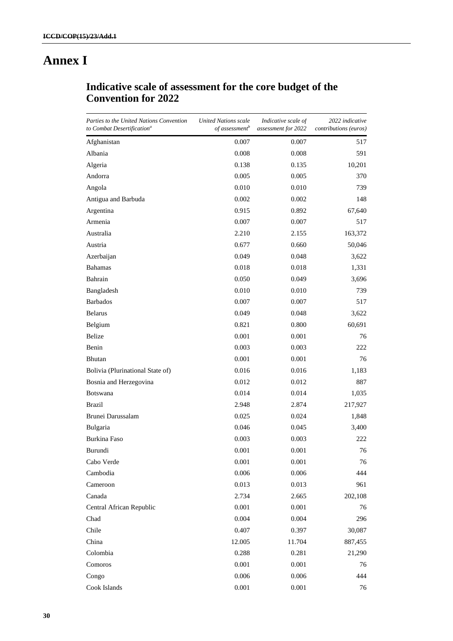# **Annex I**

## **Indicative scale of assessment for the core budget of the Convention for 2022**

| Parties to the United Nations Convention<br>to Combat Desertification <sup>a</sup> | United Nations scale<br>of assessment <sup>b</sup> | Indicative scale of<br>assessment for 2022 | 2022 indicative<br>contributions (euros) |
|------------------------------------------------------------------------------------|----------------------------------------------------|--------------------------------------------|------------------------------------------|
| Afghanistan                                                                        | 0.007                                              | 0.007                                      | 517                                      |
| Albania                                                                            | 0.008                                              | 0.008                                      | 591                                      |
| Algeria                                                                            | 0.138                                              | 0.135                                      | 10,201                                   |
| Andorra                                                                            | 0.005                                              | 0.005                                      | 370                                      |
| Angola                                                                             | 0.010                                              | 0.010                                      | 739                                      |
| Antigua and Barbuda                                                                | 0.002                                              | 0.002                                      | 148                                      |
| Argentina                                                                          | 0.915                                              | 0.892                                      | 67,640                                   |
| Armenia                                                                            | 0.007                                              | 0.007                                      | 517                                      |
| Australia                                                                          | 2.210                                              | 2.155                                      | 163,372                                  |
| Austria                                                                            | 0.677                                              | 0.660                                      | 50,046                                   |
| Azerbaijan                                                                         | 0.049                                              | 0.048                                      | 3,622                                    |
| <b>Bahamas</b>                                                                     | 0.018                                              | 0.018                                      | 1,331                                    |
| Bahrain                                                                            | 0.050                                              | 0.049                                      | 3,696                                    |
| Bangladesh                                                                         | 0.010                                              | 0.010                                      | 739                                      |
| <b>Barbados</b>                                                                    | 0.007                                              | 0.007                                      | 517                                      |
| <b>Belarus</b>                                                                     | 0.049                                              | 0.048                                      | 3,622                                    |
| Belgium                                                                            | 0.821                                              | 0.800                                      | 60,691                                   |
| Belize                                                                             | 0.001                                              | 0.001                                      | 76                                       |
| Benin                                                                              | 0.003                                              | 0.003                                      | 222                                      |
| <b>Bhutan</b>                                                                      | 0.001                                              | 0.001                                      | 76                                       |
| Bolivia (Plurinational State of)                                                   | 0.016                                              | 0.016                                      | 1,183                                    |
| Bosnia and Herzegovina                                                             | 0.012                                              | 0.012                                      | 887                                      |
| <b>Botswana</b>                                                                    | 0.014                                              | 0.014                                      | 1,035                                    |
| Brazil                                                                             | 2.948                                              | 2.874                                      | 217,927                                  |
| Brunei Darussalam                                                                  | 0.025                                              | 0.024                                      | 1,848                                    |
| Bulgaria                                                                           | 0.046                                              | 0.045                                      | 3,400                                    |
| Burkina Faso                                                                       | 0.003                                              | 0.003                                      | 222                                      |
| Burundi                                                                            | 0.001                                              | 0.001                                      | 76                                       |
| Cabo Verde                                                                         | 0.001                                              | 0.001                                      | 76                                       |
| Cambodia                                                                           | 0.006                                              | 0.006                                      | 444                                      |
| Cameroon                                                                           | 0.013                                              | 0.013                                      | 961                                      |
| Canada                                                                             | 2.734                                              | 2.665                                      | 202,108                                  |
| Central African Republic                                                           | 0.001                                              | 0.001                                      | 76                                       |
| Chad                                                                               | 0.004                                              | 0.004                                      | 296                                      |
| Chile                                                                              | 0.407                                              | 0.397                                      | 30,087                                   |
| China                                                                              | 12.005                                             | 11.704                                     | 887,455                                  |
| Colombia                                                                           | 0.288                                              | 0.281                                      | 21,290                                   |
| Comoros                                                                            | 0.001                                              | 0.001                                      | 76                                       |
| Congo                                                                              | 0.006                                              | 0.006                                      | 444                                      |
| Cook Islands                                                                       | 0.001                                              | 0.001                                      | $76\,$                                   |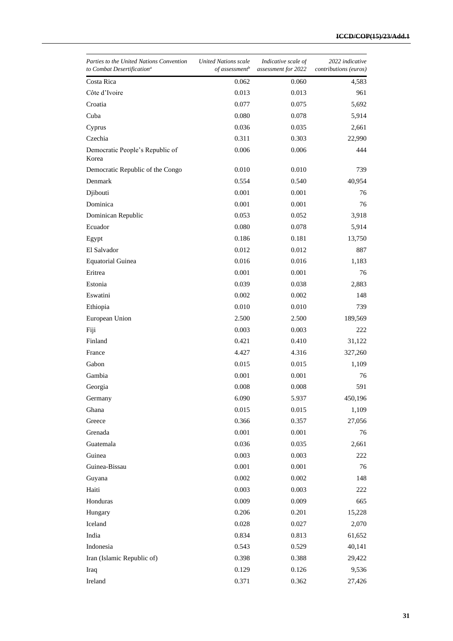| Parties to the United Nations Convention<br>to Combat Desertification <sup>a</sup> | United Nations scale<br>of assessment <sup>b</sup> | Indicative scale of<br>assessment for 2022 | 2022 indicative<br><i>contributions</i> ( <i>euros</i> ) |
|------------------------------------------------------------------------------------|----------------------------------------------------|--------------------------------------------|----------------------------------------------------------|
| Costa Rica                                                                         | 0.062                                              | 0.060                                      | 4,583                                                    |
| Côte d'Ivoire                                                                      | 0.013                                              | 0.013                                      | 961                                                      |
| Croatia                                                                            | 0.077                                              | 0.075                                      | 5,692                                                    |
| Cuba                                                                               | 0.080                                              | 0.078                                      | 5,914                                                    |
| Cyprus                                                                             | 0.036                                              | 0.035                                      | 2,661                                                    |
| Czechia                                                                            | 0.311                                              | 0.303                                      | 22,990                                                   |
| Democratic People's Republic of<br>Korea                                           | 0.006                                              | 0.006                                      | 444                                                      |
| Democratic Republic of the Congo                                                   | 0.010                                              | 0.010                                      | 739                                                      |
| Denmark                                                                            | 0.554                                              | 0.540                                      | 40,954                                                   |
| Djibouti                                                                           | 0.001                                              | 0.001                                      | 76                                                       |
| Dominica                                                                           | 0.001                                              | 0.001                                      | 76                                                       |
| Dominican Republic                                                                 | 0.053                                              | 0.052                                      | 3,918                                                    |
| Ecuador                                                                            | 0.080                                              | 0.078                                      | 5,914                                                    |
| Egypt                                                                              | 0.186                                              | 0.181                                      | 13,750                                                   |
| El Salvador                                                                        | 0.012                                              | 0.012                                      | 887                                                      |
| <b>Equatorial Guinea</b>                                                           | 0.016                                              | 0.016                                      | 1,183                                                    |
| Eritrea                                                                            | 0.001                                              | 0.001                                      | 76                                                       |
| Estonia                                                                            | 0.039                                              | 0.038                                      | 2,883                                                    |
| Eswatini                                                                           | 0.002                                              | 0.002                                      | 148                                                      |
| Ethiopia                                                                           | 0.010                                              | 0.010                                      | 739                                                      |
| European Union                                                                     | 2.500                                              | 2.500                                      | 189,569                                                  |
| Fiji                                                                               | 0.003                                              | 0.003                                      | 222                                                      |
| Finland                                                                            | 0.421                                              | 0.410                                      | 31,122                                                   |
| France                                                                             | 4.427                                              | 4.316                                      | 327,260                                                  |
| Gabon                                                                              | 0.015                                              | 0.015                                      | 1,109                                                    |
| Gambia                                                                             | 0.001                                              | 0.001                                      | 76                                                       |
| Georgia                                                                            | 0.008                                              | 0.008                                      | 591                                                      |
| Germany                                                                            | 6.090                                              | 5.937                                      | 450,196                                                  |
| Ghana                                                                              | 0.015                                              | 0.015                                      | 1,109                                                    |
| Greece                                                                             | 0.366                                              | 0.357                                      | 27,056                                                   |
| Grenada                                                                            | 0.001                                              | 0.001                                      | 76                                                       |
| Guatemala                                                                          | 0.036                                              | 0.035                                      | 2,661                                                    |
| Guinea                                                                             | 0.003                                              | 0.003                                      | 222                                                      |
| Guinea-Bissau                                                                      | 0.001                                              | 0.001                                      | 76                                                       |
| Guyana                                                                             | 0.002                                              | 0.002                                      | 148                                                      |
| Haiti                                                                              | 0.003                                              | 0.003                                      | 222                                                      |
| Honduras                                                                           | 0.009                                              | 0.009                                      | 665                                                      |
| Hungary                                                                            | 0.206                                              | 0.201                                      | 15,228                                                   |
| Iceland                                                                            | 0.028                                              | 0.027                                      | 2,070                                                    |
| India                                                                              | 0.834                                              | 0.813                                      | 61,652                                                   |
| Indonesia                                                                          | 0.543                                              | 0.529                                      | 40,141                                                   |
| Iran (Islamic Republic of)                                                         | 0.398                                              | 0.388                                      | 29,422                                                   |
| Iraq                                                                               | 0.129                                              | 0.126                                      | 9,536                                                    |
| Ireland                                                                            | 0.371                                              | 0.362                                      | 27,426                                                   |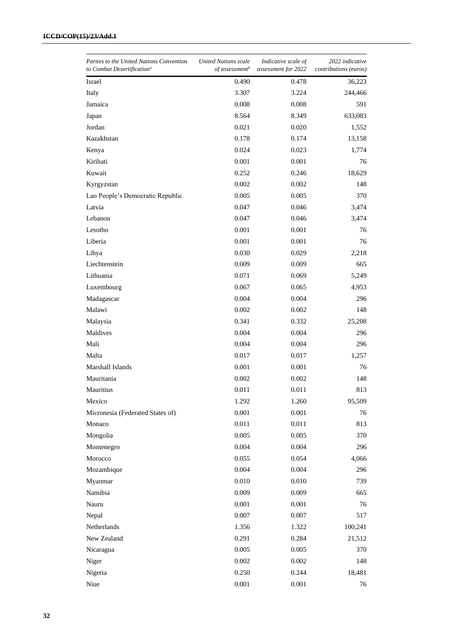| Parties to the United Nations Convention<br>to Combat Desertification <sup>a</sup> | United Nations scale<br>of assessment <sup>b</sup> | Indicative scale of<br>assessment for 2022 | 2022 indicative<br><i>contributions</i> ( <i>euros</i> ) |
|------------------------------------------------------------------------------------|----------------------------------------------------|--------------------------------------------|----------------------------------------------------------|
| Israel                                                                             | 0.490                                              | 0.478                                      | 36,223                                                   |
| Italy                                                                              | 3.307                                              | 3.224                                      | 244,466                                                  |
| Jamaica                                                                            | 0.008                                              | 0.008                                      | 591                                                      |
| Japan                                                                              | 8.564                                              | 8.349                                      | 633,083                                                  |
| Jordan                                                                             | 0.021                                              | 0.020                                      | 1,552                                                    |
| Kazakhstan                                                                         | 0.178                                              | 0.174                                      | 13,158                                                   |
| Kenya                                                                              | 0.024                                              | 0.023                                      | 1,774                                                    |
| Kiribati                                                                           | 0.001                                              | 0.001                                      | 76                                                       |
| Kuwait                                                                             | 0.252                                              | 0.246                                      | 18,629                                                   |
| Kyrgyzstan                                                                         | 0.002                                              | 0.002                                      | 148                                                      |
| Lao People's Democratic Republic                                                   | 0.005                                              | 0.005                                      | 370                                                      |
| Latvia                                                                             | 0.047                                              | 0.046                                      | 3,474                                                    |
| Lebanon                                                                            | 0.047                                              | 0.046                                      | 3,474                                                    |
| Lesotho                                                                            | 0.001                                              | 0.001                                      | 76                                                       |
| Liberia                                                                            | 0.001                                              | 0.001                                      | 76                                                       |
| Libya                                                                              | 0.030                                              | 0.029                                      | 2,218                                                    |
| Liechtenstein                                                                      | 0.009                                              | 0.009                                      | 665                                                      |
| Lithuania                                                                          | 0.071                                              | 0.069                                      | 5,249                                                    |
| Luxembourg                                                                         | 0.067                                              | 0.065                                      | 4,953                                                    |
| Madagascar                                                                         | 0.004                                              | 0.004                                      | 296                                                      |
| Malawi                                                                             | 0.002                                              | 0.002                                      | 148                                                      |
| Malaysia                                                                           | 0.341                                              | 0.332                                      | 25,208                                                   |
| Maldives                                                                           | 0.004                                              | 0.004                                      | 296                                                      |
| Mali                                                                               | 0.004                                              | 0.004                                      | 296                                                      |
| Malta                                                                              | 0.017                                              | 0.017                                      | 1,257                                                    |
| Marshall Islands                                                                   | 0.001                                              | 0.001                                      | 76                                                       |
| Mauritania                                                                         | 0.002                                              | 0.002                                      | 148                                                      |
| Mauritius                                                                          | 0.011                                              | 0.011                                      | 813                                                      |
| Mexico                                                                             | 1.292                                              | 1.260                                      | 95,509                                                   |
| Micronesia (Federated States of)                                                   | 0.001                                              | 0.001                                      | 76                                                       |
| Monaco                                                                             | 0.011                                              | 0.011                                      | 813                                                      |
| Mongolia                                                                           | 0.005                                              | 0.005                                      | 370                                                      |
| Montenegro                                                                         | 0.004                                              | 0.004                                      | 296                                                      |
| Morocco                                                                            | 0.055                                              | 0.054                                      | 4,066                                                    |
| Mozambique                                                                         | 0.004                                              | 0.004                                      | 296                                                      |
| Myanmar                                                                            | 0.010                                              | 0.010                                      | 739                                                      |
| Namibia                                                                            | 0.009                                              | 0.009                                      | 665                                                      |
| Nauru                                                                              | 0.001                                              | 0.001                                      | 76                                                       |
| Nepal                                                                              | 0.007                                              | 0.007                                      | 517                                                      |
| Netherlands                                                                        | 1.356                                              | 1.322                                      | 100,241                                                  |
| New Zealand                                                                        | 0.291                                              | 0.284                                      | 21,512                                                   |
| Nicaragua                                                                          | 0.005                                              | 0.005                                      | 370                                                      |
| Niger                                                                              | 0.002                                              | 0.002                                      | 148                                                      |
| Nigeria                                                                            | 0.250                                              | 0.244                                      | 18,481                                                   |
| Niue                                                                               | 0.001                                              | 0.001                                      | 76                                                       |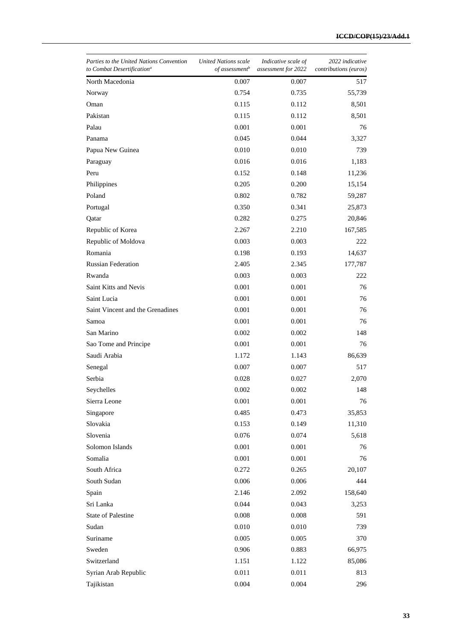| Parties to the United Nations Convention<br>to Combat Desertification <sup>a</sup> | <b>United Nations scale</b><br>of assessment <sup>b</sup> | Indicative scale of<br>assessment for 2022 | 2022 indicative<br><i>contributions</i> ( <i>euros</i> ) |
|------------------------------------------------------------------------------------|-----------------------------------------------------------|--------------------------------------------|----------------------------------------------------------|
| North Macedonia                                                                    | 0.007                                                     | 0.007                                      | 517                                                      |
| Norway                                                                             | 0.754                                                     | 0.735                                      | 55,739                                                   |
| Oman                                                                               | 0.115                                                     | 0.112                                      | 8,501                                                    |
| Pakistan                                                                           | 0.115                                                     | 0.112                                      | 8,501                                                    |
| Palau                                                                              | 0.001                                                     | 0.001                                      | 76                                                       |
| Panama                                                                             | 0.045                                                     | 0.044                                      | 3,327                                                    |
| Papua New Guinea                                                                   | 0.010                                                     | 0.010                                      | 739                                                      |
| Paraguay                                                                           | 0.016                                                     | 0.016                                      | 1,183                                                    |
| Peru                                                                               | 0.152                                                     | 0.148                                      | 11,236                                                   |
| Philippines                                                                        | 0.205                                                     | 0.200                                      | 15,154                                                   |
| Poland                                                                             | 0.802                                                     | 0.782                                      | 59,287                                                   |
| Portugal                                                                           | 0.350                                                     | 0.341                                      | 25,873                                                   |
| Qatar                                                                              | 0.282                                                     | 0.275                                      | 20,846                                                   |
| Republic of Korea                                                                  | 2.267                                                     | 2.210                                      | 167,585                                                  |
| Republic of Moldova                                                                | 0.003                                                     | 0.003                                      | 222                                                      |
| Romania                                                                            | 0.198                                                     | 0.193                                      | 14,637                                                   |
| <b>Russian Federation</b>                                                          | 2.405                                                     | 2.345                                      | 177,787                                                  |
| Rwanda                                                                             | 0.003                                                     | 0.003                                      | 222                                                      |
| Saint Kitts and Nevis                                                              | 0.001                                                     | 0.001                                      | 76                                                       |
| Saint Lucia                                                                        | 0.001                                                     | 0.001                                      | 76                                                       |
| Saint Vincent and the Grenadines                                                   | 0.001                                                     | 0.001                                      | 76                                                       |
| Samoa                                                                              | 0.001                                                     | 0.001                                      | 76                                                       |
| San Marino                                                                         | 0.002                                                     | 0.002                                      | 148                                                      |
| Sao Tome and Principe                                                              | 0.001                                                     | 0.001                                      | 76                                                       |
| Saudi Arabia                                                                       | 1.172                                                     | 1.143                                      | 86,639                                                   |
| Senegal                                                                            | 0.007                                                     | 0.007                                      | 517                                                      |
| Serbia                                                                             | 0.028                                                     | 0.027                                      | 2,070                                                    |
| Seychelles                                                                         | 0.002                                                     | 0.002                                      | 148                                                      |
| Sierra Leone                                                                       | 0.001                                                     | 0.001                                      | 76                                                       |
| Singapore                                                                          | 0.485                                                     | 0.473                                      | 35,853                                                   |
| Slovakia                                                                           | 0.153                                                     | 0.149                                      | 11,310                                                   |
| Slovenia                                                                           | 0.076                                                     | 0.074                                      | 5,618                                                    |
| Solomon Islands                                                                    | 0.001                                                     | 0.001                                      | 76                                                       |
| Somalia                                                                            | 0.001                                                     | 0.001                                      | 76                                                       |
| South Africa                                                                       | 0.272                                                     | 0.265                                      | 20,107                                                   |
| South Sudan                                                                        | 0.006                                                     | 0.006                                      | 444                                                      |
| Spain                                                                              | 2.146                                                     | 2.092                                      | 158,640                                                  |
| Sri Lanka                                                                          | 0.044                                                     | 0.043                                      | 3,253                                                    |
| <b>State of Palestine</b>                                                          | $0.008\,$                                                 | $0.008\,$                                  | 591                                                      |
| Sudan                                                                              | 0.010                                                     | 0.010                                      | 739                                                      |
| Suriname                                                                           | 0.005                                                     | 0.005                                      | 370                                                      |
| Sweden                                                                             | 0.906                                                     | 0.883                                      | 66,975                                                   |
| Switzerland                                                                        | 1.151                                                     | 1.122                                      | 85,086                                                   |
| Syrian Arab Republic                                                               | 0.011                                                     | 0.011                                      | 813                                                      |
| Tajikistan                                                                         | 0.004                                                     | 0.004                                      | 296                                                      |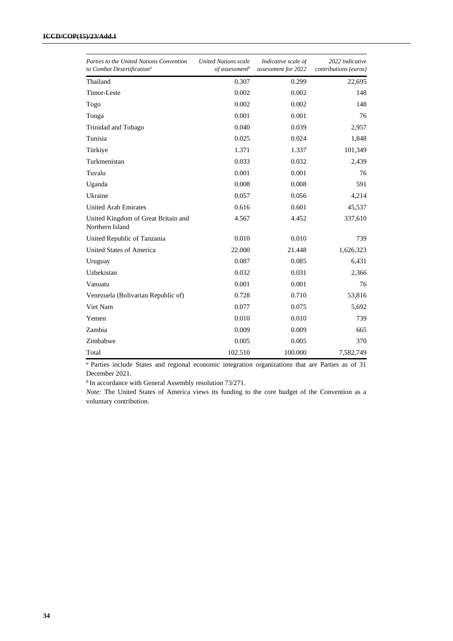| Parties to the United Nations Convention<br>to Combat Desertification <sup>a</sup> | United Nations scale<br>of assessment <sup>b</sup> | Indicative scale of<br>assessment for 2022 | 2022 indicative<br>contributions (euros) |
|------------------------------------------------------------------------------------|----------------------------------------------------|--------------------------------------------|------------------------------------------|
| Thailand                                                                           | 0.307                                              | 0.299                                      | 22,695                                   |
| Timor-Leste                                                                        | 0.002                                              | 0.002                                      | 148                                      |
| Togo                                                                               | 0.002                                              | 0.002                                      | 148                                      |
| Tonga                                                                              | 0.001                                              | 0.001                                      | 76                                       |
| Trinidad and Tobago                                                                | 0.040                                              | 0.039                                      | 2,957                                    |
| Tunisia                                                                            | 0.025                                              | 0.024                                      | 1,848                                    |
| Türkiye                                                                            | 1.371                                              | 1.337                                      | 101,349                                  |
| Turkmenistan                                                                       | 0.033                                              | 0.032                                      | 2,439                                    |
| Tuvalu                                                                             | 0.001                                              | 0.001                                      | 76                                       |
| Uganda                                                                             | 0.008                                              | 0.008                                      | 591                                      |
| Ukraine                                                                            | 0.057                                              | 0.056                                      | 4,214                                    |
| <b>United Arab Emirates</b>                                                        | 0.616                                              | 0.601                                      | 45,537                                   |
| United Kingdom of Great Britain and<br>Northern Island                             | 4.567                                              | 4.452                                      | 337,610                                  |
| United Republic of Tanzania                                                        | 0.010                                              | 0.010                                      | 739                                      |
| United States of America                                                           | 22.000                                             | 21.448                                     | 1,626,323                                |
| Uruguay                                                                            | 0.087                                              | 0.085                                      | 6,431                                    |
| Uzbekistan                                                                         | 0.032                                              | 0.031                                      | 2,366                                    |
| Vanuatu                                                                            | 0.001                                              | 0.001                                      | 76                                       |
| Venezuela (Bolivarian Republic of)                                                 | 0.728                                              | 0.710                                      | 53,816                                   |
| Viet Nam                                                                           | 0.077                                              | 0.075                                      | 5,692                                    |
| Yemen                                                                              | 0.010                                              | 0.010                                      | 739                                      |
| Zambia                                                                             | 0.009                                              | 0.009                                      | 665                                      |
| Zimbabwe                                                                           | 0.005                                              | 0.005                                      | 370                                      |
| Total                                                                              | 102.510                                            | 100.000                                    | 7,582,749                                |

*<sup>a</sup>* Parties include States and regional economic integration organizations that are Parties as of 31 December 2021.

*b* In accordance with General Assembly resolution 73/271.

*Note:* The United States of America views its funding to the core budget of the Convention as a voluntary contribution.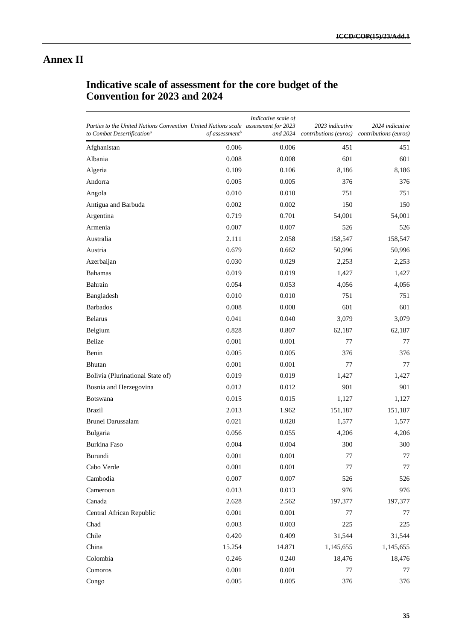## **Annex II**

## **Indicative scale of assessment for the core budget of the Convention for 2023 and 2024**

| Parties to the United Nations Convention United Nations scale assessment for 2023<br>to Combat Desertification <sup>a</sup> | of assessment <sup>b</sup> | Indicative scale of<br>and 2024 | 2023 indicative<br>contributions (euros) | 2024 indicative<br>contributions (euros) |
|-----------------------------------------------------------------------------------------------------------------------------|----------------------------|---------------------------------|------------------------------------------|------------------------------------------|
| Afghanistan                                                                                                                 | 0.006                      | 0.006                           | 451                                      | 451                                      |
| Albania                                                                                                                     | 0.008                      | 0.008                           | 601                                      | 601                                      |
| Algeria                                                                                                                     | 0.109                      | 0.106                           | 8,186                                    | 8,186                                    |
| Andorra                                                                                                                     | 0.005                      | 0.005                           | 376                                      | 376                                      |
| Angola                                                                                                                      | 0.010                      | 0.010                           | 751                                      | 751                                      |
| Antigua and Barbuda                                                                                                         | 0.002                      | 0.002                           | 150                                      | 150                                      |
| Argentina                                                                                                                   | 0.719                      | 0.701                           | 54,001                                   | 54,001                                   |
| Armenia                                                                                                                     | 0.007                      | 0.007                           | 526                                      | 526                                      |
| Australia                                                                                                                   | 2.111                      | 2.058                           | 158,547                                  | 158,547                                  |
| Austria                                                                                                                     | 0.679                      | 0.662                           | 50,996                                   | 50,996                                   |
| Azerbaijan                                                                                                                  | 0.030                      | 0.029                           | 2,253                                    | 2,253                                    |
| <b>Bahamas</b>                                                                                                              | 0.019                      | 0.019                           | 1,427                                    | 1,427                                    |
| Bahrain                                                                                                                     | 0.054                      | 0.053                           | 4,056                                    | 4,056                                    |
| Bangladesh                                                                                                                  | 0.010                      | 0.010                           | 751                                      | 751                                      |
| <b>Barbados</b>                                                                                                             | 0.008                      | 0.008                           | 601                                      | 601                                      |
| <b>Belarus</b>                                                                                                              | 0.041                      | 0.040                           | 3,079                                    | 3,079                                    |
| Belgium                                                                                                                     | 0.828                      | 0.807                           | 62,187                                   | 62,187                                   |
| Belize                                                                                                                      | 0.001                      | 0.001                           | 77                                       | 77                                       |
| Benin                                                                                                                       | 0.005                      | 0.005                           | 376                                      | 376                                      |
| Bhutan                                                                                                                      | 0.001                      | 0.001                           | 77                                       | 77                                       |
| Bolivia (Plurinational State of)                                                                                            | 0.019                      | 0.019                           | 1,427                                    | 1,427                                    |
| Bosnia and Herzegovina                                                                                                      | 0.012                      | 0.012                           | 901                                      | 901                                      |
| Botswana                                                                                                                    | 0.015                      | 0.015                           | 1,127                                    | 1,127                                    |
| Brazil                                                                                                                      | 2.013                      | 1.962                           | 151,187                                  | 151,187                                  |
| Brunei Darussalam                                                                                                           | 0.021                      | 0.020                           | 1,577                                    | 1,577                                    |
| Bulgaria                                                                                                                    | 0.056                      | 0.055                           | 4,206                                    | 4,206                                    |
| Burkina Faso                                                                                                                | 0.004                      | 0.004                           | 300                                      | 300                                      |
| Burundi                                                                                                                     | $0.001\,$                  | $0.001\,$                       | $77 \,$                                  | $77\,$                                   |
| Cabo Verde                                                                                                                  | 0.001                      | 0.001                           | 77                                       | 77                                       |
| Cambodia                                                                                                                    | 0.007                      | 0.007                           | 526                                      | 526                                      |
| Cameroon                                                                                                                    | 0.013                      | 0.013                           | 976                                      | 976                                      |
| Canada                                                                                                                      | 2.628                      | 2.562                           | 197,377                                  | 197,377                                  |
| Central African Republic                                                                                                    | 0.001                      | 0.001                           | 77                                       | 77                                       |
| Chad                                                                                                                        | 0.003                      | 0.003                           | 225                                      | 225                                      |
| Chile                                                                                                                       | 0.420                      | 0.409                           | 31,544                                   | 31,544                                   |
| China                                                                                                                       | 15.254                     | 14.871                          | 1,145,655                                | 1,145,655                                |
| Colombia                                                                                                                    | 0.246                      | 0.240                           | 18,476                                   | 18,476                                   |
| Comoros                                                                                                                     | 0.001                      | 0.001                           | 77                                       | 77                                       |
| Congo                                                                                                                       | 0.005                      | 0.005                           | 376                                      | 376                                      |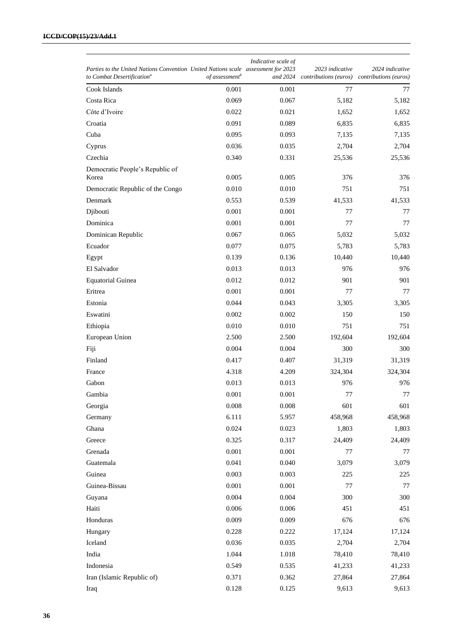| Parties to the United Nations Convention United Nations scale assessment for 2023<br>to Combat Desertification <sup>a</sup> | of assessment <sup>b</sup> | Indicative scale of | 2023 indicative<br>and 2024 contributions (euros) contributions (euros) | 2024 indicative |
|-----------------------------------------------------------------------------------------------------------------------------|----------------------------|---------------------|-------------------------------------------------------------------------|-----------------|
| Cook Islands                                                                                                                | 0.001                      | 0.001               | 77                                                                      | 77              |
| Costa Rica                                                                                                                  | 0.069                      | 0.067               | 5,182                                                                   | 5,182           |
| Côte d'Ivoire                                                                                                               | 0.022                      | 0.021               | 1,652                                                                   | 1,652           |
| Croatia                                                                                                                     | 0.091                      | 0.089               | 6,835                                                                   | 6,835           |
| Cuba                                                                                                                        | 0.095                      | 0.093               | 7,135                                                                   | 7,135           |
| Cyprus                                                                                                                      | 0.036                      | 0.035               | 2,704                                                                   | 2,704           |
| Czechia                                                                                                                     | 0.340                      | 0.331               | 25,536                                                                  | 25,536          |
| Democratic People's Republic of<br>Korea                                                                                    | 0.005                      | 0.005               | 376                                                                     | 376             |
| Democratic Republic of the Congo                                                                                            | 0.010                      | 0.010               | 751                                                                     | 751             |
| Denmark                                                                                                                     | 0.553                      | 0.539               | 41,533                                                                  | 41,533          |
| Djibouti                                                                                                                    | 0.001                      | 0.001               | 77                                                                      | 77              |
| Dominica                                                                                                                    | 0.001                      | 0.001               | 77                                                                      | 77              |
| Dominican Republic                                                                                                          | 0.067                      | 0.065               | 5,032                                                                   | 5,032           |
| Ecuador                                                                                                                     | 0.077                      | 0.075               | 5,783                                                                   | 5,783           |
| Egypt                                                                                                                       | 0.139                      | 0.136               | 10,440                                                                  | 10,440          |
| El Salvador                                                                                                                 | 0.013                      | 0.013               | 976                                                                     | 976             |
| <b>Equatorial Guinea</b>                                                                                                    | 0.012                      | 0.012               | 901                                                                     | 901             |
| Eritrea                                                                                                                     | 0.001                      | 0.001               | 77                                                                      | 77              |
| Estonia                                                                                                                     | 0.044                      | 0.043               | 3,305                                                                   | 3,305           |
| Eswatini                                                                                                                    | 0.002                      | 0.002               | 150                                                                     | 150             |
| Ethiopia                                                                                                                    | 0.010                      | 0.010               | 751                                                                     | 751             |
| European Union                                                                                                              | 2.500                      | 2.500               | 192,604                                                                 | 192,604         |
| Fiji                                                                                                                        | 0.004                      | 0.004               | 300                                                                     | 300             |
| Finland                                                                                                                     | 0.417                      | 0.407               | 31,319                                                                  | 31,319          |
| France                                                                                                                      | 4.318                      | 4.209               | 324,304                                                                 | 324,304         |
| Gabon                                                                                                                       | 0.013                      | 0.013               | 976                                                                     | 976             |
| Gambia                                                                                                                      | $0.001\,$                  | 0.001               | 77                                                                      | 77              |
| Georgia                                                                                                                     | 0.008                      | 0.008               | 601                                                                     | 601             |
| Germany                                                                                                                     | 6.111                      | 5.957               | 458,968                                                                 | 458,968         |
| Ghana                                                                                                                       | 0.024                      | 0.023               | 1,803                                                                   | 1,803           |
| Greece                                                                                                                      | 0.325                      | 0.317               | 24,409                                                                  | 24,409          |
| Grenada                                                                                                                     | 0.001                      | 0.001               | 77                                                                      | 77              |
| Guatemala                                                                                                                   | 0.041                      | 0.040               | 3,079                                                                   | 3,079           |
| Guinea                                                                                                                      | 0.003                      | 0.003               | 225                                                                     | 225             |
| Guinea-Bissau                                                                                                               | 0.001                      | 0.001               | 77                                                                      | 77              |
| Guyana                                                                                                                      | 0.004                      | 0.004               | 300                                                                     | 300             |
| Haiti                                                                                                                       | 0.006                      | 0.006               | 451                                                                     | 451             |
| Honduras                                                                                                                    | 0.009                      | 0.009               | 676                                                                     | 676             |
| Hungary                                                                                                                     | 0.228                      | 0.222               | 17,124                                                                  | 17,124          |
| Iceland                                                                                                                     | 0.036                      | 0.035               | 2,704                                                                   | 2,704           |
| India                                                                                                                       | 1.044                      | 1.018               | 78,410                                                                  | 78,410          |
| Indonesia                                                                                                                   | 0.549                      | 0.535               | 41,233                                                                  | 41,233          |
| Iran (Islamic Republic of)                                                                                                  | 0.371                      | 0.362               | 27,864                                                                  | 27,864          |
| Iraq                                                                                                                        | 0.128                      | 0.125               | 9,613                                                                   | 9,613           |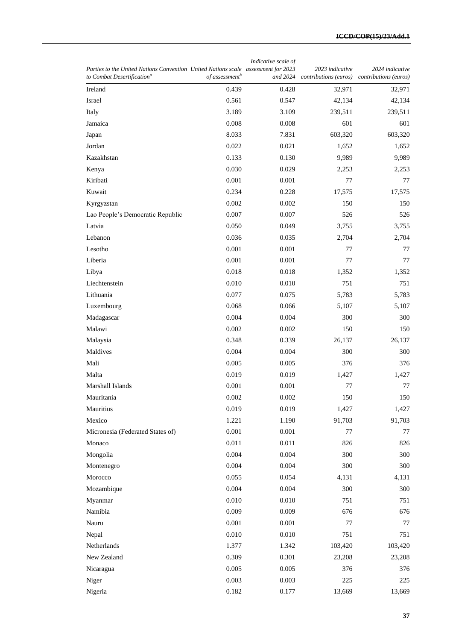| Parties to the United Nations Convention United Nations scale assessment for 2023<br>to Combat Desertification <sup>a</sup> | of assessment <sup>b</sup> | Indicative scale of<br>and 2024 | 2023 indicative<br>contributions (euros) contributions (euros) | 2024 indicative |
|-----------------------------------------------------------------------------------------------------------------------------|----------------------------|---------------------------------|----------------------------------------------------------------|-----------------|
| Ireland                                                                                                                     | 0.439                      | 0.428                           | 32,971                                                         | 32,971          |
| Israel                                                                                                                      | 0.561                      | 0.547                           | 42,134                                                         | 42,134          |
| Italy                                                                                                                       | 3.189                      | 3.109                           | 239,511                                                        | 239,511         |
| Jamaica                                                                                                                     | 0.008                      | 0.008                           | 601                                                            | 601             |
| Japan                                                                                                                       | 8.033                      | 7.831                           | 603,320                                                        | 603,320         |
| Jordan                                                                                                                      | 0.022                      | 0.021                           | 1,652                                                          | 1,652           |
| Kazakhstan                                                                                                                  | 0.133                      | 0.130                           | 9,989                                                          | 9,989           |
| Kenya                                                                                                                       | 0.030                      | 0.029                           | 2,253                                                          | 2,253           |
| Kiribati                                                                                                                    | 0.001                      | 0.001                           | 77                                                             | 77              |
| Kuwait                                                                                                                      | 0.234                      | 0.228                           | 17,575                                                         | 17,575          |
| Kyrgyzstan                                                                                                                  | 0.002                      | 0.002                           | 150                                                            | 150             |
| Lao People's Democratic Republic                                                                                            | 0.007                      | 0.007                           | 526                                                            | 526             |
| Latvia                                                                                                                      | 0.050                      | 0.049                           | 3,755                                                          | 3,755           |
| Lebanon                                                                                                                     | 0.036                      | 0.035                           | 2,704                                                          | 2,704           |
| Lesotho                                                                                                                     | 0.001                      | 0.001                           | 77                                                             | 77              |
| Liberia                                                                                                                     | 0.001                      | 0.001                           | 77                                                             | 77              |
| Libya                                                                                                                       | 0.018                      | 0.018                           | 1,352                                                          | 1,352           |
| Liechtenstein                                                                                                               | 0.010                      | 0.010                           | 751                                                            | 751             |
| Lithuania                                                                                                                   | 0.077                      | 0.075                           | 5,783                                                          | 5,783           |
| Luxembourg                                                                                                                  | 0.068                      | 0.066                           | 5,107                                                          | 5,107           |
| Madagascar                                                                                                                  | 0.004                      | 0.004                           | 300                                                            | 300             |
| Malawi                                                                                                                      | 0.002                      | 0.002                           | 150                                                            | 150             |
| Malaysia                                                                                                                    | 0.348                      | 0.339                           | 26,137                                                         | 26,137          |
| Maldives                                                                                                                    | 0.004                      | 0.004                           | 300                                                            | 300             |
| Mali                                                                                                                        | 0.005                      | 0.005                           | 376                                                            | 376             |
| Malta                                                                                                                       | 0.019                      | 0.019                           | 1,427                                                          | 1,427           |
| Marshall Islands                                                                                                            | 0.001                      | 0.001                           | 77                                                             | 77              |
| Mauritania                                                                                                                  | 0.002                      | 0.002                           | 150                                                            | 150             |
| Mauritius                                                                                                                   | 0.019                      | 0.019                           | 1,427                                                          | 1,427           |
| Mexico                                                                                                                      | 1.221                      | 1.190                           | 91,703                                                         | 91,703          |
| Micronesia (Federated States of)                                                                                            | 0.001                      | 0.001                           | 77                                                             | 77              |
| Monaco                                                                                                                      | 0.011                      | 0.011                           | 826                                                            | 826             |
| Mongolia                                                                                                                    | 0.004                      | 0.004                           | 300                                                            | 300             |
| Montenegro                                                                                                                  | 0.004                      | 0.004                           | 300                                                            | 300             |
| Morocco                                                                                                                     | 0.055                      | 0.054                           | 4,131                                                          | 4,131           |
| Mozambique                                                                                                                  | 0.004                      | 0.004                           | 300                                                            | 300             |
| Myanmar                                                                                                                     | 0.010                      | 0.010                           | 751                                                            | 751             |
| Namibia                                                                                                                     | 0.009                      | 0.009                           | 676                                                            | 676             |
| Nauru                                                                                                                       | 0.001                      | 0.001                           | 77                                                             | 77              |
| Nepal                                                                                                                       | 0.010                      | 0.010                           | 751                                                            | 751             |
| Netherlands                                                                                                                 | 1.377                      | 1.342                           | 103,420                                                        | 103,420         |
| New Zealand                                                                                                                 | 0.309                      | 0.301                           | 23,208                                                         | 23,208          |
| Nicaragua                                                                                                                   | 0.005                      | 0.005                           | 376                                                            | 376             |
| Niger                                                                                                                       | 0.003                      | 0.003                           | 225                                                            | 225             |
| Nigeria                                                                                                                     | 0.182                      | 0.177                           | 13,669                                                         | 13,669          |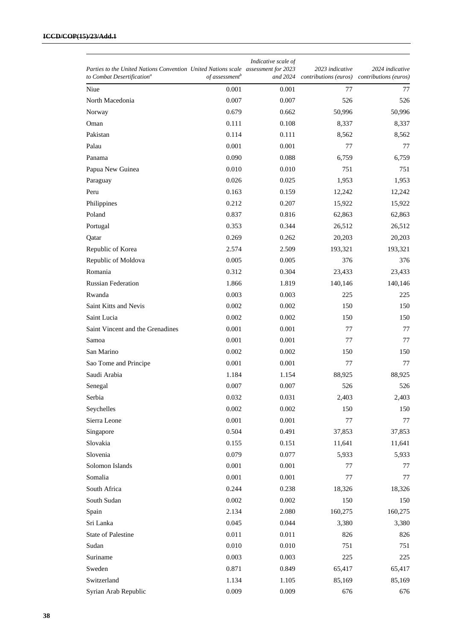| Parties to the United Nations Convention United Nations scale assessment for 2023<br>to Combat Desertification <sup>a</sup> | of assessment <sup>b</sup> | Indicative scale of | 2023 indicative<br>and 2024 contributions (euros) contributions (euros) | 2024 indicative |
|-----------------------------------------------------------------------------------------------------------------------------|----------------------------|---------------------|-------------------------------------------------------------------------|-----------------|
| Niue                                                                                                                        | 0.001                      | 0.001               | 77                                                                      | 77              |
| North Macedonia                                                                                                             | 0.007                      | 0.007               | 526                                                                     | 526             |
| Norway                                                                                                                      | 0.679                      | 0.662               | 50,996                                                                  | 50,996          |
| Oman                                                                                                                        | 0.111                      | 0.108               | 8,337                                                                   |                 |
| Pakistan                                                                                                                    | 0.114                      | 0.111               | 8,562                                                                   | 8,337<br>8,562  |
|                                                                                                                             |                            |                     | 77                                                                      |                 |
| Palau<br>Panama                                                                                                             | 0.001<br>0.090             | 0.001<br>0.088      |                                                                         | 77              |
|                                                                                                                             | 0.010                      |                     | 6,759<br>751                                                            | 6,759           |
| Papua New Guinea                                                                                                            | 0.026                      | 0.010               |                                                                         | 751             |
| Paraguay                                                                                                                    |                            | 0.025               | 1,953                                                                   | 1,953           |
| Peru                                                                                                                        | 0.163<br>0.212             | 0.159<br>0.207      | 12,242                                                                  | 12,242          |
| Philippines                                                                                                                 |                            |                     | 15,922                                                                  | 15,922          |
| Poland                                                                                                                      | 0.837                      | 0.816               | 62,863                                                                  | 62,863          |
| Portugal                                                                                                                    | 0.353                      | 0.344               | 26,512                                                                  | 26,512          |
| Qatar                                                                                                                       | 0.269                      | 0.262               | 20,203                                                                  | 20,203          |
| Republic of Korea                                                                                                           | 2.574                      | 2.509               | 193,321                                                                 | 193,321         |
| Republic of Moldova                                                                                                         | 0.005                      | 0.005               | 376                                                                     | 376             |
| Romania                                                                                                                     | 0.312                      | 0.304               | 23,433                                                                  | 23,433          |
| <b>Russian Federation</b>                                                                                                   | 1.866                      | 1.819               | 140,146                                                                 | 140,146         |
| Rwanda                                                                                                                      | 0.003                      | 0.003               | 225                                                                     | 225             |
| Saint Kitts and Nevis                                                                                                       | 0.002                      | 0.002               | 150                                                                     | 150             |
| Saint Lucia                                                                                                                 | 0.002                      | 0.002               | 150                                                                     | 150             |
| Saint Vincent and the Grenadines                                                                                            | 0.001                      | 0.001               | 77                                                                      | 77              |
| Samoa                                                                                                                       | 0.001                      | 0.001               | 77                                                                      | 77              |
| San Marino                                                                                                                  | 0.002                      | 0.002               | 150                                                                     | 150             |
| Sao Tome and Principe                                                                                                       | 0.001                      | 0.001               | 77                                                                      | 77              |
| Saudi Arabia                                                                                                                | 1.184                      | 1.154               | 88,925                                                                  | 88,925          |
| Senegal                                                                                                                     | 0.007                      | 0.007               | 526                                                                     | 526             |
| Serbia                                                                                                                      | 0.032                      | 0.031               | 2,403                                                                   | 2,403           |
| Seychelles                                                                                                                  | 0.002                      | 0.002               | 150                                                                     | 150             |
| Sierra Leone                                                                                                                | 0.001                      | $0.001\,$           | 77                                                                      | 77              |
| Singapore                                                                                                                   | 0.504                      | 0.491               | 37,853                                                                  | 37,853          |
| Slovakia                                                                                                                    | 0.155                      | 0.151               | 11,641                                                                  | 11,641          |
| Slovenia                                                                                                                    | 0.079                      | 0.077               | 5,933                                                                   | 5,933           |
| Solomon Islands                                                                                                             | 0.001                      | 0.001               | 77                                                                      | 77              |
| Somalia                                                                                                                     | 0.001                      | 0.001               | 77                                                                      | 77              |
| South Africa                                                                                                                | 0.244                      | 0.238               | 18,326                                                                  | 18,326          |
| South Sudan                                                                                                                 | 0.002                      | 0.002               | 150                                                                     | 150             |
| Spain                                                                                                                       | 2.134                      | 2.080               | 160,275                                                                 | 160,275         |
| Sri Lanka                                                                                                                   | 0.045                      | 0.044               | 3,380                                                                   | 3,380           |
| <b>State of Palestine</b>                                                                                                   | 0.011                      | 0.011               | 826                                                                     | 826             |
| Sudan                                                                                                                       | 0.010                      | 0.010               | 751                                                                     | 751             |
| Suriname                                                                                                                    | 0.003                      | 0.003               | 225                                                                     | 225             |
| Sweden                                                                                                                      | 0.871                      | 0.849               | 65,417                                                                  | 65,417          |
| Switzerland                                                                                                                 | 1.134                      | 1.105               | 85,169                                                                  | 85,169          |
| Syrian Arab Republic                                                                                                        | 0.009                      | 0.009               | 676                                                                     | 676             |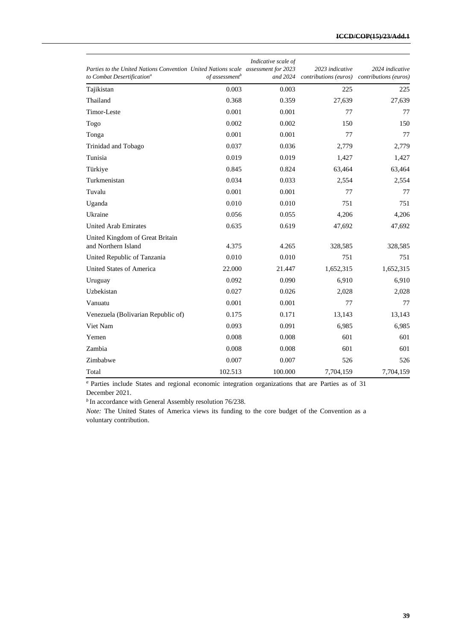| Parties to the United Nations Convention United Nations scale assessment for 2023<br>to Combat Desertification <sup>a</sup> | of assessment <sup>b</sup> | Indicative scale of<br>and 2024 | 2023 indicative<br>contributions (euros) contributions (euros) | 2024 indicative |
|-----------------------------------------------------------------------------------------------------------------------------|----------------------------|---------------------------------|----------------------------------------------------------------|-----------------|
| Tajikistan                                                                                                                  | 0.003                      | 0.003                           | 225                                                            | 225             |
| Thailand                                                                                                                    | 0.368                      | 0.359                           | 27,639                                                         | 27,639          |
| Timor-Leste                                                                                                                 | 0.001                      | 0.001                           | 77                                                             | 77              |
| Togo                                                                                                                        | 0.002                      | 0.002                           | 150                                                            | 150             |
| Tonga                                                                                                                       | 0.001                      | 0.001                           | 77                                                             | 77              |
| Trinidad and Tobago                                                                                                         | 0.037                      | 0.036                           | 2,779                                                          | 2,779           |
| Tunisia                                                                                                                     | 0.019                      | 0.019                           | 1,427                                                          | 1,427           |
| Türkiye                                                                                                                     | 0.845                      | 0.824                           | 63,464                                                         | 63,464          |
| Turkmenistan                                                                                                                | 0.034                      | 0.033                           | 2,554                                                          | 2,554           |
| Tuvalu                                                                                                                      | 0.001                      | 0.001                           | 77                                                             | 77              |
| Uganda                                                                                                                      | 0.010                      | 0.010                           | 751                                                            | 751             |
| Ukraine                                                                                                                     | 0.056                      | 0.055                           | 4,206                                                          | 4,206           |
| <b>United Arab Emirates</b>                                                                                                 | 0.635                      | 0.619                           | 47,692                                                         | 47,692          |
| United Kingdom of Great Britain<br>and Northern Island                                                                      | 4.375                      | 4.265                           | 328,585                                                        | 328,585         |
| United Republic of Tanzania                                                                                                 | 0.010                      | 0.010                           | 751                                                            | 751             |
| United States of America                                                                                                    | 22.000                     | 21.447                          | 1,652,315                                                      | 1,652,315       |
| Uruguay                                                                                                                     | 0.092                      | 0.090                           | 6,910                                                          | 6,910           |
| Uzbekistan                                                                                                                  | 0.027                      | 0.026                           | 2,028                                                          | 2,028           |
| Vanuatu                                                                                                                     | 0.001                      | 0.001                           | 77                                                             | 77              |
| Venezuela (Bolivarian Republic of)                                                                                          | 0.175                      | 0.171                           | 13,143                                                         | 13,143          |
| Viet Nam                                                                                                                    | 0.093                      | 0.091                           | 6,985                                                          | 6,985           |
| Yemen                                                                                                                       | 0.008                      | 0.008                           | 601                                                            | 601             |
| Zambia                                                                                                                      | 0.008                      | 0.008                           | 601                                                            | 601             |
| Zimbabwe                                                                                                                    | 0.007                      | 0.007                           | 526                                                            | 526             |
| Total                                                                                                                       | 102.513                    | 100.000                         | 7,704,159                                                      | 7,704,159       |

*<sup>a</sup>* Parties include States and regional economic integration organizations that are Parties as of 31 December 2021.

*b* In accordance with General Assembly resolution 76/238.

*Note:* The United States of America views its funding to the core budget of the Convention as a voluntary contribution.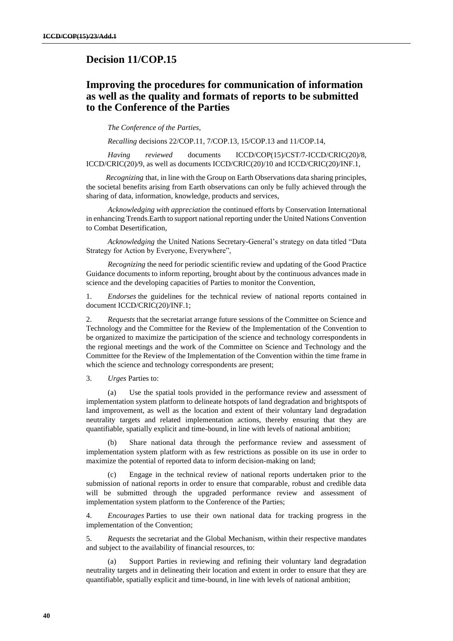## **Decision 11/COP.15**

## **Improving the procedures for communication of information as well as the quality and formats of reports to be submitted to the Conference of the Parties**

*The Conference of the Parties,*

*Recalling* decisions 22/COP.11, 7/COP.13, 15/COP.13 and 11/COP.14,

*Having reviewed* documents ICCD/COP(15)/CST/7-ICCD/CRIC(20)/8, ICCD/CRIC(20)/9, as well as documents ICCD/CRIC(20)/10 and ICCD/CRIC(20)/INF.1,

*Recognizing* that, in line with the Group on Earth Observations data sharing principles, the societal benefits arising from Earth observations can only be fully achieved through the sharing of data, information, knowledge, products and services,

*Acknowledging with appreciation* the continued efforts by Conservation International in enhancing Trends.Earth to support national reporting under the United Nations Convention to Combat Desertification,

*Acknowledging* the United Nations Secretary-General's strategy on data titled "Data Strategy for Action by Everyone, Everywhere",

*Recognizing* the need for periodic scientific review and updating of the Good Practice Guidance documents to inform reporting, brought about by the continuous advances made in science and the developing capacities of Parties to monitor the Convention,

1. *Endorses* the guidelines for the technical review of national reports contained in document ICCD/CRIC(20)/INF.1;

2. *Requests* that the secretariat arrange future sessions of the Committee on Science and Technology and the Committee for the Review of the Implementation of the Convention to be organized to maximize the participation of the science and technology correspondents in the regional meetings and the work of the Committee on Science and Technology and the Committee for the Review of the Implementation of the Convention within the time frame in which the science and technology correspondents are present;

3. *Urges* Parties to:

Use the spatial tools provided in the performance review and assessment of implementation system platform to delineate hotspots of land degradation and brightspots of land improvement, as well as the location and extent of their voluntary land degradation neutrality targets and related implementation actions, thereby ensuring that they are quantifiable, spatially explicit and time-bound, in line with levels of national ambition;

(b) Share national data through the performance review and assessment of implementation system platform with as few restrictions as possible on its use in order to maximize the potential of reported data to inform decision-making on land;

(c) Engage in the technical review of national reports undertaken prior to the submission of national reports in order to ensure that comparable, robust and credible data will be submitted through the upgraded performance review and assessment of implementation system platform to the Conference of the Parties;

4. *Encourages* Parties to use their own national data for tracking progress in the implementation of the Convention;

5. *Requests* the secretariat and the Global Mechanism, within their respective mandates and subject to the availability of financial resources, to:

Support Parties in reviewing and refining their voluntary land degradation neutrality targets and in delineating their location and extent in order to ensure that they are quantifiable, spatially explicit and time-bound, in line with levels of national ambition;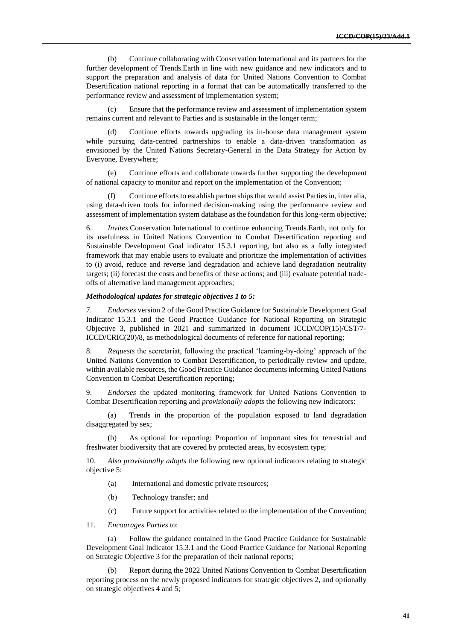(b) Continue collaborating with Conservation International and its partners for the further development of Trends.Earth in line with new guidance and new indicators and to support the preparation and analysis of data for United Nations Convention to Combat Desertification national reporting in a format that can be automatically transferred to the performance review and assessment of implementation system;

(c) Ensure that the performance review and assessment of implementation system remains current and relevant to Parties and is sustainable in the longer term;

(d) Continue efforts towards upgrading its in-house data management system while pursuing data-centred partnerships to enable a data-driven transformation as envisioned by the United Nations Secretary-General in the Data Strategy for Action by Everyone, Everywhere;

(e) Continue efforts and collaborate towards further supporting the development of national capacity to monitor and report on the implementation of the Convention;

Continue efforts to establish partnerships that would assist Parties in, inter alia, using data-driven tools for informed decision-making using the performance review and assessment of implementation system database as the foundation for this long-term objective;

6. *Invites* Conservation International to continue enhancing Trends.Earth, not only for its usefulness in United Nations Convention to Combat Desertification reporting and Sustainable Development Goal indicator 15.3.1 reporting, but also as a fully integrated framework that may enable users to evaluate and prioritize the implementation of activities to (i) avoid, reduce and reverse land degradation and achieve land degradation neutrality targets; (ii) forecast the costs and benefits of these actions; and (iii) evaluate potential tradeoffs of alternative land management approaches;

#### *Methodological updates for strategic objectives 1 to 5:*

7. *Endorses* version 2 of the Good Practice Guidance for Sustainable Development Goal Indicator 15.3.1 and the Good Practice Guidance for National Reporting on Strategic Objective 3, published in 2021 and summarized in document ICCD/COP(15)/CST/7- ICCD/CRIC(20)/8, as methodological documents of reference for national reporting;

8. *Requests* the secretariat, following the practical 'learning-by-doing' approach of the United Nations Convention to Combat Desertification, to periodically review and update, within available resources, the Good Practice Guidance documents informing United Nations Convention to Combat Desertification reporting;

9. *Endorses* the updated monitoring framework for United Nations Convention to Combat Desertification reporting and *provisionally adopts* the following new indicators:

(a) Trends in the proportion of the population exposed to land degradation disaggregated by sex;

(b) As optional for reporting: Proportion of important sites for terrestrial and freshwater biodiversity that are covered by protected areas, by ecosystem type;

10. *Also provisionally adopts* the following new optional indicators relating to strategic objective 5:

- (a) International and domestic private resources;
- (b) Technology transfer; and
- (c) Future support for activities related to the implementation of the Convention;
- 11. *Encourages Parties* to:

(a) Follow the guidance contained in the Good Practice Guidance for Sustainable Development Goal Indicator 15.3.1 and the Good Practice Guidance for National Reporting on Strategic Objective 3 for the preparation of their national reports;

Report during the 2022 United Nations Convention to Combat Desertification reporting process on the newly proposed indicators for strategic objectives 2, and optionally on strategic objectives 4 and 5;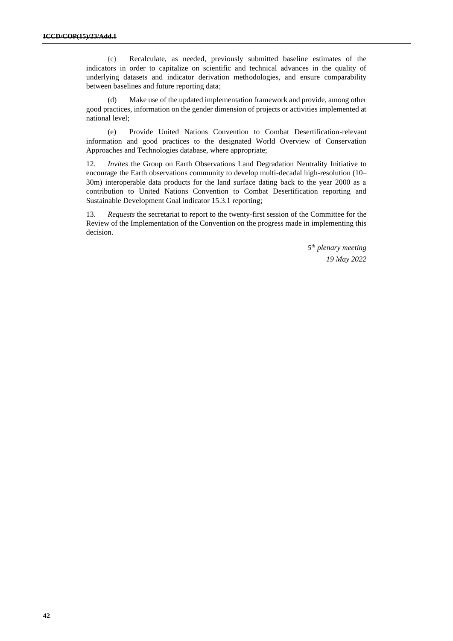(c) Recalculate, as needed, previously submitted baseline estimates of the indicators in order to capitalize on scientific and technical advances in the quality of underlying datasets and indicator derivation methodologies, and ensure comparability between baselines and future reporting data;

(d) Make use of the updated implementation framework and provide, among other good practices, information on the gender dimension of projects or activities implemented at national level;

(e) Provide United Nations Convention to Combat Desertification-relevant information and good practices to the designated World Overview of Conservation Approaches and Technologies database, where appropriate;

12. *Invites* the Group on Earth Observations Land Degradation Neutrality Initiative to encourage the Earth observations community to develop multi-decadal high-resolution (10– 30m) interoperable data products for the land surface dating back to the year 2000 as a contribution to United Nations Convention to Combat Desertification reporting and Sustainable Development Goal indicator 15.3.1 reporting;

13. *Requests* the secretariat to report to the twenty-first session of the Committee for the Review of the Implementation of the Convention on the progress made in implementing this decision.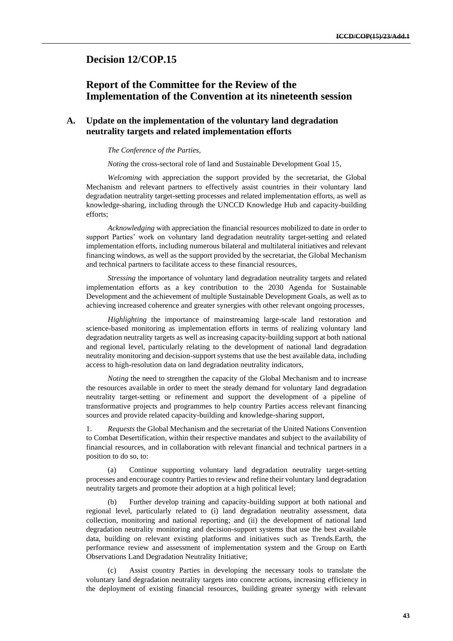#### **Decision 12/COP.15**

## **Report of the Committee for the Review of the Implementation of the Convention at its nineteenth session**

#### **A. Update on the implementation of the voluntary land degradation neutrality targets and related implementation efforts**

#### *The Conference of the Parties,*

*Noting* the cross-sectoral role of land and Sustainable Development Goal 15,

*Welcoming* with appreciation the support provided by the secretariat, the Global Mechanism and relevant partners to effectively assist countries in their voluntary land degradation neutrality target-setting processes and related implementation efforts, as well as knowledge-sharing, including through the UNCCD Knowledge Hub and capacity-building efforts;

*Acknowledging* with appreciation the financial resources mobilized to date in order to support Parties' work on voluntary land degradation neutrality target-setting and related implementation efforts, including numerous bilateral and multilateral initiatives and relevant financing windows, as well as the support provided by the secretariat, the Global Mechanism and technical partners to facilitate access to these financial resources,

*Stressing* the importance of voluntary land degradation neutrality targets and related implementation efforts as a key contribution to the 2030 Agenda for Sustainable Development and the achievement of multiple Sustainable Development Goals, as well as to achieving increased coherence and greater synergies with other relevant ongoing processes,

*Highlighting* the importance of mainstreaming large-scale land restoration and science-based monitoring as implementation efforts in terms of realizing voluntary land degradation neutrality targets as well as increasing capacity-building support at both national and regional level, particularly relating to the development of national land degradation neutrality monitoring and decision-support systems that use the best available data, including access to high-resolution data on land degradation neutrality indicators,

*Noting* the need to strengthen the capacity of the Global Mechanism and to increase the resources available in order to meet the steady demand for voluntary land degradation neutrality target-setting or refinement and support the development of a pipeline of transformative projects and programmes to help country Parties access relevant financing sources and provide related capacity-building and knowledge-sharing support,

1. *Requests* the Global Mechanism and the secretariat of the United Nations Convention to Combat Desertification, within their respective mandates and subject to the availability of financial resources, and in collaboration with relevant financial and technical partners in a position to do so, to:

(a) Continue supporting voluntary land degradation neutrality target-setting processes and encourage country Parties to review and refine their voluntary land degradation neutrality targets and promote their adoption at a high political level;

Further develop training and capacity-building support at both national and regional level, particularly related to (i) land degradation neutrality assessment, data collection, monitoring and national reporting; and (ii) the development of national land degradation neutrality monitoring and decision-support systems that use the best available data, building on relevant existing platforms and initiatives such as Trends.Earth, the performance review and assessment of implementation system and the Group on Earth Observations Land Degradation Neutrality Initiative;

Assist country Parties in developing the necessary tools to translate the voluntary land degradation neutrality targets into concrete actions, increasing efficiency in the deployment of existing financial resources, building greater synergy with relevant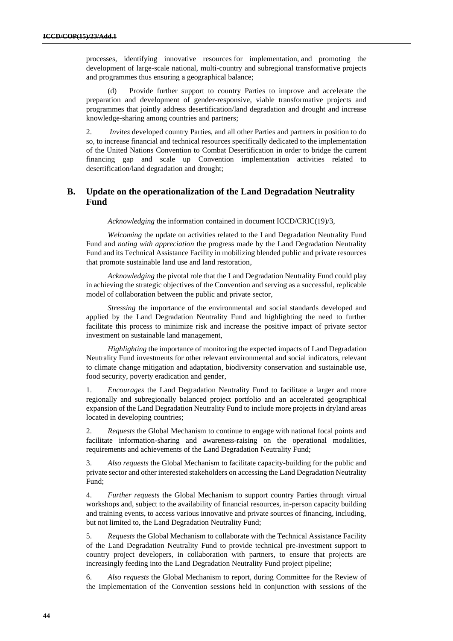processes, identifying innovative resources for implementation, and promoting the development of large-scale national, multi-country and subregional transformative projects and programmes thus ensuring a geographical balance;

(d) Provide further support to country Parties to improve and accelerate the preparation and development of gender-responsive, viable transformative projects and programmes that jointly address desertification/land degradation and drought and increase knowledge-sharing among countries and partners;

2. *Invites* developed country Parties, and all other Parties and partners in position to do so, to increase financial and technical resources specifically dedicated to the implementation of the United Nations Convention to Combat Desertification in order to bridge the current financing gap and scale up Convention implementation activities related to desertification/land degradation and drought;

#### **B. Update on the operationalization of the Land Degradation Neutrality Fund**

*Acknowledging* the information contained in document ICCD/CRIC(19)/3,

*Welcoming* the update on activities related to the Land Degradation Neutrality Fund Fund and *noting with appreciation* the progress made by the Land Degradation Neutrality Fund and its Technical Assistance Facility in mobilizing blended public and private resources that promote sustainable land use and land restoration,

*Acknowledging* the pivotal role that the Land Degradation Neutrality Fund could play in achieving the strategic objectives of the Convention and serving as a successful, replicable model of collaboration between the public and private sector,

*Stressing* the importance of the environmental and social standards developed and applied by the Land Degradation Neutrality Fund and highlighting the need to further facilitate this process to minimize risk and increase the positive impact of private sector investment on sustainable land management,

*Highlighting* the importance of monitoring the expected impacts of Land Degradation Neutrality Fund investments for other relevant environmental and social indicators, relevant to climate change mitigation and adaptation, biodiversity conservation and sustainable use, food security, poverty eradication and gender,

1. *Encourages* the Land Degradation Neutrality Fund to facilitate a larger and more regionally and subregionally balanced project portfolio and an accelerated geographical expansion of the Land Degradation Neutrality Fund to include more projects in dryland areas located in developing countries;

2. *Requests* the Global Mechanism to continue to engage with national focal points and facilitate information-sharing and awareness-raising on the operational modalities, requirements and achievements of the Land Degradation Neutrality Fund;

3. *Also requests* the Global Mechanism to facilitate capacity-building for the public and private sector and other interested stakeholders on accessing the Land Degradation Neutrality Fund;

4. *Further requests* the Global Mechanism to support country Parties through virtual workshops and, subject to the availability of financial resources, in-person capacity building and training events, to access various innovative and private sources of financing, including, but not limited to, the Land Degradation Neutrality Fund;

5. *Requests* the Global Mechanism to collaborate with the Technical Assistance Facility of the Land Degradation Neutrality Fund to provide technical pre-investment support to country project developers, in collaboration with partners, to ensure that projects are increasingly feeding into the Land Degradation Neutrality Fund project pipeline;

6. *Also requests* the Global Mechanism to report, during Committee for the Review of the Implementation of the Convention sessions held in conjunction with sessions of the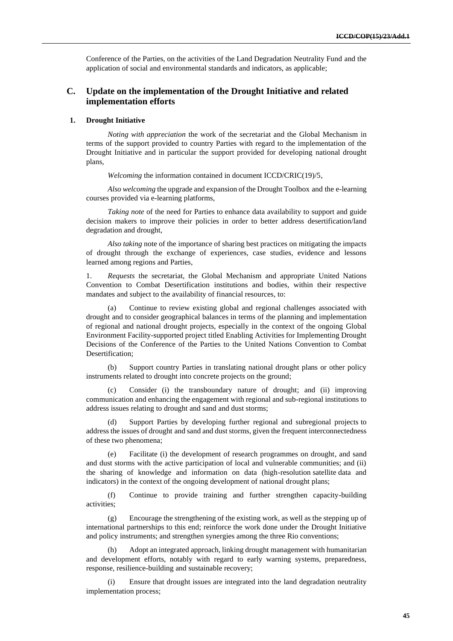Conference of the Parties, on the activities of the Land Degradation Neutrality Fund and the application of social and environmental standards and indicators, as applicable;

#### **C. Update on the implementation of the Drought Initiative and related implementation efforts**

#### **1. Drought Initiative**

*Noting with appreciation* the work of the secretariat and the Global Mechanism in terms of the support provided to country Parties with regard to the implementation of the Drought Initiative and in particular the support provided for developing national drought plans,

*Welcoming* the information contained in document ICCD/CRIC(19)/5,

*Also welcoming* the upgrade and expansion of the Drought Toolbox and the e-learning courses provided via e-learning platforms,

*Taking note* of the need for Parties to enhance data availability to support and guide decision makers to improve their policies in order to better address desertification/land degradation and drought,

*Also taking* note of the importance of sharing best practices on mitigating the impacts of drought through the exchange of experiences, case studies, evidence and lessons learned among regions and Parties,

1. *Requests* the secretariat, the Global Mechanism and appropriate United Nations Convention to Combat Desertification institutions and bodies, within their respective mandates and subject to the availability of financial resources, to:

(a) Continue to review existing global and regional challenges associated with drought and to consider geographical balances in terms of the planning and implementation of regional and national drought projects, especially in the context of the ongoing Global Environment Facility-supported project titled Enabling Activities for Implementing Drought Decisions of the Conference of the Parties to the United Nations Convention to Combat Desertification;

(b) Support country Parties in translating national drought plans or other policy instruments related to drought into concrete projects on the ground;

Consider (i) the transboundary nature of drought; and (ii) improving communication and enhancing the engagement with regional and sub-regional institutions to address issues relating to drought and sand and dust storms;

Support Parties by developing further regional and subregional projects to address the issues of drought and sand and dust storms, given the frequent interconnectedness of these two phenomena;

(e) Facilitate (i) the development of research programmes on drought, and sand and dust storms with the active participation of local and vulnerable communities; and (ii) the sharing of knowledge and information on data (high-resolution satellite data and indicators) in the context of the ongoing development of national drought plans;

(f) Continue to provide training and further strengthen capacity-building activities;

(g) Encourage the strengthening of the existing work, as well as the stepping up of international partnerships to this end; reinforce the work done under the Drought Initiative and policy instruments; and strengthen synergies among the three Rio conventions;

(h) Adopt an integrated approach, linking drought management with humanitarian and development efforts, notably with regard to early warning systems, preparedness, response, resilience-building and sustainable recovery;

(i) Ensure that drought issues are integrated into the land degradation neutrality implementation process;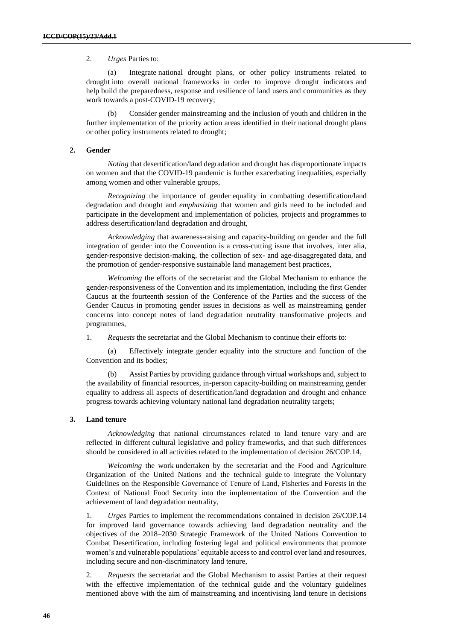#### 2. *Urges* Parties to:

(a) Integrate national drought plans, or other policy instruments related to drought into overall national frameworks in order to improve drought indicators and help build the preparedness, response and resilience of land users and communities as they work towards a post-COVID-19 recovery;

(b) Consider gender mainstreaming and the inclusion of youth and children in the further implementation of the priority action areas identified in their national drought plans or other policy instruments related to drought;

#### **2. Gender**

*Noting* that desertification/land degradation and drought has disproportionate impacts on women and that the COVID-19 pandemic is further exacerbating inequalities, especially among women and other vulnerable groups,

*Recognizing* the importance of gender equality in combatting desertification/land degradation and drought and *emphasizing* that women and girls need to be included and participate in the development and implementation of policies, projects and programmes to address desertification/land degradation and drought,

*Acknowledging* that awareness-raising and capacity-building on gender and the full integration of gender into the Convention is a cross-cutting issue that involves, inter alia, gender-responsive decision-making, the collection of sex- and age-disaggregated data, and the promotion of gender-responsive sustainable land management best practices,

*Welcoming* the efforts of the secretariat and the Global Mechanism to enhance the gender-responsiveness of the Convention and its implementation, including the first Gender Caucus at the fourteenth session of the Conference of the Parties and the success of the Gender Caucus in promoting gender issues in decisions as well as mainstreaming gender concerns into concept notes of land degradation neutrality transformative projects and programmes,

1. *Requests* the secretariat and the Global Mechanism to continue their efforts to:

(a) Effectively integrate gender equality into the structure and function of the Convention and its bodies;

(b) Assist Parties by providing guidance through virtual workshops and, subject to the availability of financial resources, in-person capacity-building on mainstreaming gender equality to address all aspects of desertification/land degradation and drought and enhance progress towards achieving voluntary national land degradation neutrality targets;

#### **3. Land tenure**

*Acknowledging* that national circumstances related to land tenure vary and are reflected in different cultural legislative and policy frameworks, and that such differences should be considered in all activities related to the implementation of decision 26/COP.14,

*Welcoming* the work undertaken by the secretariat and the Food and Agriculture Organization of the United Nations and the technical guide to integrate the Voluntary Guidelines on the Responsible Governance of Tenure of Land, Fisheries and Forests in the Context of National Food Security into the implementation of the Convention and the achievement of land degradation neutrality,

1. *Urges* Parties to implement the recommendations contained in decision 26/COP.14 for improved land governance towards achieving land degradation neutrality and the objectives of the 2018–2030 Strategic Framework of the United Nations Convention to Combat Desertification, including fostering legal and political environments that promote women's and vulnerable populations' equitable access to and control over land and resources, including secure and non-discriminatory land tenure,

2. *Requests* the secretariat and the Global Mechanism to assist Parties at their request with the effective implementation of the technical guide and the voluntary guidelines mentioned above with the aim of mainstreaming and incentivising land tenure in decisions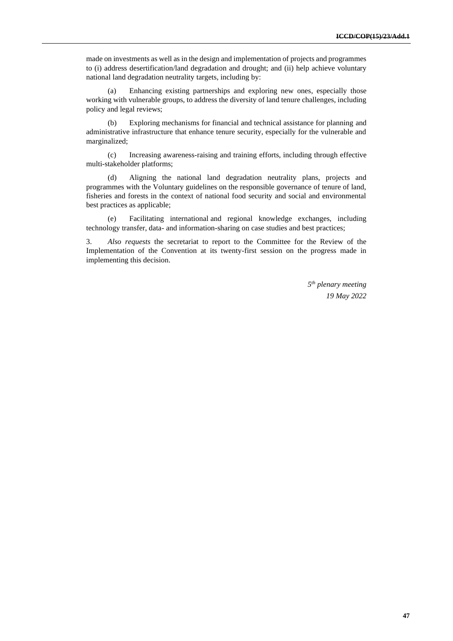made on investments as well as in the design and implementation of projects and programmes to (i) address desertification/land degradation and drought; and (ii) help achieve voluntary national land degradation neutrality targets, including by:

(a) Enhancing existing partnerships and exploring new ones, especially those working with vulnerable groups, to address the diversity of land tenure challenges, including policy and legal reviews;

(b) Exploring mechanisms for financial and technical assistance for planning and administrative infrastructure that enhance tenure security, especially for the vulnerable and marginalized;

(c) Increasing awareness-raising and training efforts, including through effective multi-stakeholder platforms;

(d) Aligning the national land degradation neutrality plans, projects and programmes with the Voluntary guidelines on the responsible governance of tenure of land, fisheries and forests in the context of national food security and social and environmental best practices as applicable;

(e) Facilitating international and regional knowledge exchanges, including technology transfer, data- and information-sharing on case studies and best practices;

3. *Also requests* the secretariat to report to the Committee for the Review of the Implementation of the Convention at its twenty-first session on the progress made in implementing this decision.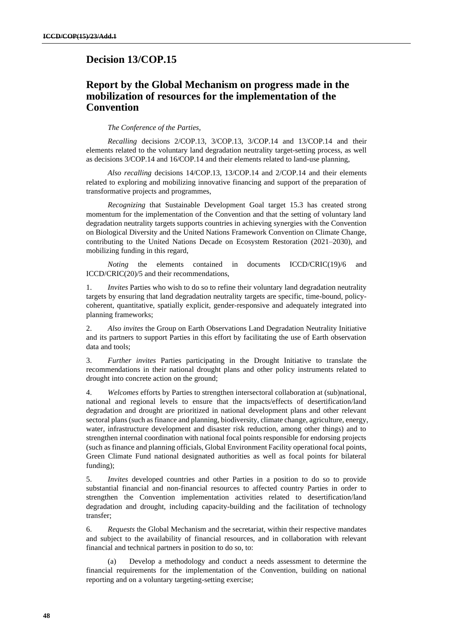### **Decision 13/COP.15**

# **Report by the Global Mechanism on progress made in the mobilization of resources for the implementation of the Convention**

#### *The Conference of the Parties,*

*Recalling* decisions 2/COP.13, 3/COP.13, 3/COP.14 and 13/COP.14 and their elements related to the voluntary land degradation neutrality target-setting process, as well as decisions 3/COP.14 and 16/COP.14 and their elements related to land-use planning,

*Also recalling* decisions 14/COP.13, 13/COP.14 and 2/COP.14 and their elements related to exploring and mobilizing innovative financing and support of the preparation of transformative projects and programmes,

*Recognizing* that Sustainable Development Goal target 15.3 has created strong momentum for the implementation of the Convention and that the setting of voluntary land degradation neutrality targets supports countries in achieving synergies with the Convention on Biological Diversity and the United Nations Framework Convention on Climate Change, contributing to the United Nations Decade on Ecosystem Restoration (2021–2030), and mobilizing funding in this regard,

*Noting* the elements contained in documents ICCD/CRIC(19)/6 and ICCD/CRIC(20)/5 and their recommendations,

1. *Invites* Parties who wish to do so to refine their voluntary land degradation neutrality targets by ensuring that land degradation neutrality targets are specific, time-bound, policycoherent, quantitative, spatially explicit, gender-responsive and adequately integrated into planning frameworks;

2. *Also invites* the Group on Earth Observations Land Degradation Neutrality Initiative and its partners to support Parties in this effort by facilitating the use of Earth observation data and tools;

3. *Further invites* Parties participating in the Drought Initiative to translate the recommendations in their national drought plans and other policy instruments related to drought into concrete action on the ground;

4. *Welcomes* efforts by Parties to strengthen intersectoral collaboration at (sub)national, national and regional levels to ensure that the impacts/effects of desertification/land degradation and drought are prioritized in national development plans and other relevant sectoral plans (such as finance and planning, biodiversity, climate change, agriculture, energy, water, infrastructure development and disaster risk reduction, among other things) and to strengthen internal coordination with national focal points responsible for endorsing projects (such as finance and planning officials, Global Environment Facility operational focal points, Green Climate Fund national designated authorities as well as focal points for bilateral funding);

5. *Invites* developed countries and other Parties in a position to do so to provide substantial financial and non-financial resources to affected country Parties in order to strengthen the Convention implementation activities related to desertification/land degradation and drought, including capacity-building and the facilitation of technology transfer;

6. *Requests* the Global Mechanism and the secretariat, within their respective mandates and subject to the availability of financial resources, and in collaboration with relevant financial and technical partners in position to do so, to:

Develop a methodology and conduct a needs assessment to determine the financial requirements for the implementation of the Convention, building on national reporting and on a voluntary targeting-setting exercise;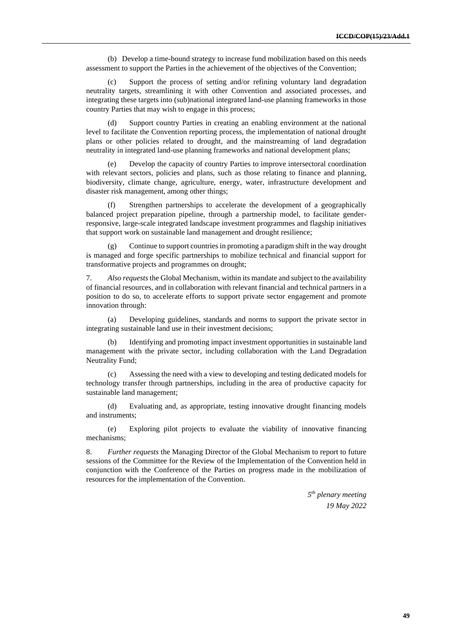(b) Develop a time-bound strategy to increase fund mobilization based on this needs assessment to support the Parties in the achievement of the objectives of the Convention;

(c) Support the process of setting and/or refining voluntary land degradation neutrality targets, streamlining it with other Convention and associated processes, and integrating these targets into (sub)national integrated land-use planning frameworks in those country Parties that may wish to engage in this process;

(d) Support country Parties in creating an enabling environment at the national level to facilitate the Convention reporting process, the implementation of national drought plans or other policies related to drought, and the mainstreaming of land degradation neutrality in integrated land-use planning frameworks and national development plans;

Develop the capacity of country Parties to improve intersectoral coordination with relevant sectors, policies and plans, such as those relating to finance and planning, biodiversity, climate change, agriculture, energy, water, infrastructure development and disaster risk management, among other things;

(f) Strengthen partnerships to accelerate the development of a geographically balanced project preparation pipeline, through a partnership model, to facilitate genderresponsive, large-scale integrated landscape investment programmes and flagship initiatives that support work on sustainable land management and drought resilience;

Continue to support countries in promoting a paradigm shift in the way drought is managed and forge specific partnerships to mobilize technical and financial support for transformative projects and programmes on drought;

7. *Also requests* the Global Mechanism, within its mandate and subject to the availability of financial resources, and in collaboration with relevant financial and technical partners in a position to do so, to accelerate efforts to support private sector engagement and promote innovation through:

(a) Developing guidelines, standards and norms to support the private sector in integrating sustainable land use in their investment decisions;

(b) Identifying and promoting impact investment opportunities in sustainable land management with the private sector, including collaboration with the Land Degradation Neutrality Fund;

(c) Assessing the need with a view to developing and testing dedicated models for technology transfer through partnerships, including in the area of productive capacity for sustainable land management;

(d) Evaluating and, as appropriate, testing innovative drought financing models and instruments;

(e) Exploring pilot projects to evaluate the viability of innovative financing mechanisms;

8. *Further requests* the Managing Director of the Global Mechanism to report to future sessions of the Committee for the Review of the Implementation of the Convention held in conjunction with the Conference of the Parties on progress made in the mobilization of resources for the implementation of the Convention.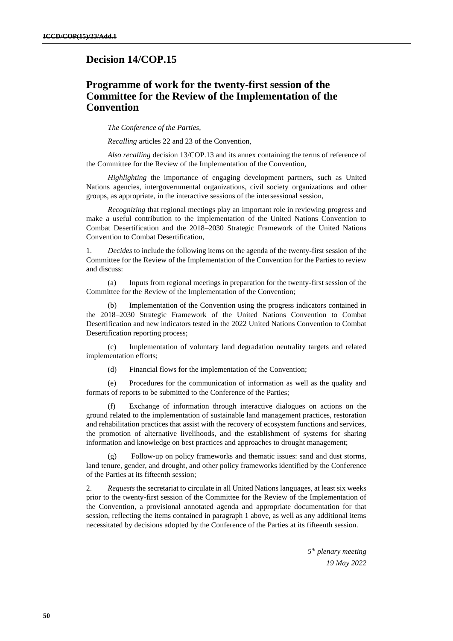### **Decision 14/COP.15**

## **Programme of work for the twenty-first session of the Committee for the Review of the Implementation of the Convention**

*The Conference of the Parties,*

*Recalling* articles 22 and 23 of the Convention,

*Also recalling* decision 13/COP.13 and its annex containing the terms of reference of the Committee for the Review of the Implementation of the Convention,

*Highlighting* the importance of engaging development partners, such as United Nations agencies, intergovernmental organizations, civil society organizations and other groups, as appropriate, in the interactive sessions of the intersessional session,

*Recognizing* that regional meetings play an important role in reviewing progress and make a useful contribution to the implementation of the United Nations Convention to Combat Desertification and the 2018–2030 Strategic Framework of the United Nations Convention to Combat Desertification,

1. *Decides* to include the following items on the agenda of the twenty-first session of the Committee for the Review of the Implementation of the Convention for the Parties to review and discuss:

(a) Inputs from regional meetings in preparation for the twenty-first session of the Committee for the Review of the Implementation of the Convention;

(b) Implementation of the Convention using the progress indicators contained in the 2018–2030 Strategic Framework of the United Nations Convention to Combat Desertification and new indicators tested in the 2022 United Nations Convention to Combat Desertification reporting process;

(c) Implementation of voluntary land degradation neutrality targets and related implementation efforts;

(d) Financial flows for the implementation of the Convention;

(e) Procedures for the communication of information as well as the quality and formats of reports to be submitted to the Conference of the Parties;

(f) Exchange of information through interactive dialogues on actions on the ground related to the implementation of sustainable land management practices, restoration and rehabilitation practices that assist with the recovery of ecosystem functions and services, the promotion of alternative livelihoods, and the establishment of systems for sharing information and knowledge on best practices and approaches to drought management;

Follow-up on policy frameworks and thematic issues: sand and dust storms, land tenure, gender, and drought, and other policy frameworks identified by the Conference of the Parties at its fifteenth session;

2. *Requests* the secretariat to circulate in all United Nations languages, at least six weeks prior to the twenty-first session of the Committee for the Review of the Implementation of the Convention, a provisional annotated agenda and appropriate documentation for that session, reflecting the items contained in paragraph 1 above, as well as any additional items necessitated by decisions adopted by the Conference of the Parties at its fifteenth session.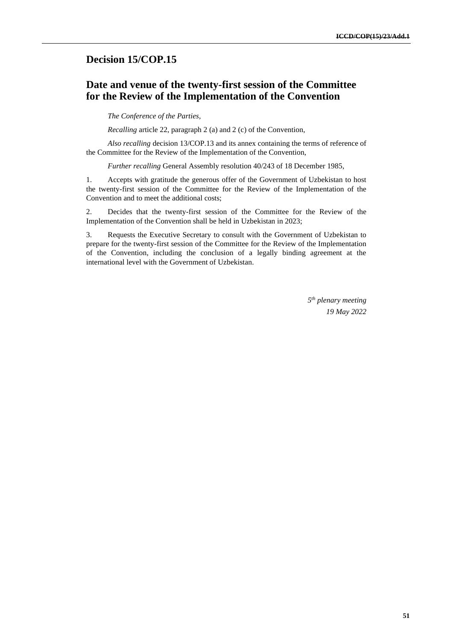# **Decision 15/COP.15**

# **Date and venue of the twenty-first session of the Committee for the Review of the Implementation of the Convention**

#### *The Conference of the Parties,*

*Recalling* article 22, paragraph 2 (a) and 2 (c) of the Convention,

*Also recalling* decision 13/COP.13 and its annex containing the terms of reference of the Committee for the Review of the Implementation of the Convention,

*Further recalling* General Assembly resolution 40/243 of 18 December 1985,

1. Accepts with gratitude the generous offer of the Government of Uzbekistan to host the twenty-first session of the Committee for the Review of the Implementation of the Convention and to meet the additional costs;

2. Decides that the twenty-first session of the Committee for the Review of the Implementation of the Convention shall be held in Uzbekistan in 2023;

3. Requests the Executive Secretary to consult with the Government of Uzbekistan to prepare for the twenty-first session of the Committee for the Review of the Implementation of the Convention, including the conclusion of a legally binding agreement at the international level with the Government of Uzbekistan.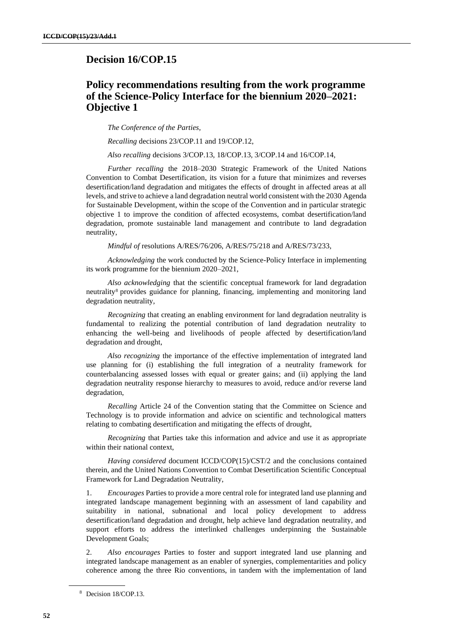### **Decision 16/COP.15**

# **Policy recommendations resulting from the work programme of the Science-Policy Interface for the biennium 2020–2021: Objective 1**

*The Conference of the Parties,* 

*Recalling* decisions 23/COP.11 and 19/COP.12,

*Also recalling* decisions 3/COP.13, 18/COP.13, 3/COP.14 and 16/COP.14,

*Further recalling* the 2018–2030 Strategic Framework of the United Nations Convention to Combat Desertification, its vision for a future that minimizes and reverses desertification/land degradation and mitigates the effects of drought in affected areas at all levels, and strive to achieve a land degradation neutral world consistent with the 2030 Agenda for Sustainable Development, within the scope of the Convention and in particular strategic objective 1 to improve the condition of affected ecosystems, combat desertification/land degradation, promote sustainable land management and contribute to land degradation neutrality,

*Mindful of* resolutions A/RES/76/206, A/RES/75/218 and A/RES/73/233,

*Acknowledging* the work conducted by the Science-Policy Interface in implementing its work programme for the biennium 2020–2021,

*Also acknowledging* that the scientific conceptual framework for land degradation neutrality<sup>8</sup> provides guidance for planning, financing, implementing and monitoring land degradation neutrality,

*Recognizing* that creating an enabling environment for land degradation neutrality is fundamental to realizing the potential contribution of land degradation neutrality to enhancing the well-being and livelihoods of people affected by desertification/land degradation and drought,

*Also recognizing* the importance of the effective implementation of integrated land use planning for (i) establishing the full integration of a neutrality framework for counterbalancing assessed losses with equal or greater gains; and (ii) applying the land degradation neutrality response hierarchy to measures to avoid, reduce and/or reverse land degradation,

*Recalling* Article 24 of the Convention stating that the Committee on Science and Technology is to provide information and advice on scientific and technological matters relating to combating desertification and mitigating the effects of drought,

*Recognizing* that Parties take this information and advice and use it as appropriate within their national context,

*Having considered* document ICCD/COP(15)/CST/2 and the conclusions contained therein, and the United Nations Convention to Combat Desertification Scientific Conceptual Framework for Land Degradation Neutrality,

1. *Encourages* Parties to provide a more central role for integrated land use planning and integrated landscape management beginning with an assessment of land capability and suitability in national, subnational and local policy development to address desertification/land degradation and drought, help achieve land degradation neutrality, and support efforts to address the interlinked challenges underpinning the Sustainable Development Goals;

2. *Also encourages* Parties to foster and support integrated land use planning and integrated landscape management as an enabler of synergies, complementarities and policy coherence among the three Rio conventions, in tandem with the implementation of land

<sup>8</sup> Decision 18/COP.13.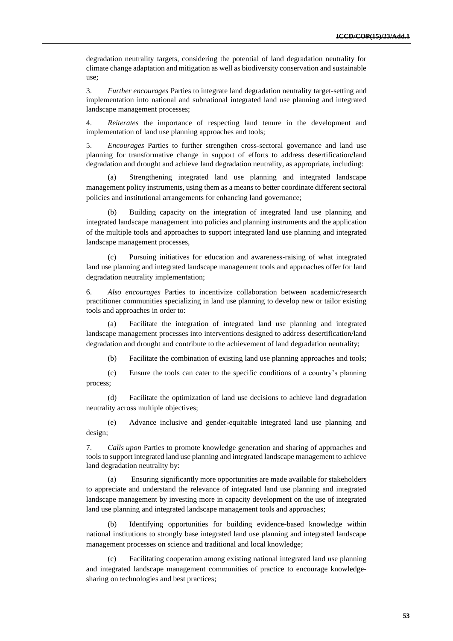degradation neutrality targets, considering the potential of land degradation neutrality for climate change adaptation and mitigation as well as biodiversity conservation and sustainable use;

3. *Further encourages* Parties to integrate land degradation neutrality target-setting and implementation into national and subnational integrated land use planning and integrated landscape management processes;

4. *Reiterates* the importance of respecting land tenure in the development and implementation of land use planning approaches and tools;

5. *Encourages* Parties to further strengthen cross-sectoral governance and land use planning for transformative change in support of efforts to address desertification/land degradation and drought and achieve land degradation neutrality, as appropriate, including:

(a) Strengthening integrated land use planning and integrated landscape management policy instruments, using them as a means to better coordinate different sectoral policies and institutional arrangements for enhancing land governance;

(b) Building capacity on the integration of integrated land use planning and integrated landscape management into policies and planning instruments and the application of the multiple tools and approaches to support integrated land use planning and integrated landscape management processes,

(c) Pursuing initiatives for education and awareness-raising of what integrated land use planning and integrated landscape management tools and approaches offer for land degradation neutrality implementation;

6. *Also encourages* Parties to incentivize collaboration between academic/research practitioner communities specializing in land use planning to develop new or tailor existing tools and approaches in order to:

(a) Facilitate the integration of integrated land use planning and integrated landscape management processes into interventions designed to address desertification/land degradation and drought and contribute to the achievement of land degradation neutrality;

(b) Facilitate the combination of existing land use planning approaches and tools;

(c) Ensure the tools can cater to the specific conditions of a country's planning process;

(d) Facilitate the optimization of land use decisions to achieve land degradation neutrality across multiple objectives;

(e) Advance inclusive and gender-equitable integrated land use planning and design;

7. *Calls upon* Parties to promote knowledge generation and sharing of approaches and tools to support integrated land use planning and integrated landscape management to achieve land degradation neutrality by:

(a) Ensuring significantly more opportunities are made available for stakeholders to appreciate and understand the relevance of integrated land use planning and integrated landscape management by investing more in capacity development on the use of integrated land use planning and integrated landscape management tools and approaches;

(b) Identifying opportunities for building evidence-based knowledge within national institutions to strongly base integrated land use planning and integrated landscape management processes on science and traditional and local knowledge;

(c) Facilitating cooperation among existing national integrated land use planning and integrated landscape management communities of practice to encourage knowledgesharing on technologies and best practices;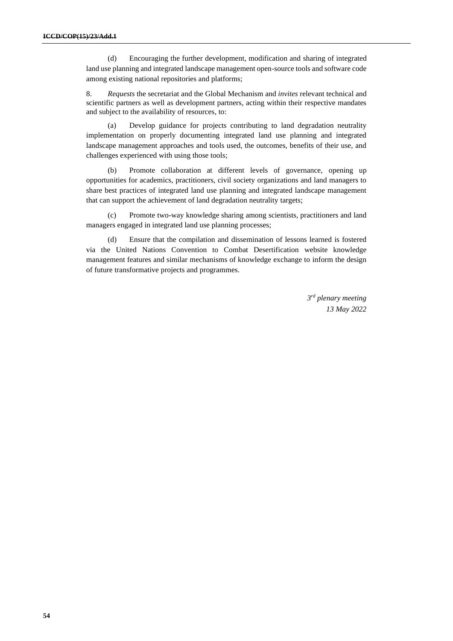(d) Encouraging the further development, modification and sharing of integrated land use planning and integrated landscape management open-source tools and software code among existing national repositories and platforms;

8. *Requests* the secretariat and the Global Mechanism and *invites* relevant technical and scientific partners as well as development partners, acting within their respective mandates and subject to the availability of resources, to:

(a) Develop guidance for projects contributing to land degradation neutrality implementation on properly documenting integrated land use planning and integrated landscape management approaches and tools used, the outcomes, benefits of their use, and challenges experienced with using those tools;

(b) Promote collaboration at different levels of governance, opening up opportunities for academics, practitioners, civil society organizations and land managers to share best practices of integrated land use planning and integrated landscape management that can support the achievement of land degradation neutrality targets;

(c) Promote two-way knowledge sharing among scientists, practitioners and land managers engaged in integrated land use planning processes;

(d) Ensure that the compilation and dissemination of lessons learned is fostered via the United Nations Convention to Combat Desertification website knowledge management features and similar mechanisms of knowledge exchange to inform the design of future transformative projects and programmes.

> *3 rd plenary meeting 13 May 2022*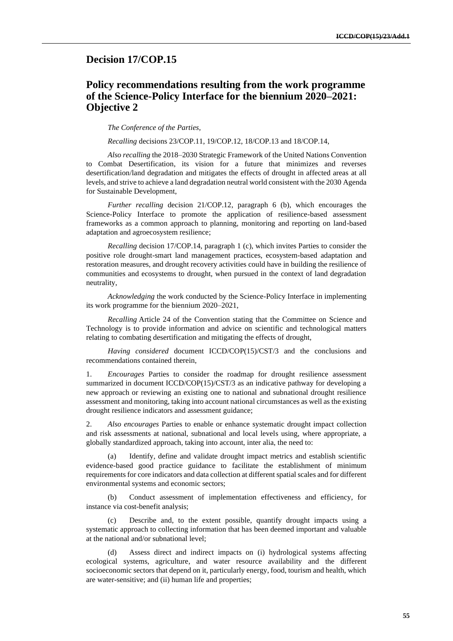### **Decision 17/COP.15**

## **Policy recommendations resulting from the work programme of the Science-Policy Interface for the biennium 2020–2021: Objective 2**

*The Conference of the Parties,* 

*Recalling* decisions 23/COP.11, 19/COP.12, 18/COP.13 and 18/COP.14,

*Also recalling* the 2018–2030 Strategic Framework of the United Nations Convention to Combat Desertification, its vision for a future that minimizes and reverses desertification/land degradation and mitigates the effects of drought in affected areas at all levels, and strive to achieve a land degradation neutral world consistent with the 2030 Agenda for Sustainable Development,

*Further recalling* decision 21/COP.12, paragraph 6 (b), which encourages the Science-Policy Interface to promote the application of resilience-based assessment frameworks as a common approach to planning, monitoring and reporting on land-based adaptation and agroecosystem resilience;

*Recalling* decision 17/COP.14, paragraph 1 (c), which invites Parties to consider the positive role drought-smart land management practices, ecosystem-based adaptation and restoration measures, and drought recovery activities could have in building the resilience of communities and ecosystems to drought, when pursued in the context of land degradation neutrality,

*Acknowledging* the work conducted by the Science-Policy Interface in implementing its work programme for the biennium 2020–2021,

*Recalling* Article 24 of the Convention stating that the Committee on Science and Technology is to provide information and advice on scientific and technological matters relating to combating desertification and mitigating the effects of drought,

*Having considered* document ICCD/COP(15)/CST/3 and the conclusions and recommendations contained therein,

1. *Encourages* Parties to consider the roadmap for drought resilience assessment summarized in document ICCD/COP(15)/CST/3 as an indicative pathway for developing a new approach or reviewing an existing one to national and subnational drought resilience assessment and monitoring, taking into account national circumstances as well as the existing drought resilience indicators and assessment guidance;

2. *Also encourages* Parties to enable or enhance systematic drought impact collection and risk assessments at national, subnational and local levels using, where appropriate, a globally standardized approach, taking into account, inter alia, the need to:

(a) Identify, define and validate drought impact metrics and establish scientific evidence-based good practice guidance to facilitate the establishment of minimum requirements for core indicators and data collection at different spatial scales and for different environmental systems and economic sectors;

(b) Conduct assessment of implementation effectiveness and efficiency, for instance via cost-benefit analysis;

(c) Describe and, to the extent possible, quantify drought impacts using a systematic approach to collecting information that has been deemed important and valuable at the national and/or subnational level;

(d) Assess direct and indirect impacts on (i) hydrological systems affecting ecological systems, agriculture, and water resource availability and the different socioeconomic sectors that depend on it, particularly energy, food, tourism and health, which are water-sensitive; and (ii) human life and properties;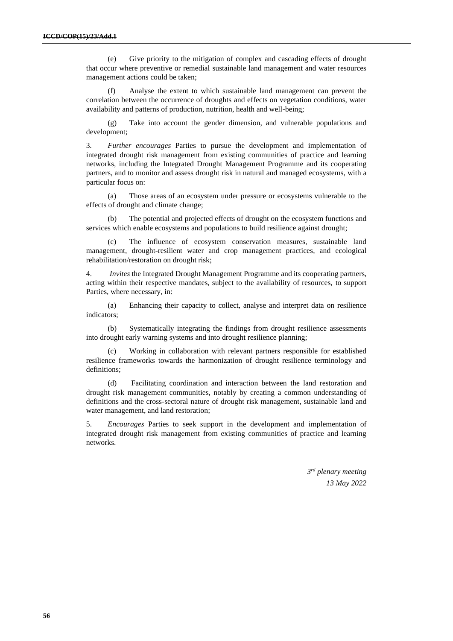(e) Give priority to the mitigation of complex and cascading effects of drought that occur where preventive or remedial sustainable land management and water resources management actions could be taken;

(f) Analyse the extent to which sustainable land management can prevent the correlation between the occurrence of droughts and effects on vegetation conditions, water availability and patterns of production, nutrition, health and well-being;

(g) Take into account the gender dimension, and vulnerable populations and development;

3*. Further encourages* Parties to pursue the development and implementation of integrated drought risk management from existing communities of practice and learning networks, including the Integrated Drought Management Programme and its cooperating partners, and to monitor and assess drought risk in natural and managed ecosystems, with a particular focus on:

(a) Those areas of an ecosystem under pressure or ecosystems vulnerable to the effects of drought and climate change;

(b) The potential and projected effects of drought on the ecosystem functions and services which enable ecosystems and populations to build resilience against drought;

(c) The influence of ecosystem conservation measures, sustainable land management, drought-resilient water and crop management practices, and ecological rehabilitation/restoration on drought risk;

4. *Invites* the Integrated Drought Management Programme and its cooperating partners, acting within their respective mandates, subject to the availability of resources, to support Parties, where necessary, in:

(a) Enhancing their capacity to collect, analyse and interpret data on resilience indicators;

(b) Systematically integrating the findings from drought resilience assessments into drought early warning systems and into drought resilience planning;

(c) Working in collaboration with relevant partners responsible for established resilience frameworks towards the harmonization of drought resilience terminology and definitions;

(d) Facilitating coordination and interaction between the land restoration and drought risk management communities, notably by creating a common understanding of definitions and the cross-sectoral nature of drought risk management, sustainable land and water management, and land restoration;

5. *Encourages* Parties to seek support in the development and implementation of integrated drought risk management from existing communities of practice and learning networks.

> *3 rd plenary meeting 13 May 2022*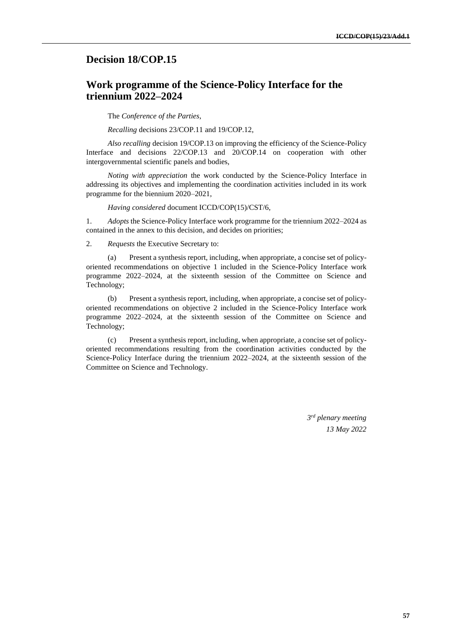## **Decision 18/COP.15**

## **Work programme of the Science-Policy Interface for the triennium 2022–2024**

The *Conference of the Parties*,

*Recalling* decisions 23/COP.11 and 19/COP.12,

*Also recalling* decision 19/COP.13 on improving the efficiency of the Science-Policy Interface and decisions 22/COP.13 and 20/COP.14 on cooperation with other intergovernmental scientific panels and bodies,

*Noting with appreciation* the work conducted by the Science-Policy Interface in addressing its objectives and implementing the coordination activities included in its work programme for the biennium 2020–2021,

*Having considered* document ICCD/COP(15)/CST/6,

1. *Adopts* the Science-Policy Interface work programme for the triennium 2022–2024 as contained in the annex to this decision, and decides on priorities;

2. *Requests* the Executive Secretary to:

(a) Present a synthesis report, including, when appropriate, a concise set of policyoriented recommendations on objective 1 included in the Science-Policy Interface work programme 2022–2024, at the sixteenth session of the Committee on Science and Technology;

(b) Present a synthesis report, including, when appropriate, a concise set of policyoriented recommendations on objective 2 included in the Science-Policy Interface work programme 2022–2024, at the sixteenth session of the Committee on Science and Technology;

(c) Present a synthesis report, including, when appropriate, a concise set of policyoriented recommendations resulting from the coordination activities conducted by the Science-Policy Interface during the triennium 2022–2024, at the sixteenth session of the Committee on Science and Technology.

> *3 rd plenary meeting 13 May 2022*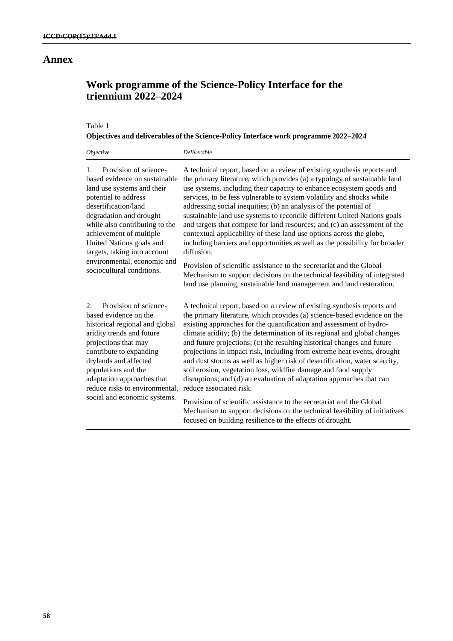### **Annex**

# **Work programme of the Science-Policy Interface for the triennium 2022–2024**

#### Table 1

**Objectives and deliverables of the Science-Policy Interface work programme 2022–2024**

| Objective                                                                                                                                                                                                                                                                                                                                                  | Deliverable                                                                                                                                                                                                                                                                                                                                                                                                                                                                                                                                                                                                                                                                                                                                                                              |
|------------------------------------------------------------------------------------------------------------------------------------------------------------------------------------------------------------------------------------------------------------------------------------------------------------------------------------------------------------|------------------------------------------------------------------------------------------------------------------------------------------------------------------------------------------------------------------------------------------------------------------------------------------------------------------------------------------------------------------------------------------------------------------------------------------------------------------------------------------------------------------------------------------------------------------------------------------------------------------------------------------------------------------------------------------------------------------------------------------------------------------------------------------|
| Provision of science-<br>1.<br>based evidence on sustainable<br>land use systems and their<br>potential to address<br>desertification/land<br>degradation and drought<br>while also contributing to the<br>achievement of multiple<br>United Nations goals and<br>targets, taking into account<br>environmental, economic and<br>sociocultural conditions. | A technical report, based on a review of existing synthesis reports and<br>the primary literature, which provides (a) a typology of sustainable land<br>use systems, including their capacity to enhance ecosystem goods and<br>services, to be less vulnerable to system volatility and shocks while<br>addressing social inequities; (b) an analysis of the potential of<br>sustainable land use systems to reconcile different United Nations goals<br>and targets that compete for land resources; and (c) an assessment of the<br>contextual applicability of these land use options across the globe,<br>including barriers and opportunities as well as the possibility for broader<br>diffusion.                                                                                 |
|                                                                                                                                                                                                                                                                                                                                                            | Provision of scientific assistance to the secretariat and the Global<br>Mechanism to support decisions on the technical feasibility of integrated<br>land use planning, sustainable land management and land restoration.                                                                                                                                                                                                                                                                                                                                                                                                                                                                                                                                                                |
| Provision of science-<br>2.<br>based evidence on the<br>historical regional and global<br>aridity trends and future<br>projections that may<br>contribute to expanding<br>drylands and affected<br>populations and the<br>adaptation approaches that<br>reduce risks to environmental,<br>social and economic systems.                                     | A technical report, based on a review of existing synthesis reports and<br>the primary literature, which provides (a) science-based evidence on the<br>existing approaches for the quantification and assessment of hydro-<br>climate aridity; (b) the determination of its regional and global changes<br>and future projections; (c) the resulting historical changes and future<br>projections in impact risk, including from extreme heat events, drought<br>and dust storms as well as higher risk of desertification, water scarcity,<br>soil erosion, vegetation loss, wildfire damage and food supply<br>disruptions; and (d) an evaluation of adaptation approaches that can<br>reduce associated risk.<br>Provision of scientific assistance to the secretariat and the Global |
|                                                                                                                                                                                                                                                                                                                                                            | Mechanism to support decisions on the technical feasibility of initiatives<br>focused on building resilience to the effects of drought.                                                                                                                                                                                                                                                                                                                                                                                                                                                                                                                                                                                                                                                  |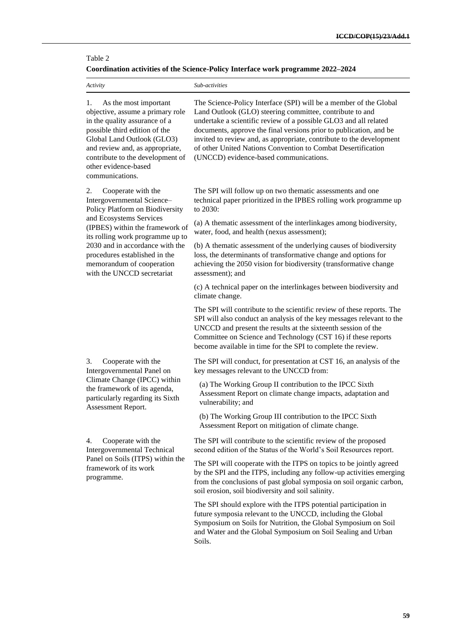### Table 2 **Coordination activities of the Science-Policy Interface work programme 2022–2024**

| Activity                                                                                                                                                                                                                                                                                                                   | Sub-activities                                                                                                                                                                                                                                                                                                                                                                                                                                            |
|----------------------------------------------------------------------------------------------------------------------------------------------------------------------------------------------------------------------------------------------------------------------------------------------------------------------------|-----------------------------------------------------------------------------------------------------------------------------------------------------------------------------------------------------------------------------------------------------------------------------------------------------------------------------------------------------------------------------------------------------------------------------------------------------------|
| As the most important<br>1.<br>objective, assume a primary role<br>in the quality assurance of a<br>possible third edition of the<br>Global Land Outlook (GLO3)<br>and review and, as appropriate,<br>contribute to the development of<br>other evidence-based<br>communications.                                          | The Science-Policy Interface (SPI) will be a member of the Global<br>Land Outlook (GLO) steering committee, contribute to and<br>undertake a scientific review of a possible GLO3 and all related<br>documents, approve the final versions prior to publication, and be<br>invited to review and, as appropriate, contribute to the development<br>of other United Nations Convention to Combat Desertification<br>(UNCCD) evidence-based communications. |
| 2.<br>Cooperate with the<br>Intergovernmental Science-<br>Policy Platform on Biodiversity<br>and Ecosystems Services<br>(IPBES) within the framework of<br>its rolling work programme up to<br>2030 and in accordance with the<br>procedures established in the<br>memorandum of cooperation<br>with the UNCCD secretariat | The SPI will follow up on two thematic assessments and one<br>technical paper prioritized in the IPBES rolling work programme up<br>to 2030:                                                                                                                                                                                                                                                                                                              |
|                                                                                                                                                                                                                                                                                                                            | (a) A thematic assessment of the interlinkages among biodiversity,<br>water, food, and health (nexus assessment);                                                                                                                                                                                                                                                                                                                                         |
|                                                                                                                                                                                                                                                                                                                            | (b) A thematic assessment of the underlying causes of biodiversity<br>loss, the determinants of transformative change and options for<br>achieving the 2050 vision for biodiversity (transformative change<br>assessment); and                                                                                                                                                                                                                            |
|                                                                                                                                                                                                                                                                                                                            | (c) A technical paper on the interlinkages between biodiversity and<br>climate change.                                                                                                                                                                                                                                                                                                                                                                    |
|                                                                                                                                                                                                                                                                                                                            | The SPI will contribute to the scientific review of these reports. The<br>SPI will also conduct an analysis of the key messages relevant to the<br>UNCCD and present the results at the sixteenth session of the<br>Committee on Science and Technology (CST 16) if these reports<br>become available in time for the SPI to complete the review.                                                                                                         |
| Cooperate with the<br>3.<br>Intergovernmental Panel on<br>Climate Change (IPCC) within<br>the framework of its agenda,<br>particularly regarding its Sixth<br>Assessment Report.                                                                                                                                           | The SPI will conduct, for presentation at CST 16, an analysis of the<br>key messages relevant to the UNCCD from:                                                                                                                                                                                                                                                                                                                                          |
|                                                                                                                                                                                                                                                                                                                            | (a) The Working Group II contribution to the IPCC Sixth<br>Assessment Report on climate change impacts, adaptation and<br>vulnerability; and                                                                                                                                                                                                                                                                                                              |
|                                                                                                                                                                                                                                                                                                                            | (b) The Working Group III contribution to the IPCC Sixth<br>Assessment Report on mitigation of climate change.                                                                                                                                                                                                                                                                                                                                            |
| Cooperate with the<br>4.<br><b>Intergovernmental Technical</b><br>Panel on Soils (ITPS) within the<br>framework of its work<br>programme.                                                                                                                                                                                  | The SPI will contribute to the scientific review of the proposed<br>second edition of the Status of the World's Soil Resources report.                                                                                                                                                                                                                                                                                                                    |
|                                                                                                                                                                                                                                                                                                                            | The SPI will cooperate with the ITPS on topics to be jointly agreed<br>by the SPI and the ITPS, including any follow-up activities emerging<br>from the conclusions of past global symposia on soil organic carbon,<br>soil erosion, soil biodiversity and soil salinity.                                                                                                                                                                                 |
|                                                                                                                                                                                                                                                                                                                            | The SPI should explore with the ITPS potential participation in<br>future symposia relevant to the UNCCD, including the Global<br>Symposium on Soils for Nutrition, the Global Symposium on Soil<br>and Water and the Global Symposium on Soil Sealing and Urban<br>Soils.                                                                                                                                                                                |
|                                                                                                                                                                                                                                                                                                                            |                                                                                                                                                                                                                                                                                                                                                                                                                                                           |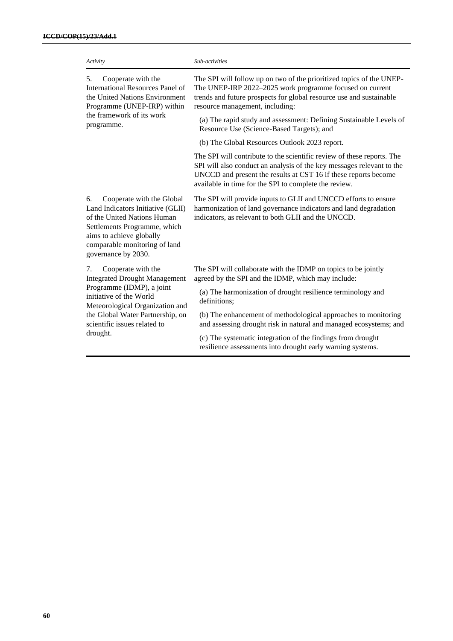| Activity                                                                                                                                                                                                                                    | Sub-activities                                                                                                                                                                                                                                                              |  |
|---------------------------------------------------------------------------------------------------------------------------------------------------------------------------------------------------------------------------------------------|-----------------------------------------------------------------------------------------------------------------------------------------------------------------------------------------------------------------------------------------------------------------------------|--|
| Cooperate with the<br>5.<br>International Resources Panel of<br>the United Nations Environment<br>Programme (UNEP-IRP) within<br>the framework of its work<br>programme.                                                                    | The SPI will follow up on two of the prioritized topics of the UNEP-<br>The UNEP-IRP 2022-2025 work programme focused on current<br>trends and future prospects for global resource use and sustainable<br>resource management, including:                                  |  |
|                                                                                                                                                                                                                                             | (a) The rapid study and assessment: Defining Sustainable Levels of<br>Resource Use (Science-Based Targets); and                                                                                                                                                             |  |
|                                                                                                                                                                                                                                             | (b) The Global Resources Outlook 2023 report.                                                                                                                                                                                                                               |  |
|                                                                                                                                                                                                                                             | The SPI will contribute to the scientific review of these reports. The<br>SPI will also conduct an analysis of the key messages relevant to the<br>UNCCD and present the results at CST 16 if these reports become<br>available in time for the SPI to complete the review. |  |
| Cooperate with the Global<br>6.<br>Land Indicators Initiative (GLII)<br>of the United Nations Human<br>Settlements Programme, which<br>aims to achieve globally<br>comparable monitoring of land<br>governance by 2030.                     | The SPI will provide inputs to GLII and UNCCD efforts to ensure<br>harmonization of land governance indicators and land degradation<br>indicators, as relevant to both GLII and the UNCCD.                                                                                  |  |
| Cooperate with the<br>7.<br><b>Integrated Drought Management</b><br>Programme (IDMP), a joint<br>initiative of the World<br>Meteorological Organization and<br>the Global Water Partnership, on<br>scientific issues related to<br>drought. | The SPI will collaborate with the IDMP on topics to be jointly<br>agreed by the SPI and the IDMP, which may include:                                                                                                                                                        |  |
|                                                                                                                                                                                                                                             | (a) The harmonization of drought resilience terminology and<br>definitions;                                                                                                                                                                                                 |  |
|                                                                                                                                                                                                                                             | (b) The enhancement of methodological approaches to monitoring<br>and assessing drought risk in natural and managed ecosystems; and                                                                                                                                         |  |
|                                                                                                                                                                                                                                             | (c) The systematic integration of the findings from drought<br>resilience assessments into drought early warning systems.                                                                                                                                                   |  |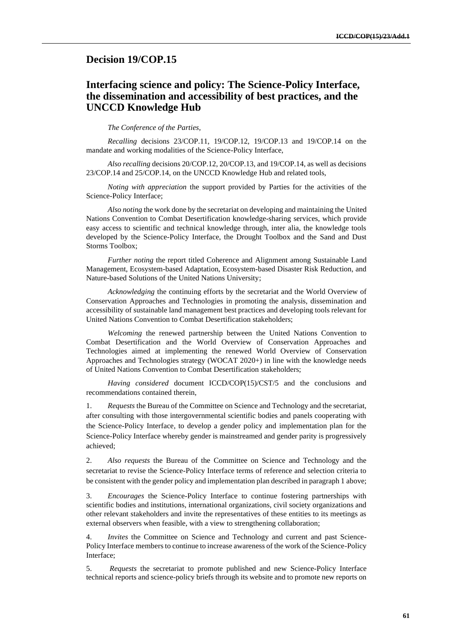#### **Decision 19/COP.15**

# **Interfacing science and policy: The Science-Policy Interface, the dissemination and accessibility of best practices, and the UNCCD Knowledge Hub**

#### *The Conference of the Parties,*

*Recalling* decisions 23/COP.11, 19/COP.12, 19/COP.13 and 19/COP.14 on the mandate and working modalities of the Science-Policy Interface,

*Also recalling* decisions 20/COP.12, 20/COP.13, and 19/COP.14, as well as decisions 23/COP.14 and 25/COP.14, on the UNCCD Knowledge Hub and related tools,

*Noting with appreciation* the support provided by Parties for the activities of the Science-Policy Interface;

*Also noting* the work done by the secretariat on developing and maintaining the United Nations Convention to Combat Desertification knowledge-sharing services, which provide easy access to scientific and technical knowledge through, inter alia, the knowledge tools developed by the Science-Policy Interface, the Drought Toolbox and the Sand and Dust Storms Toolbox;

*Further noting* the report titled Coherence and Alignment among Sustainable Land Management, Ecosystem-based Adaptation, Ecosystem-based Disaster Risk Reduction, and Nature-based Solutions of the United Nations University;

*Acknowledging* the continuing efforts by the secretariat and the World Overview of Conservation Approaches and Technologies in promoting the analysis, dissemination and accessibility of sustainable land management best practices and developing tools relevant for United Nations Convention to Combat Desertification stakeholders;

*Welcoming* the renewed partnership between the United Nations Convention to Combat Desertification and the World Overview of Conservation Approaches and Technologies aimed at implementing the renewed World Overview of Conservation Approaches and Technologies strategy (WOCAT 2020+) in line with the knowledge needs of United Nations Convention to Combat Desertification stakeholders;

*Having considered* document ICCD/COP(15)/CST/5 and the conclusions and recommendations contained therein,

1. *Requests* the Bureau of the Committee on Science and Technology and the secretariat, after consulting with those intergovernmental scientific bodies and panels cooperating with the Science-Policy Interface, to develop a gender policy and implementation plan for the Science-Policy Interface whereby gender is mainstreamed and gender parity is progressively achieved;

2. *Also requests* the Bureau of the Committee on Science and Technology and the secretariat to revise the Science-Policy Interface terms of reference and selection criteria to be consistent with the gender policy and implementation plan described in paragraph 1 above;

3. *Encourages* the Science-Policy Interface to continue fostering partnerships with scientific bodies and institutions, international organizations, civil society organizations and other relevant stakeholders and invite the representatives of these entities to its meetings as external observers when feasible, with a view to strengthening collaboration;

4. *Invites* the Committee on Science and Technology and current and past Science-Policy Interface members to continue to increase awareness of the work of the Science-Policy Interface;

5. *Requests* the secretariat to promote published and new Science-Policy Interface technical reports and science-policy briefs through its website and to promote new reports on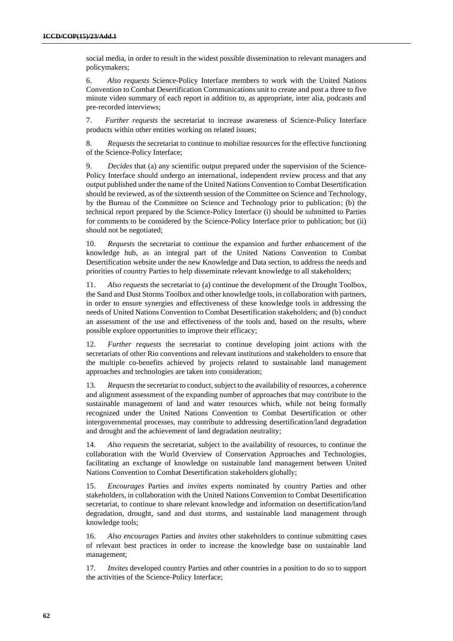social media, in order to result in the widest possible dissemination to relevant managers and policymakers;

6. *Also requests* Science-Policy Interface members to work with the United Nations Convention to Combat Desertification Communications unit to create and post a three to five minute video summary of each report in addition to, as appropriate, inter alia, podcasts and pre-recorded interviews;

7. *Further requests* the secretariat to increase awareness of Science-Policy Interface products within other entities working on related issues;

8. *Requests* the secretariat to continue to mobilize resources for the effective functioning of the Science-Policy Interface;

9. *Decides* that (a) any scientific output prepared under the supervision of the Science-Policy Interface should undergo an international, independent review process and that any output published under the name of the United Nations Convention to Combat Desertification should be reviewed, as of the sixteenth session of the Committee on Science and Technology, by the Bureau of the Committee on Science and Technology prior to publication; (b) the technical report prepared by the Science-Policy Interface (i) should be submitted to Parties for comments to be considered by the Science-Policy Interface prior to publication; but (ii) should not be negotiated;

10. *Requests* the secretariat to continue the expansion and further enhancement of the knowledge hub, as an integral part of the United Nations Convention to Combat Desertification website under the new Knowledge and Data section, to address the needs and priorities of country Parties to help disseminate relevant knowledge to all stakeholders;

11. *Also requests* the secretariat to (a) continue the development of the Drought Toolbox, the Sand and Dust Storms Toolbox and other knowledge tools, in collaboration with partners, in order to ensure synergies and effectiveness of these knowledge tools in addressing the needs of United Nations Convention to Combat Desertification stakeholders; and (b) conduct an assessment of the use and effectiveness of the tools and, based on the results, where possible explore opportunities to improve their efficacy;

12. *Further requests* the secretariat to continue developing joint actions with the secretariats of other Rio conventions and relevant institutions and stakeholders to ensure that the multiple co-benefits achieved by projects related to sustainable land management approaches and technologies are taken into consideration;

13. *Requests*the secretariat to conduct, subject to the availability of resources, a coherence and alignment assessment of the expanding number of approaches that may contribute to the sustainable management of land and water resources which, while not being formally recognized under the United Nations Convention to Combat Desertification or other intergovernmental processes, may contribute to addressing desertification/land degradation and drought and the achievement of land degradation neutrality;

14. *Also requests* the secretariat, subject to the availability of resources, to continue the collaboration with the World Overview of Conservation Approaches and Technologies, facilitating an exchange of knowledge on sustainable land management between United Nations Convention to Combat Desertification stakeholders globally;

15. *Encourages* Parties and *invites* experts nominated by country Parties and other stakeholders, in collaboration with the United Nations Convention to Combat Desertification secretariat, to continue to share relevant knowledge and information on desertification/land degradation, drought, sand and dust storms, and sustainable land management through knowledge tools;

16. *Also encourages* Parties and *invites* other stakeholders to continue submitting cases of relevant best practices in order to increase the knowledge base on sustainable land management;

17. *Invites* developed country Parties and other countries in a position to do so to support the activities of the Science-Policy Interface;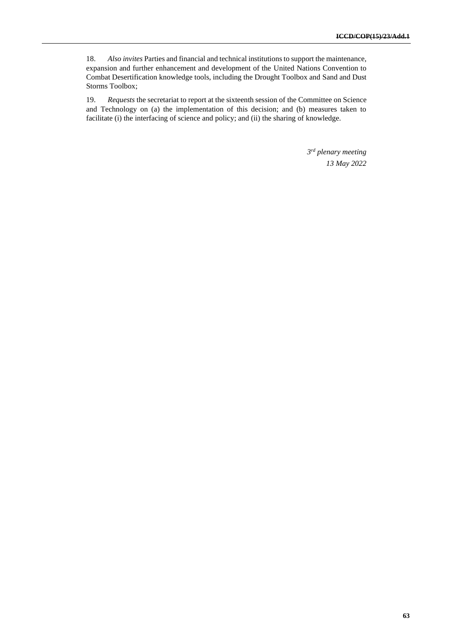18. *Also invites* Parties and financial and technical institutions to support the maintenance, expansion and further enhancement and development of the United Nations Convention to Combat Desertification knowledge tools, including the Drought Toolbox and Sand and Dust Storms Toolbox;

19. *Requests* the secretariat to report at the sixteenth session of the Committee on Science and Technology on (a) the implementation of this decision; and (b) measures taken to facilitate (i) the interfacing of science and policy; and (ii) the sharing of knowledge.

> *3 rd plenary meeting 13 May 2022*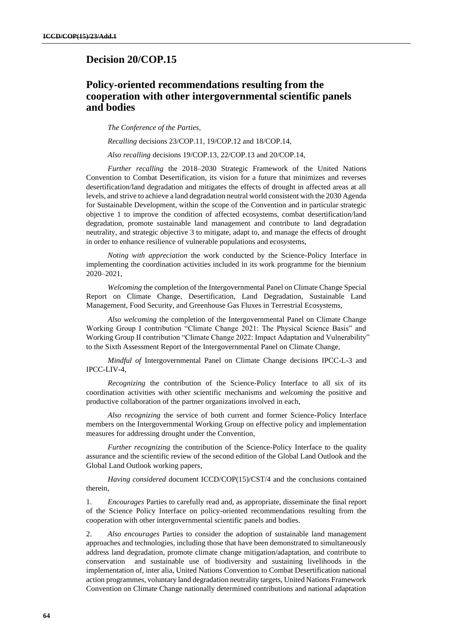### **Decision 20/COP.15**

## **Policy-oriented recommendations resulting from the cooperation with other intergovernmental scientific panels and bodies**

*The Conference of the Parties,* 

*Recalling* decisions 23/COP.11, 19/COP.12 and 18/COP.14,

*Also recalling* decisions 19/COP.13, 22/COP.13 and 20/COP.14,

*Further recalling* the 2018–2030 Strategic Framework of the United Nations Convention to Combat Desertification, its vision for a future that minimizes and reverses desertification/land degradation and mitigates the effects of drought in affected areas at all levels, and strive to achieve a land degradation neutral world consistent with the 2030 Agenda for Sustainable Development, within the scope of the Convention and in particular strategic objective 1 to improve the condition of affected ecosystems, combat desertification/land degradation, promote sustainable land management and contribute to land degradation neutrality, and strategic objective 3 to mitigate, adapt to, and manage the effects of drought in order to enhance resilience of vulnerable populations and ecosystems,

*Noting with appreciation* the work conducted by the Science-Policy Interface in implementing the coordination activities included in its work programme for the biennium 2020–2021,

*Welcoming* the completion of the Intergovernmental Panel on Climate Change Special Report on Climate Change, Desertification, Land Degradation, Sustainable Land Management, Food Security, and Greenhouse Gas Fluxes in Terrestrial Ecosystems,

*Also welcoming* the completion of the Intergovernmental Panel on Climate Change Working Group I contribution "Climate Change 2021: The Physical Science Basis" and Working Group II contribution "Climate Change 2022: Impact Adaptation and Vulnerability" to the Sixth Assessment Report of the Intergovernmental Panel on Climate Change,

*Mindful of* Intergovernmental Panel on Climate Change decisions IPCC-L-3 and IPCC-LIV-4,

*Recognizing* the contribution of the Science-Policy Interface to all six of its coordination activities with other scientific mechanisms and *welcoming* the positive and productive collaboration of the partner organizations involved in each,

*Also recognizing* the service of both current and former Science-Policy Interface members on the Intergovernmental Working Group on effective policy and implementation measures for addressing drought under the Convention,

*Further recognizing* the contribution of the Science-Policy Interface to the quality assurance and the scientific review of the second edition of the Global Land Outlook and the Global Land Outlook working papers,

*Having considered* document ICCD/COP(15)/CST/4 and the conclusions contained therein,

1. *Encourages* Parties to carefully read and, as appropriate, disseminate the final report of the Science Policy Interface on policy-oriented recommendations resulting from the cooperation with other intergovernmental scientific panels and bodies.

2. *Also encourages* Parties to consider the adoption of sustainable land management approaches and technologies, including those that have been demonstrated to simultaneously address land degradation, promote climate change mitigation/adaptation, and contribute to conservation and sustainable use of biodiversity and sustaining livelihoods in the implementation of, inter alia, United Nations Convention to Combat Desertification national action programmes, voluntary land degradation neutrality targets, United Nations Framework Convention on Climate Change nationally determined contributions and national adaptation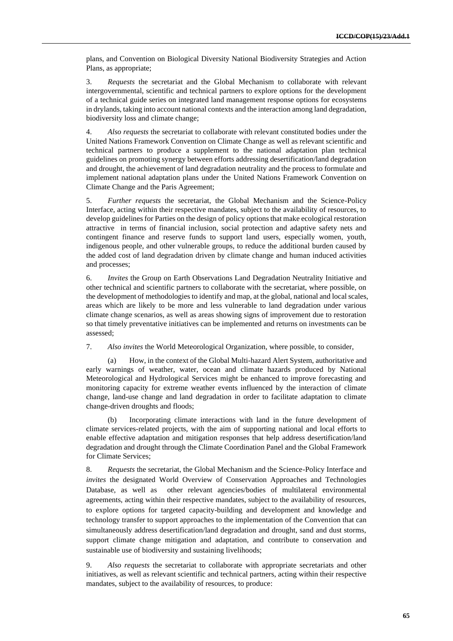plans, and Convention on Biological Diversity National Biodiversity Strategies and Action Plans, as appropriate;

3. *Requests* the secretariat and the Global Mechanism to collaborate with relevant intergovernmental, scientific and technical partners to explore options for the development of a technical guide series on integrated land management response options for ecosystems in drylands, taking into account national contexts and the interaction among land degradation, biodiversity loss and climate change;

4. *Also requests* the secretariat to collaborate with relevant constituted bodies under the United Nations Framework Convention on Climate Change as well as relevant scientific and technical partners to produce a supplement to the national adaptation plan technical guidelines on promoting synergy between efforts addressing desertification/land degradation and drought, the achievement of land degradation neutrality and the process to formulate and implement national adaptation plans under the United Nations Framework Convention on Climate Change and the Paris Agreement;

5. *Further requests* the secretariat, the Global Mechanism and the Science-Policy Interface, acting within their respective mandates, subject to the availability of resources, to develop guidelines for Parties on the design of policy options that make ecological restoration attractive in terms of financial inclusion, social protection and adaptive safety nets and contingent finance and reserve funds to support land users, especially women, youth, indigenous people, and other vulnerable groups, to reduce the additional burden caused by the added cost of land degradation driven by climate change and human induced activities and processes;

6. *Invites* the Group on Earth Observations Land Degradation Neutrality Initiative and other technical and scientific partners to collaborate with the secretariat, where possible, on the development of methodologies to identify and map, at the global, national and local scales, areas which are likely to be more and less vulnerable to land degradation under various climate change scenarios, as well as areas showing signs of improvement due to restoration so that timely preventative initiatives can be implemented and returns on investments can be assessed;

7. *Also invites* the World Meteorological Organization, where possible, to consider,

(a) How, in the context of the Global Multi-hazard Alert System, authoritative and early warnings of weather, water, ocean and climate hazards produced by National Meteorological and Hydrological Services might be enhanced to improve forecasting and monitoring capacity for extreme weather events influenced by the interaction of climate change, land-use change and land degradation in order to facilitate adaptation to climate change-driven droughts and floods;

(b) Incorporating climate interactions with land in the future development of climate services-related projects, with the aim of supporting national and local efforts to enable effective adaptation and mitigation responses that help address desertification/land degradation and drought through the Climate Coordination Panel and the Global Framework for Climate Services;

8. *Requests* the secretariat, the Global Mechanism and the Science-Policy Interface and *invites* the designated World Overview of Conservation Approaches and Technologies Database, as well as other relevant agencies/bodies of multilateral environmental agreements, acting within their respective mandates, subject to the availability of resources, to explore options for targeted capacity-building and development and knowledge and technology transfer to support approaches to the implementation of the Convention that can simultaneously address desertification/land degradation and drought, sand and dust storms, support climate change mitigation and adaptation, and contribute to conservation and sustainable use of biodiversity and sustaining livelihoods;

9. *Also requests* the secretariat to collaborate with appropriate secretariats and other initiatives, as well as relevant scientific and technical partners, acting within their respective mandates, subject to the availability of resources, to produce: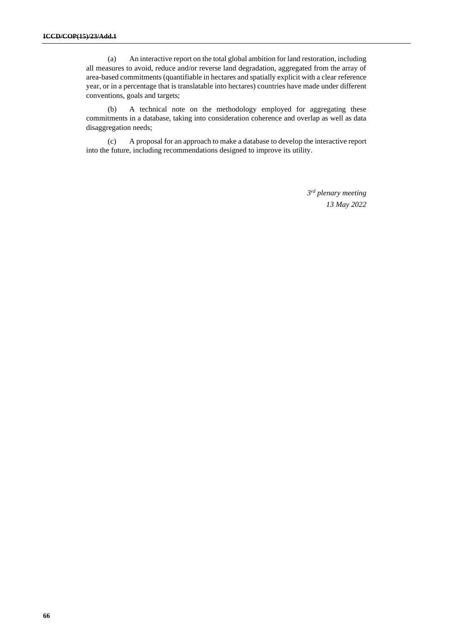(a) An interactive report on the total global ambition for land restoration, including all measures to avoid, reduce and/or reverse land degradation, aggregated from the array of area-based commitments (quantifiable in hectares and spatially explicit with a clear reference year, or in a percentage that is translatable into hectares) countries have made under different conventions, goals and targets;

(b) A technical note on the methodology employed for aggregating these commitments in a database, taking into consideration coherence and overlap as well as data disaggregation needs;

(c) A proposal for an approach to make a database to develop the interactive report into the future, including recommendations designed to improve its utility.

> *3 rd plenary meeting 13 May 2022*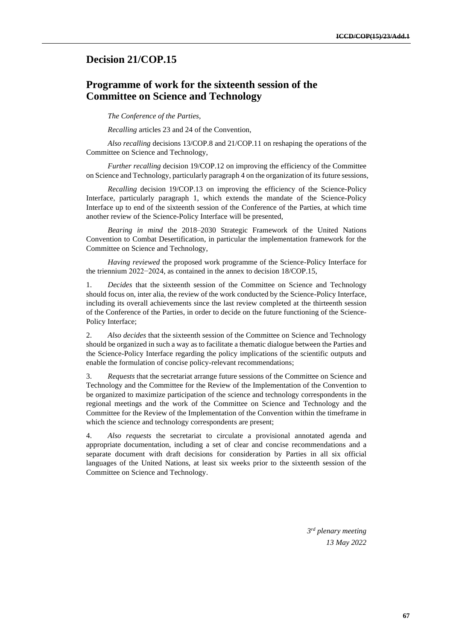## **Decision 21/COP.15**

## **Programme of work for the sixteenth session of the Committee on Science and Technology**

*The Conference of the Parties,* 

*Recalling* articles 23 and 24 of the Convention,

*Also recalling* decisions 13/COP.8 and 21/COP.11 on reshaping the operations of the Committee on Science and Technology,

*Further recalling* decision 19/COP.12 on improving the efficiency of the Committee on Science and Technology, particularly paragraph 4 on the organization of its future sessions,

*Recalling* decision 19/COP.13 on improving the efficiency of the Science-Policy Interface, particularly paragraph 1, which extends the mandate of the Science-Policy Interface up to end of the sixteenth session of the Conference of the Parties, at which time another review of the Science-Policy Interface will be presented,

*Bearing in mind* the 2018–2030 Strategic Framework of the United Nations Convention to Combat Desertification, in particular the implementation framework for the Committee on Science and Technology,

*Having reviewed* the proposed work programme of the Science-Policy Interface for the triennium 2022−2024, as contained in the annex to decision 18/COP.15,

1. *Decides* that the sixteenth session of the Committee on Science and Technology should focus on, inter alia, the review of the work conducted by the Science-Policy Interface, including its overall achievements since the last review completed at the thirteenth session of the Conference of the Parties, in order to decide on the future functioning of the Science-Policy Interface;

2. *Also decides* that the sixteenth session of the Committee on Science and Technology should be organized in such a way as to facilitate a thematic dialogue between the Parties and the Science-Policy Interface regarding the policy implications of the scientific outputs and enable the formulation of concise policy-relevant recommendations;

3. *Requests* that the secretariat arrange future sessions of the Committee on Science and Technology and the Committee for the Review of the Implementation of the Convention to be organized to maximize participation of the science and technology correspondents in the regional meetings and the work of the Committee on Science and Technology and the Committee for the Review of the Implementation of the Convention within the timeframe in which the science and technology correspondents are present;

4. *Also requests* the secretariat to circulate a provisional annotated agenda and appropriate documentation, including a set of clear and concise recommendations and a separate document with draft decisions for consideration by Parties in all six official languages of the United Nations, at least six weeks prior to the sixteenth session of the Committee on Science and Technology.

> *3 rd plenary meeting 13 May 2022*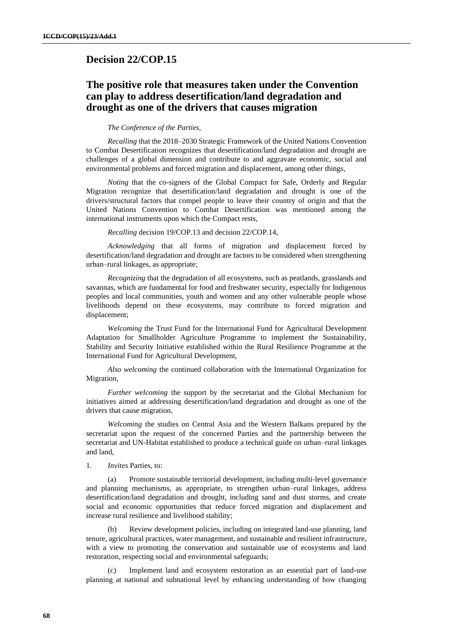## **Decision 22/COP.15**

# **The positive role that measures taken under the Convention can play to address desertification/land degradation and drought as one of the drivers that causes migration**

#### *The Conference of the Parties,*

*Recalling* that the 2018–2030 Strategic Framework of the United Nations Convention to Combat Desertification recognizes that desertification/land degradation and drought are challenges of a global dimension and contribute to and aggravate economic, social and environmental problems and forced migration and displacement, among other things,

*Noting* that the co-signers of the Global Compact for Safe, Orderly and Regular Migration recognize that desertification/land degradation and drought is one of the drivers/structural factors that compel people to leave their country of origin and that the United Nations Convention to Combat Desertification was mentioned among the international instruments upon which the Compact rests,

*Recalling* decision 19/COP.13 and decision 22/COP.14,

*Acknowledging* that all forms of migration and displacement forced by desertification/land degradation and drought are factors to be considered when strengthening urban–rural linkages, as appropriate;

*Recognizing* that the degradation of all ecosystems, such as peatlands, grasslands and savannas, which are fundamental for food and freshwater security, especially for Indigenous peoples and local communities, youth and women and any other vulnerable people whose livelihoods depend on these ecosystems, may contribute to forced migration and displacement;

*Welcoming* the Trust Fund for the International Fund for Agricultural Development Adaptation for Smallholder Agriculture Programme to implement the Sustainability, Stability and Security Initiative established within the Rural Resilience Programme at the International Fund for Agricultural Development,

*Also welcoming* the continued collaboration with the International Organization for Migration,

*Further welcoming* the support by the secretariat and the Global Mechanism for initiatives aimed at addressing desertification/land degradation and drought as one of the drivers that cause migration,

*Welcoming* the studies on Central Asia and the Western Balkans prepared by the secretariat upon the request of the concerned Parties and the partnership between the secretariat and UN-Habitat established to produce a technical guide on urban–rural linkages and land,

1. *Invites* Parties, to:

(a) Promote sustainable territorial development, including multi-level governance and planning mechanisms, as appropriate, to strengthen urban–rural linkages, address desertification/land degradation and drought, including sand and dust storms, and create social and economic opportunities that reduce forced migration and displacement and increase rural resilience and livelihood stability;

Review development policies, including on integrated land-use planning, land tenure, agricultural practices, water management, and sustainable and resilient infrastructure, with a view to promoting the conservation and sustainable use of ecosystems and land restoration, respecting social and environmental safeguards;

(c) Implement land and ecosystem restoration as an essential part of land-use planning at national and subnational level by enhancing understanding of how changing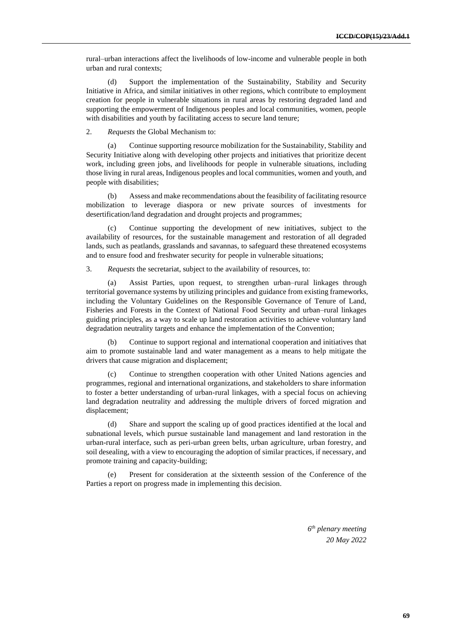rural–urban interactions affect the livelihoods of low-income and vulnerable people in both urban and rural contexts;

(d) Support the implementation of the Sustainability, Stability and Security Initiative in Africa, and similar initiatives in other regions, which contribute to employment creation for people in vulnerable situations in rural areas by restoring degraded land and supporting the empowerment of Indigenous peoples and local communities, women, people with disabilities and youth by facilitating access to secure land tenure;

2. *Requests* the Global Mechanism to:

(a) Continue supporting resource mobilization for the Sustainability, Stability and Security Initiative along with developing other projects and initiatives that prioritize decent work, including green jobs, and livelihoods for people in vulnerable situations, including those living in rural areas, Indigenous peoples and local communities, women and youth, and people with disabilities;

(b) Assess and make recommendations about the feasibility of facilitating resource mobilization to leverage diaspora or new private sources of investments for desertification/land degradation and drought projects and programmes;

Continue supporting the development of new initiatives, subject to the availability of resources, for the sustainable management and restoration of all degraded lands, such as peatlands, grasslands and savannas, to safeguard these threatened ecosystems and to ensure food and freshwater security for people in vulnerable situations;

3. *Requests* the secretariat, subject to the availability of resources, to:

(a) Assist Parties, upon request, to strengthen urban–rural linkages through territorial governance systems by utilizing principles and guidance from existing frameworks, including the Voluntary Guidelines on the Responsible Governance of Tenure of Land, Fisheries and Forests in the Context of National Food Security and urban–rural linkages guiding principles, as a way to scale up land restoration activities to achieve voluntary land degradation neutrality targets and enhance the implementation of the Convention;

(b) Continue to support regional and international cooperation and initiatives that aim to promote sustainable land and water management as a means to help mitigate the drivers that cause migration and displacement;

(c) Continue to strengthen cooperation with other United Nations agencies and programmes, regional and international organizations, and stakeholders to share information to foster a better understanding of urban-rural linkages, with a special focus on achieving land degradation neutrality and addressing the multiple drivers of forced migration and displacement;

(d) Share and support the scaling up of good practices identified at the local and subnational levels, which pursue sustainable land management and land restoration in the urban-rural interface, such as peri-urban green belts, urban agriculture, urban forestry, and soil desealing, with a view to encouraging the adoption of similar practices, if necessary, and promote training and capacity-building;

(e) Present for consideration at the sixteenth session of the Conference of the Parties a report on progress made in implementing this decision.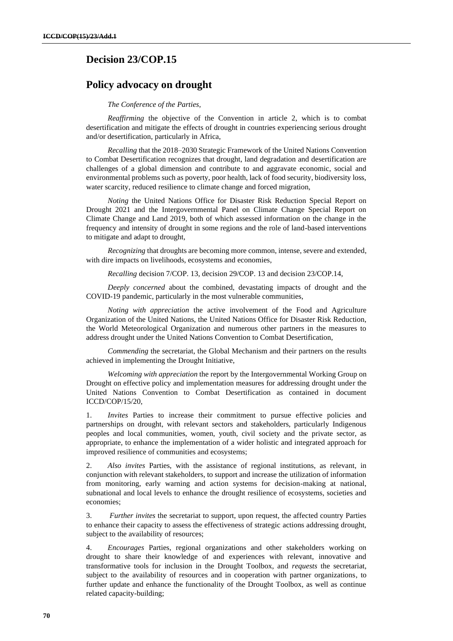## **Decision 23/COP.15**

### **Policy advocacy on drought**

#### *The Conference of the Parties,*

*Reaffirming* the objective of the Convention in article 2, which is to combat desertification and mitigate the effects of drought in countries experiencing serious drought and/or desertification, particularly in Africa,

*Recalling* that the 2018–2030 Strategic Framework of the United Nations Convention to Combat Desertification recognizes that drought, land degradation and desertification are challenges of a global dimension and contribute to and aggravate economic, social and environmental problems such as poverty, poor health, lack of food security, biodiversity loss, water scarcity, reduced resilience to climate change and forced migration,

*Noting* the United Nations Office for Disaster Risk Reduction Special Report on Drought 2021 and the Intergovernmental Panel on Climate Change Special Report on Climate Change and Land 2019, both of which assessed information on the change in the frequency and intensity of drought in some regions and the role of land-based interventions to mitigate and adapt to drought,

*Recognizing* that droughts are becoming more common, intense, severe and extended, with dire impacts on livelihoods, ecosystems and economies,

*Recalling* decision 7/COP. 13, decision 29/COP. 13 and decision 23/COP.14,

*Deeply concerned* about the combined, devastating impacts of drought and the COVID-19 pandemic, particularly in the most vulnerable communities,

*Noting with appreciation* the active involvement of the Food and Agriculture Organization of the United Nations, the United Nations Office for Disaster Risk Reduction, the World Meteorological Organization and numerous other partners in the measures to address drought under the United Nations Convention to Combat Desertification,

*Commending* the secretariat, the Global Mechanism and their partners on the results achieved in implementing the Drought Initiative,

*Welcoming with appreciation* the report by the Intergovernmental Working Group on Drought on effective policy and implementation measures for addressing drought under the United Nations Convention to Combat Desertification as contained in document ICCD/COP/15/20,

1. *Invites* Parties to increase their commitment to pursue effective policies and partnerships on drought, with relevant sectors and stakeholders, particularly Indigenous peoples and local communities, women, youth, civil society and the private sector, as appropriate, to enhance the implementation of a wider holistic and integrated approach for improved resilience of communities and ecosystems;

2. *Also invites* Parties, with the assistance of regional institutions, as relevant, in conjunction with relevant stakeholders, to support and increase the utilization of information from monitoring, early warning and action systems for decision-making at national, subnational and local levels to enhance the drought resilience of ecosystems, societies and economies;

3. *Further invites* the secretariat to support, upon request, the affected country Parties to enhance their capacity to assess the effectiveness of strategic actions addressing drought, subject to the availability of resources;

4. *Encourages* Parties, regional organizations and other stakeholders working on drought to share their knowledge of and experiences with relevant, innovative and transformative tools for inclusion in the Drought Toolbox, and *requests* the secretariat, subject to the availability of resources and in cooperation with partner organizations, to further update and enhance the functionality of the Drought Toolbox, as well as continue related capacity-building;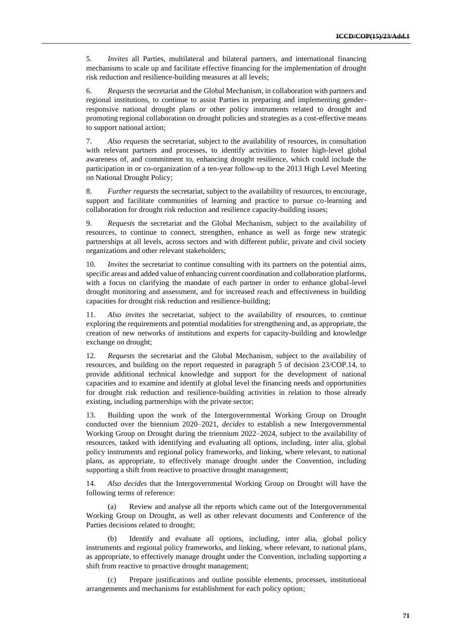5. *Invites* all Parties, multilateral and bilateral partners, and international financing mechanisms to scale up and facilitate effective financing for the implementation of drought risk reduction and resilience-building measures at all levels;

6. *Requests* the secretariat and the Global Mechanism, in collaboration with partners and regional institutions, to continue to assist Parties in preparing and implementing genderresponsive national drought plans or other policy instruments related to drought and promoting regional collaboration on drought policies and strategies as a cost-effective means to support national action;

7. *Also requests* the secretariat, subject to the availability of resources, in consultation with relevant partners and processes, to identify activities to foster high-level global awareness of, and commitment to, enhancing drought resilience, which could include the participation in or co-organization of a ten-year follow-up to the 2013 High Level Meeting on National Drought Policy;

8. *Further requests* the secretariat, subject to the availability of resources, to encourage, support and facilitate communities of learning and practice to pursue co-learning and collaboration for drought risk reduction and resilience capacity-building issues;

9. *Requests* the secretariat and the Global Mechanism, subject to the availability of resources, to continue to connect, strengthen, enhance as well as forge new strategic partnerships at all levels, across sectors and with different public, private and civil society organizations and other relevant stakeholders;

10. *Invites* the secretariat to continue consulting with its partners on the potential aims, specific areas and added value of enhancing current coordination and collaboration platforms, with a focus on clarifying the mandate of each partner in order to enhance global-level drought monitoring and assessment, and for increased reach and effectiveness in building capacities for drought risk reduction and resilience-building;

11. *Also invites* the secretariat, subject to the availability of resources, to continue exploring the requirements and potential modalities for strengthening and, as appropriate, the creation of new networks of institutions and experts for capacity-building and knowledge exchange on drought;

12. *Requests* the secretariat and the Global Mechanism, subject to the availability of resources, and building on the report requested in paragraph 5 of decision 23/COP.14, to provide additional technical knowledge and support for the development of national capacities and to examine and identify at global level the financing needs and opportunities for drought risk reduction and resilience-building activities in relation to those already existing, including partnerships with the private sector;

13. Building upon the work of the Intergovernmental Working Group on Drought conducted over the biennium 2020–2021, *decides* to establish a new Intergovernmental Working Group on Drought during the triennium 2022–2024, subject to the availability of resources, tasked with identifying and evaluating all options, including, inter alia, global policy instruments and regional policy frameworks, and linking, where relevant, to national plans, as appropriate, to effectively manage drought under the Convention, including supporting a shift from reactive to proactive drought management;

14. *Also decides* that the Intergovernmental Working Group on Drought will have the following terms of reference:

(a) Review and analyse all the reports which came out of the Intergovernmental Working Group on Drought, as well as other relevant documents and Conference of the Parties decisions related to drought;

(b) Identify and evaluate all options, including, inter alia, global policy instruments and regional policy frameworks, and linking, where relevant, to national plans, as appropriate, to effectively manage drought under the Convention, including supporting a shift from reactive to proactive drought management;

(c) Prepare justifications and outline possible elements, processes, institutional arrangements and mechanisms for establishment for each policy option;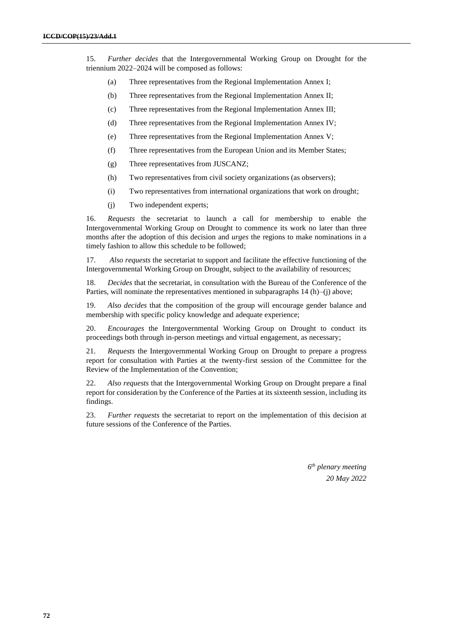15. *Further decides* that the Intergovernmental Working Group on Drought for the triennium 2022–2024 will be composed as follows:

- (a) Three representatives from the Regional Implementation Annex I;
- (b) Three representatives from the Regional Implementation Annex II;
- (c) Three representatives from the Regional Implementation Annex III;
- (d) Three representatives from the Regional Implementation Annex IV;
- (e) Three representatives from the Regional Implementation Annex V;
- (f) Three representatives from the European Union and its Member States;
- (g) Three representatives from JUSCANZ;
- (h) Two representatives from civil society organizations (as observers);
- (i) Two representatives from international organizations that work on drought;
- (j) Two independent experts;

16. *Requests* the secretariat to launch a call for membership to enable the Intergovernmental Working Group on Drought to commence its work no later than three months after the adoption of this decision and *urges* the regions to make nominations in a timely fashion to allow this schedule to be followed;

17. *Also requests* the secretariat to support and facilitate the effective functioning of the Intergovernmental Working Group on Drought, subject to the availability of resources;

18. *Decides* that the secretariat, in consultation with the Bureau of the Conference of the Parties, will nominate the representatives mentioned in subparagraphs 14 (h)–(j) above;

19. *Also decides* that the composition of the group will encourage gender balance and membership with specific policy knowledge and adequate experience;

20. *Encourages* the Intergovernmental Working Group on Drought to conduct its proceedings both through in-person meetings and virtual engagement, as necessary;

21. *Requests* the Intergovernmental Working Group on Drought to prepare a progress report for consultation with Parties at the twenty-first session of the Committee for the Review of the Implementation of the Convention;

22. *Also requests* that the Intergovernmental Working Group on Drought prepare a final report for consideration by the Conference of the Parties at its sixteenth session, including its findings.

23. *Further requests* the secretariat to report on the implementation of this decision at future sessions of the Conference of the Parties.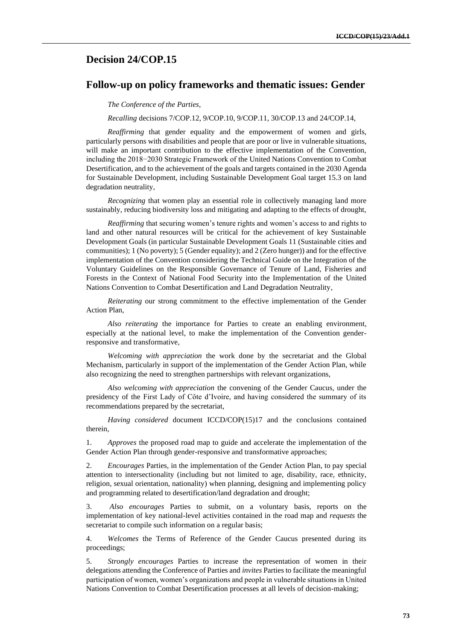### **Decision 24/COP.15**

#### **Follow-up on policy frameworks and thematic issues: Gender**

#### *The Conference of the Parties,*

*Recalling* decisions 7/COP.12, 9/COP.10, 9/COP.11, 30/COP.13 and 24/COP.14,

*Reaffirming* that gender equality and the empowerment of women and girls, particularly persons with disabilities and people that are poor or live in vulnerable situations, will make an important contribution to the effective implementation of the Convention, including the 2018−2030 Strategic Framework of the United Nations Convention to Combat Desertification, and to the achievement of the goals and targets contained in the 2030 Agenda for Sustainable Development, including Sustainable Development Goal target 15.3 on land degradation neutrality,

*Recognizing* that women play an essential role in collectively managing land more sustainably, reducing biodiversity loss and mitigating and adapting to the effects of drought,

*Reaffirming* that securing women's tenure rights and women's access to and rights to land and other natural resources will be critical for the achievement of key Sustainable Development Goals (in particular Sustainable Development Goals 11 (Sustainable cities and communities); 1 (No poverty); 5 (Gender equality); and 2 (Zero hunger)) and for the effective implementation of the Convention considering the Technical Guide on the Integration of the Voluntary Guidelines on the Responsible Governance of Tenure of Land, Fisheries and Forests in the Context of National Food Security into the Implementation of the United Nations Convention to Combat Desertification and Land Degradation Neutrality,

*Reiterating* our strong commitment to the effective implementation of the Gender Action Plan,

*Also reiterating* the importance for Parties to create an enabling environment, especially at the national level, to make the implementation of the Convention genderresponsive and transformative,

*Welcoming with appreciation* the work done by the secretariat and the Global Mechanism, particularly in support of the implementation of the Gender Action Plan, while also recognizing the need to strengthen partnerships with relevant organizations,

*Also welcoming with appreciation* the convening of the Gender Caucus, under the presidency of the First Lady of Côte d'Ivoire, and having considered the summary of its recommendations prepared by the secretariat,

*Having considered* document ICCD/COP(15)17 and the conclusions contained therein,

1. *Approves* the proposed road map to guide and accelerate the implementation of the Gender Action Plan through gender-responsive and transformative approaches;

2. *Encourages* Parties, in the implementation of the Gender Action Plan, to pay special attention to intersectionality (including but not limited to age, disability, race, ethnicity, religion, sexual orientation, nationality) when planning, designing and implementing policy and programming related to desertification/land degradation and drought;

3. *Also encourages* Parties to submit, on a voluntary basis, reports on the implementation of key national-level activities contained in the road map and *requests* the secretariat to compile such information on a regular basis;

4. *Welcomes* the Terms of Reference of the Gender Caucus presented during its proceedings;

5. *Strongly encourages* Parties to increase the representation of women in their delegations attending the Conference of Parties and *invites* Parties to facilitate the meaningful participation of women, women's organizations and people in vulnerable situations in United Nations Convention to Combat Desertification processes at all levels of decision-making;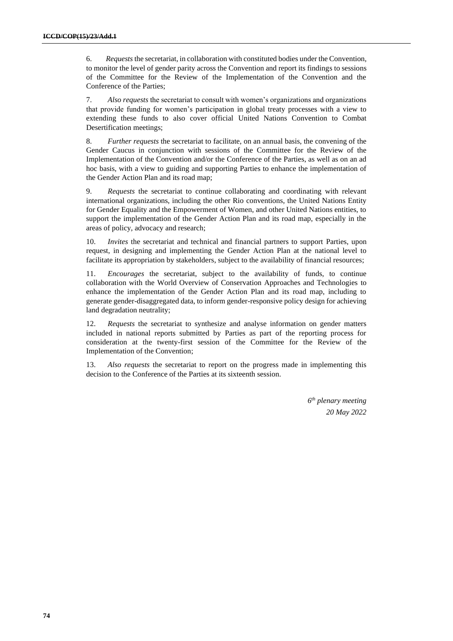6. *Requests*the secretariat, in collaboration with constituted bodies under the Convention, to monitor the level of gender parity across the Convention and report its findings to sessions of the Committee for the Review of the Implementation of the Convention and the Conference of the Parties;

7. *Also requests* the secretariat to consult with women's organizations and organizations that provide funding for women's participation in global treaty processes with a view to extending these funds to also cover official United Nations Convention to Combat Desertification meetings;

8. *Further requests* the secretariat to facilitate, on an annual basis, the convening of the Gender Caucus in conjunction with sessions of the Committee for the Review of the Implementation of the Convention and/or the Conference of the Parties, as well as on an ad hoc basis, with a view to guiding and supporting Parties to enhance the implementation of the Gender Action Plan and its road map;

9. *Requests* the secretariat to continue collaborating and coordinating with relevant international organizations, including the other Rio conventions, the United Nations Entity for Gender Equality and the Empowerment of Women, and other United Nations entities, to support the implementation of the Gender Action Plan and its road map, especially in the areas of policy, advocacy and research;

10. *Invites* the secretariat and technical and financial partners to support Parties, upon request, in designing and implementing the Gender Action Plan at the national level to facilitate its appropriation by stakeholders, subject to the availability of financial resources;

11. *Encourages* the secretariat, subject to the availability of funds, to continue collaboration with the World Overview of Conservation Approaches and Technologies to enhance the implementation of the Gender Action Plan and its road map, including to generate gender-disaggregated data, to inform gender-responsive policy design for achieving land degradation neutrality;

12. *Requests* the secretariat to synthesize and analyse information on gender matters included in national reports submitted by Parties as part of the reporting process for consideration at the twenty-first session of the Committee for the Review of the Implementation of the Convention;

13. *Also requests* the secretariat to report on the progress made in implementing this decision to the Conference of the Parties at its sixteenth session.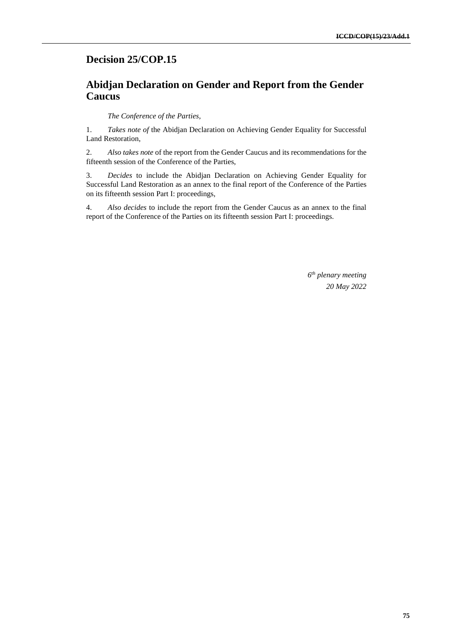## **Decision 25/COP.15**

## **Abidjan Declaration on Gender and Report from the Gender Caucus**

*The Conference of the Parties,*

1. *Takes note of* the Abidjan Declaration on Achieving Gender Equality for Successful Land Restoration,

2. *Also takes note* of the report from the Gender Caucus and its recommendations for the fifteenth session of the Conference of the Parties,

3. *Decides* to include the Abidjan Declaration on Achieving Gender Equality for Successful Land Restoration as an annex to the final report of the Conference of the Parties on its fifteenth session Part I: proceedings,

4. *Also decides* to include the report from the Gender Caucus as an annex to the final report of the Conference of the Parties on its fifteenth session Part I: proceedings.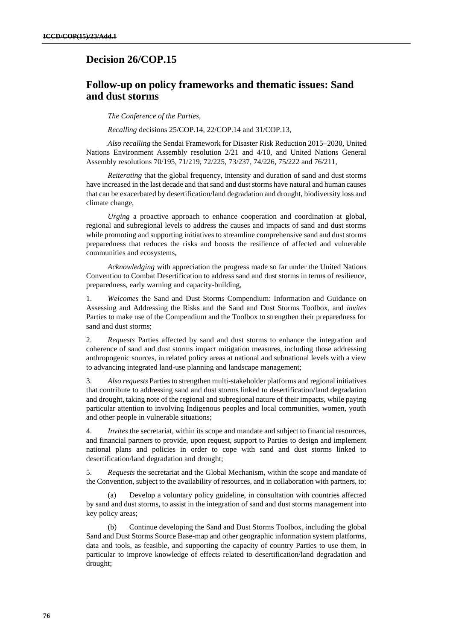### **Decision 26/COP.15**

### **Follow-up on policy frameworks and thematic issues: Sand and dust storms**

*The Conference of the Parties,*

*Recalling* decisions 25/COP.14, 22/COP.14 and 31/COP.13,

*Also recalling* the Sendai Framework for Disaster Risk Reduction 2015–2030, United Nations Environment Assembly resolution 2/21 and 4/10, and United Nations General Assembly resolutions 70/195, 71/219, 72/225, 73/237, 74/226, 75/222 and 76/211,

*Reiterating* that the global frequency, intensity and duration of sand and dust storms have increased in the last decade and that sand and dust storms have natural and human causes that can be exacerbated by desertification/land degradation and drought, biodiversity loss and climate change,

*Urging* a proactive approach to enhance cooperation and coordination at global, regional and subregional levels to address the causes and impacts of sand and dust storms while promoting and supporting initiatives to streamline comprehensive sand and dust storms preparedness that reduces the risks and boosts the resilience of affected and vulnerable communities and ecosystems,

*Acknowledging* with appreciation the progress made so far under the United Nations Convention to Combat Desertification to address sand and dust storms in terms of resilience, preparedness, early warning and capacity-building,

1. *Welcomes* the Sand and Dust Storms Compendium: Information and Guidance on Assessing and Addressing the Risks and the Sand and Dust Storms Toolbox, and *invites* Parties to make use of the Compendium and the Toolbox to strengthen their preparedness for sand and dust storms;

2. *Requests* Parties affected by sand and dust storms to enhance the integration and coherence of sand and dust storms impact mitigation measures, including those addressing anthropogenic sources, in related policy areas at national and subnational levels with a view to advancing integrated land-use planning and landscape management;

3. *Also requests* Parties to strengthen multi-stakeholder platforms and regional initiatives that contribute to addressing sand and dust storms linked to desertification/land degradation and drought, taking note of the regional and subregional nature of their impacts, while paying particular attention to involving Indigenous peoples and local communities, women, youth and other people in vulnerable situations;

4. *Invites* the secretariat, within its scope and mandate and subject to financial resources, and financial partners to provide, upon request, support to Parties to design and implement national plans and policies in order to cope with sand and dust storms linked to desertification/land degradation and drought;

5. *Requests* the secretariat and the Global Mechanism, within the scope and mandate of the Convention, subject to the availability of resources, and in collaboration with partners, to:

Develop a voluntary policy guideline, in consultation with countries affected by sand and dust storms, to assist in the integration of sand and dust storms management into key policy areas;

Continue developing the Sand and Dust Storms Toolbox, including the global Sand and Dust Storms Source Base-map and other geographic information system platforms, data and tools, as feasible, and supporting the capacity of country Parties to use them, in particular to improve knowledge of effects related to desertification/land degradation and drought;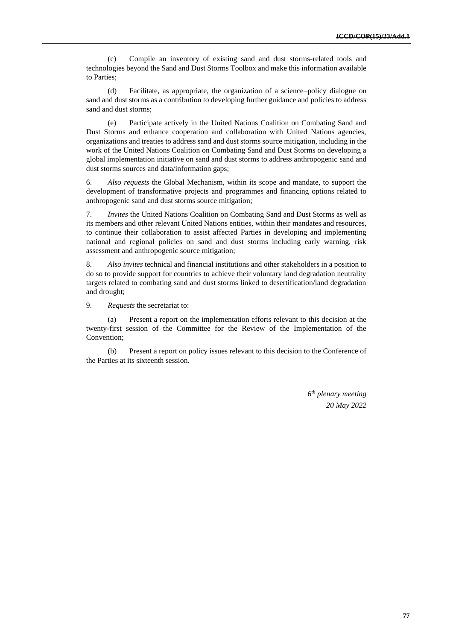(c) Compile an inventory of existing sand and dust storms-related tools and technologies beyond the Sand and Dust Storms Toolbox and make this information available to Parties;

(d) Facilitate, as appropriate, the organization of a science–policy dialogue on sand and dust storms as a contribution to developing further guidance and policies to address sand and dust storms;

(e) Participate actively in the United Nations Coalition on Combating Sand and Dust Storms and enhance cooperation and collaboration with United Nations agencies, organizations and treaties to address sand and dust storms source mitigation, including in the work of the United Nations Coalition on Combating Sand and Dust Storms on developing a global implementation initiative on sand and dust storms to address anthropogenic sand and dust storms sources and data/information gaps;

6. *Also requests* the Global Mechanism, within its scope and mandate, to support the development of transformative projects and programmes and financing options related to anthropogenic sand and dust storms source mitigation;

7. *Invites* the United Nations Coalition on Combating Sand and Dust Storms as well as its members and other relevant United Nations entities, within their mandates and resources, to continue their collaboration to assist affected Parties in developing and implementing national and regional policies on sand and dust storms including early warning, risk assessment and anthropogenic source mitigation;

8. *Also invites* technical and financial institutions and other stakeholders in a position to do so to provide support for countries to achieve their voluntary land degradation neutrality targets related to combating sand and dust storms linked to desertification/land degradation and drought;

9. *Requests* the secretariat to:

(a) Present a report on the implementation efforts relevant to this decision at the twenty-first session of the Committee for the Review of the Implementation of the Convention;

(b) Present a report on policy issues relevant to this decision to the Conference of the Parties at its sixteenth session.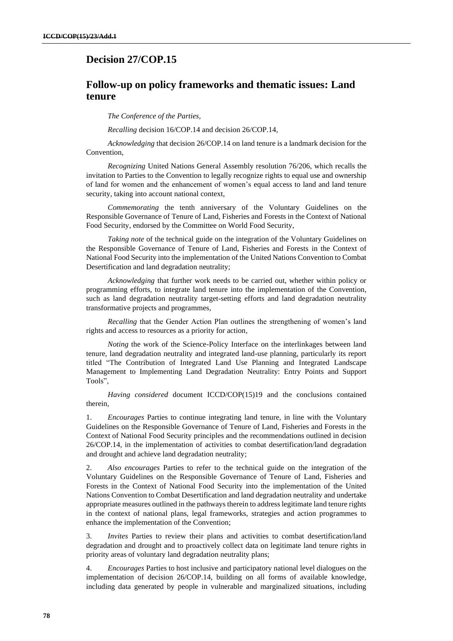### **Decision 27/COP.15**

### **Follow-up on policy frameworks and thematic issues: Land tenure**

*The Conference of the Parties,* 

*Recalling* decision 16/COP.14 and decision 26/COP.14,

*Acknowledging* that decision 26/COP.14 on land tenure is a landmark decision for the Convention,

*Recognizing* United Nations General Assembly resolution 76/206, which recalls the invitation to Parties to the Convention to legally recognize rights to equal use and ownership of land for women and the enhancement of women's equal access to land and land tenure security, taking into account national context,

*Commemorating* the tenth anniversary of the Voluntary Guidelines on the Responsible Governance of Tenure of Land, Fisheries and Forests in the Context of National Food Security, endorsed by the Committee on World Food Security,

*Taking note* of the technical guide on the integration of the Voluntary Guidelines on the Responsible Governance of Tenure of Land, Fisheries and Forests in the Context of National Food Security into the implementation of the United Nations Convention to Combat Desertification and land degradation neutrality;

*Acknowledging* that further work needs to be carried out, whether within policy or programming efforts, to integrate land tenure into the implementation of the Convention, such as land degradation neutrality target-setting efforts and land degradation neutrality transformative projects and programmes,

*Recalling* that the Gender Action Plan outlines the strengthening of women's land rights and access to resources as a priority for action*,*

*Noting* the work of the Science-Policy Interface on the interlinkages between land tenure, land degradation neutrality and integrated land-use planning, particularly its report titled "The Contribution of Integrated Land Use Planning and Integrated Landscape Management to Implementing Land Degradation Neutrality: Entry Points and Support Tools",

*Having considered* document ICCD/COP(15)19 and the conclusions contained therein,

1. *Encourages* Parties to continue integrating land tenure, in line with the Voluntary Guidelines on the Responsible Governance of Tenure of Land, Fisheries and Forests in the Context of National Food Security principles and the recommendations outlined in decision 26/COP.14, in the implementation of activities to combat desertification/land degradation and drought and achieve land degradation neutrality;

2. *Also encourages* Parties to refer to the technical guide on the integration of the Voluntary Guidelines on the Responsible Governance of Tenure of Land, Fisheries and Forests in the Context of National Food Security into the implementation of the United Nations Convention to Combat Desertification and land degradation neutrality and undertake appropriate measures outlined in the pathways therein to address legitimate land tenure rights in the context of national plans, legal frameworks, strategies and action programmes to enhance the implementation of the Convention;

3. *Invites* Parties to review their plans and activities to combat desertification/land degradation and drought and to proactively collect data on legitimate land tenure rights in priority areas of voluntary land degradation neutrality plans;

4. *Encourages* Parties to host inclusive and participatory national level dialogues on the implementation of decision 26/COP.14, building on all forms of available knowledge, including data generated by people in vulnerable and marginalized situations, including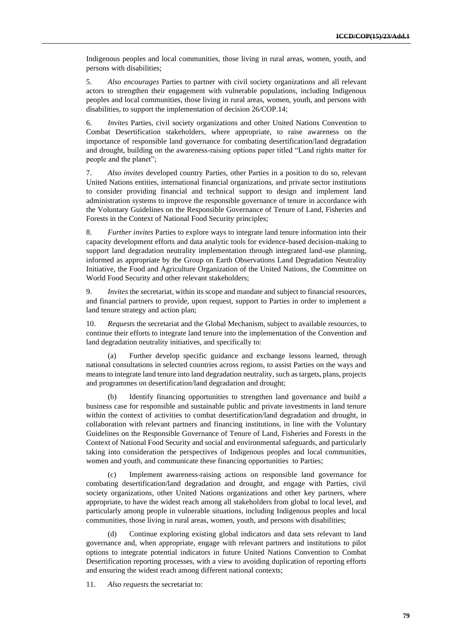Indigenous peoples and local communities, those living in rural areas, women, youth, and persons with disabilities;

5. *Also encourages* Parties to partner with civil society organizations and all relevant actors to strengthen their engagement with vulnerable populations, including Indigenous peoples and local communities, those living in rural areas, women, youth, and persons with disabilities, to support the implementation of decision 26/COP.14;

6. *Invites* Parties, civil society organizations and other United Nations Convention to Combat Desertification stakeholders, where appropriate, to raise awareness on the importance of responsible land governance for combating desertification/land degradation and drought, building on the awareness-raising options paper titled "Land rights matter for people and the planet";

7. *Also invites* developed country Parties, other Parties in a position to do so, relevant United Nations entities, international financial organizations, and private sector institutions to consider providing financial and technical support to design and implement land administration systems to improve the responsible governance of tenure in accordance with the Voluntary Guidelines on the Responsible Governance of Tenure of Land, Fisheries and Forests in the Context of National Food Security principles;

8. *Further invites* Parties to explore ways to integrate land tenure information into their capacity development efforts and data analytic tools for evidence-based decision-making to support land degradation neutrality implementation through integrated land-use planning, informed as appropriate by the Group on Earth Observations Land Degradation Neutrality Initiative, the Food and Agriculture Organization of the United Nations, the Committee on World Food Security and other relevant stakeholders;

9. *Invites* the secretariat, within its scope and mandate and subject to financial resources, and financial partners to provide, upon request, support to Parties in order to implement a land tenure strategy and action plan;

10. *Requests* the secretariat and the Global Mechanism, subject to available resources, to continue their efforts to integrate land tenure into the implementation of the Convention and land degradation neutrality initiatives, and specifically to:

(a) Further develop specific guidance and exchange lessons learned, through national consultations in selected countries across regions, to assist Parties on the ways and means to integrate land tenure into land degradation neutrality, such as targets, plans, projects and programmes on desertification/land degradation and drought;

(b) Identify financing opportunities to strengthen land governance and build a business case for responsible and sustainable public and private investments in land tenure within the context of activities to combat desertification/land degradation and drought, in collaboration with relevant partners and financing institutions, in line with the Voluntary Guidelines on the Responsible Governance of Tenure of Land, Fisheries and Forests in the Context of National Food Security and social and environmental safeguards, and particularly taking into consideration the perspectives of Indigenous peoples and local communities, women and youth, and communicate these financing opportunities to Parties;

(c) Implement awareness-raising actions on responsible land governance for combating desertification/land degradation and drought, and engage with Parties, civil society organizations, other United Nations organizations and other key partners, where appropriate, to have the widest reach among all stakeholders from global to local level, and particularly among people in vulnerable situations, including Indigenous peoples and local communities, those living in rural areas, women, youth, and persons with disabilities;

(d) Continue exploring existing global indicators and data sets relevant to land governance and, when appropriate, engage with relevant partners and institutions to pilot options to integrate potential indicators in future United Nations Convention to Combat Desertification reporting processes, with a view to avoiding duplication of reporting efforts and ensuring the widest reach among different national contexts;

11. *Also requests* the secretariat to: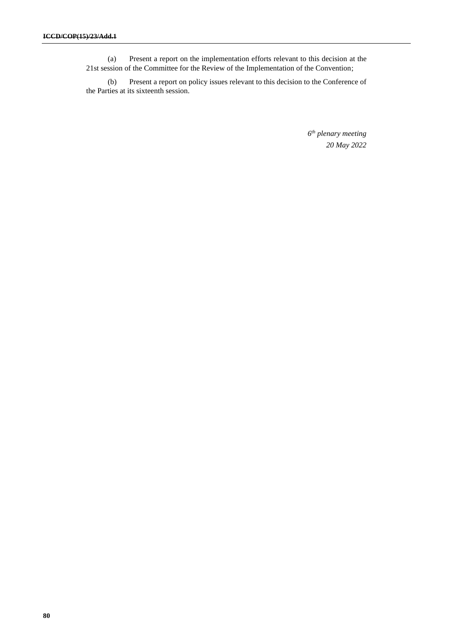(a) Present a report on the implementation efforts relevant to this decision at the 21st session of the Committee for the Review of the Implementation of the Convention;

(b) Present a report on policy issues relevant to this decision to the Conference of the Parties at its sixteenth session.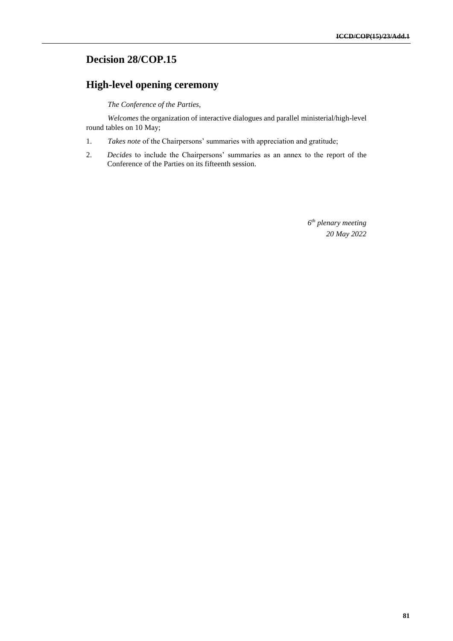# **Decision 28/COP.15**

# **High-level opening ceremony**

*The Conference of the Parties,* 

*Welcomes* the organization of interactive dialogues and parallel ministerial/high-level round tables on 10 May;

- 1. *Takes note* of the Chairpersons' summaries with appreciation and gratitude;
- 2. *Decides* to include the Chairpersons' summaries as an annex to the report of the Conference of the Parties on its fifteenth session.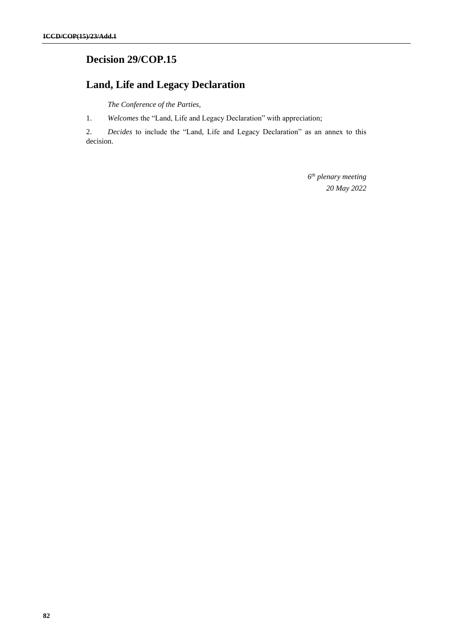# **Decision 29/COP.15**

# **Land, Life and Legacy Declaration**

*The Conference of the Parties,* 

1. *Welcomes* the "Land, Life and Legacy Declaration" with appreciation;

2. *Decides* to include the "Land, Life and Legacy Declaration" as an annex to this decision.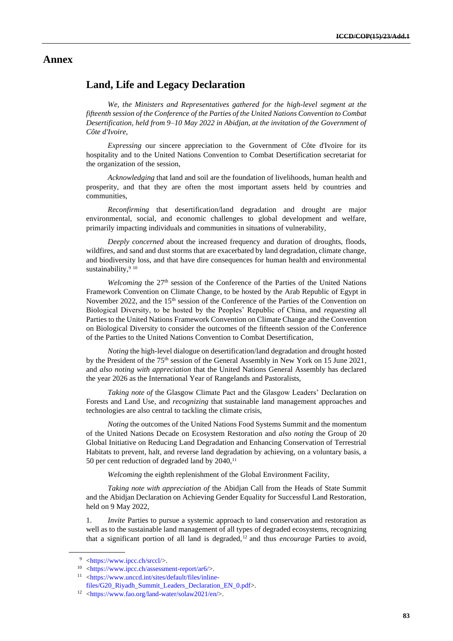#### **Annex**

#### **Land, Life and Legacy Declaration**

*We, the Ministers and Representatives gathered for the high-level segment at the fifteenth session of the Conference of the Parties of the United Nations Convention to Combat Desertification, held from 9–10 May 2022 in Abidjan, at the invitation of the Government of Côte d'Ivoire,*

*Expressing* our sincere appreciation to the Government of Côte d'Ivoire for its hospitality and to the United Nations Convention to Combat Desertification secretariat for the organization of the session,

*Acknowledging* that land and soil are the foundation of livelihoods, human health and prosperity, and that they are often the most important assets held by countries and communities,

*Reconfirming* that desertification/land degradation and drought are major environmental, social, and economic challenges to global development and welfare, primarily impacting individuals and communities in situations of vulnerability,

*Deeply concerned* about the increased frequency and duration of droughts, floods, wildfires, and sand and dust storms that are exacerbated by land degradation, climate change, and biodiversity loss, and that have dire consequences for human health and environmental sustainability,  $910$ 

*Welcoming* the 27th session of the Conference of the Parties of the United Nations Framework Convention on Climate Change, to be hosted by the Arab Republic of Egypt in November 2022, and the 15<sup>th</sup> session of the Conference of the Parties of the Convention on Biological Diversity, to be hosted by the Peoples' Republic of China, and *requesting* all Parties to the United Nations Framework Convention on Climate Change and the Convention on Biological Diversity to consider the outcomes of the fifteenth session of the Conference of the Parties to the United Nations Convention to Combat Desertification,

*Noting* the high-level dialogue on desertification/land degradation and drought hosted by the President of the 75<sup>th</sup> session of the General Assembly in New York on 15 June 2021, and *also noting with appreciation* that the United Nations General Assembly has declared the year 2026 as the International Year of Rangelands and Pastoralists,

*Taking note of* the Glasgow Climate Pact and the Glasgow Leaders' Declaration on Forests and Land Use, and *recognizing* that sustainable land management approaches and technologies are also central to tackling the climate crisis,

*Noting* the outcomes of the United Nations Food Systems Summit and the momentum of the United Nations Decade on Ecosystem Restoration and *also noting* the Group of 20 Global Initiative on Reducing Land Degradation and Enhancing Conservation of Terrestrial Habitats to prevent, halt, and reverse land degradation by achieving, on a voluntary basis, a 50 per cent reduction of degraded land by  $2040$ ,<sup>11</sup>

*Welcoming* the eighth replenishment of the Global Environment Facility,

*Taking note with appreciation of* the Abidjan Call from the Heads of State Summit and the Abidjan Declaration on Achieving Gender Equality for Successful Land Restoration, held on 9 May 2022,

1. *Invite* Parties to pursue a systemic approach to land conservation and restoration as well as to the sustainable land management of all types of degraded ecosystems, recognizing that a significant portion of all land is degraded,<sup>12</sup> and thus *encourage* Parties to avoid,

<sup>9</sup> [<https://www.ipcc.ch/srccl/>](https://www.ipcc.ch/srccl/).

<sup>10</sup> [<https://www.ipcc.ch/assessment-report/ar6/>](https://www.ipcc.ch/assessment-report/ar6/).

<sup>11</sup> [<https://www.unccd.int/sites/default/files/inline](https://www.unccd.int/sites/default/files/inline-files/G20_Riyadh_Summit_Leaders_Declaration_EN_0.pdf)[files/G20\\_Riyadh\\_Summit\\_Leaders\\_Declaration\\_EN\\_0.pdf>](https://www.unccd.int/sites/default/files/inline-files/G20_Riyadh_Summit_Leaders_Declaration_EN_0.pdf).

<sup>12</sup> [<https://www.fao.org/land-water/solaw2021/en/>](https://www.fao.org/land-water/solaw2021/en/).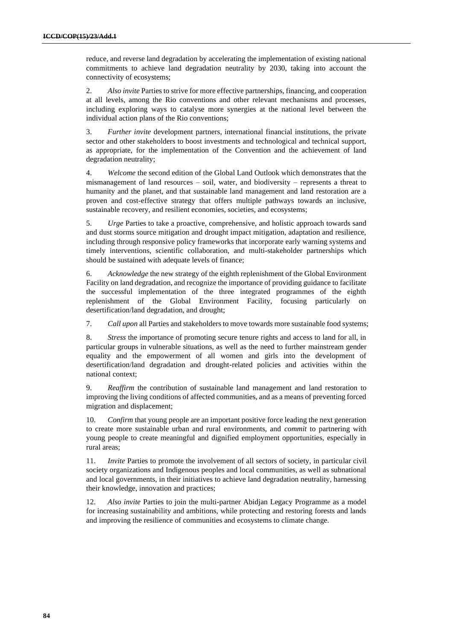reduce, and reverse land degradation by accelerating the implementation of existing national commitments to achieve land degradation neutrality by 2030, taking into account the connectivity of ecosystems;

2. *Also invite* Parties to strive for more effective partnerships, financing, and cooperation at all levels, among the Rio conventions and other relevant mechanisms and processes, including exploring ways to catalyse more synergies at the national level between the individual action plans of the Rio conventions;

3. *Further invite* development partners, international financial institutions, the private sector and other stakeholders to boost investments and technological and technical support, as appropriate, for the implementation of the Convention and the achievement of land degradation neutrality;

4. *Welcome* the second edition of the Global Land Outlook which demonstrates that the mismanagement of land resources – soil, water, and biodiversity – represents a threat to humanity and the planet, and that sustainable land management and land restoration are a proven and cost-effective strategy that offers multiple pathways towards an inclusive, sustainable recovery, and resilient economies, societies, and ecosystems;

5. *Urge* Parties to take a proactive, comprehensive, and holistic approach towards sand and dust storms source mitigation and drought impact mitigation, adaptation and resilience, including through responsive policy frameworks that incorporate early warning systems and timely interventions, scientific collaboration, and multi-stakeholder partnerships which should be sustained with adequate levels of finance;

6. *Acknowledge* the new strategy of the eighth replenishment of the Global Environment Facility on land degradation, and recognize the importance of providing guidance to facilitate the successful implementation of the three integrated programmes of the eighth replenishment of the Global Environment Facility, focusing particularly on desertification/land degradation, and drought;

7. *Call upon* all Parties and stakeholders to move towards more sustainable food systems;

8. *Stress* the importance of promoting secure tenure rights and access to land for all, in particular groups in vulnerable situations, as well as the need to further mainstream gender equality and the empowerment of all women and girls into the development of desertification/land degradation and drought-related policies and activities within the national context;

9. *Reaffirm* the contribution of sustainable land management and land restoration to improving the living conditions of affected communities, and as a means of preventing forced migration and displacement;

10. *Confirm* that young people are an important positive force leading the next generation to create more sustainable urban and rural environments, and *commit* to partnering with young people to create meaningful and dignified employment opportunities, especially in rural areas;

11. *Invite* Parties to promote the involvement of all sectors of society, in particular civil society organizations and Indigenous peoples and local communities, as well as subnational and local governments, in their initiatives to achieve land degradation neutrality, harnessing their knowledge, innovation and practices;

12. *Also invite* Parties to join the multi-partner Abidjan Legacy Programme as a model for increasing sustainability and ambitions, while protecting and restoring forests and lands and improving the resilience of communities and ecosystems to climate change.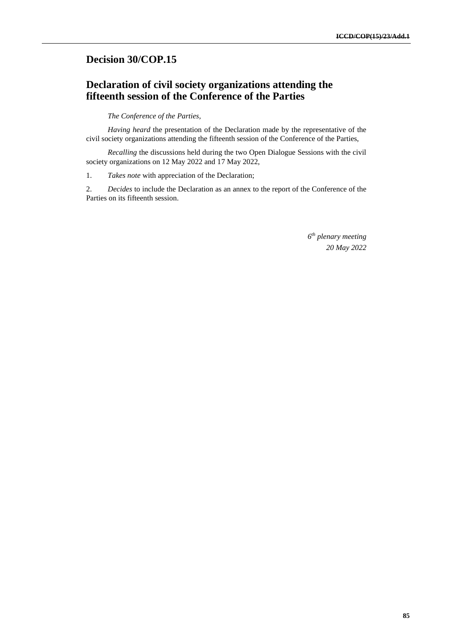## **Decision 30/COP.15**

## **Declaration of civil society organizations attending the fifteenth session of the Conference of the Parties**

#### *The Conference of the Parties,*

*Having heard* the presentation of the Declaration made by the representative of the civil society organizations attending the fifteenth session of the Conference of the Parties,

*Recalling* the discussions held during the two Open Dialogue Sessions with the civil society organizations on 12 May 2022 and 17 May 2022,

1. *Takes note* with appreciation of the Declaration;

2. *Decides* to include the Declaration as an annex to the report of the Conference of the Parties on its fifteenth session.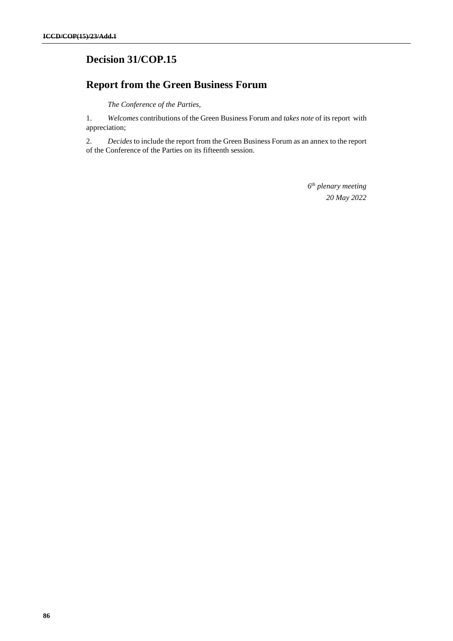# **Decision 31/COP.15**

# **Report from the Green Business Forum**

*The Conference of the Parties,*

1. *Welcomes* contributions of the Green Business Forum and *takes note* of its report with appreciation;

2. *Decides* to include the report from the Green Business Forum as an annex to the report of the Conference of the Parties on its fifteenth session.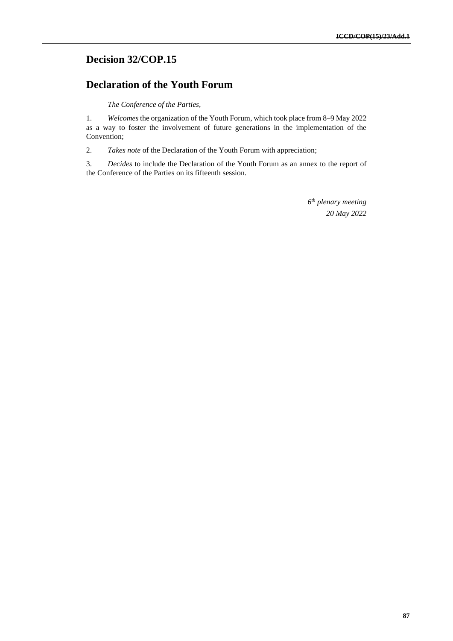# **Decision 32/COP.15**

### **Declaration of the Youth Forum**

#### *The Conference of the Parties,*

1. *Welcomes* the organization of the Youth Forum, which took place from 8–9 May 2022 as a way to foster the involvement of future generations in the implementation of the Convention;

2. *Takes note* of the Declaration of the Youth Forum with appreciation;

3. *Decides* to include the Declaration of the Youth Forum as an annex to the report of the Conference of the Parties on its fifteenth session.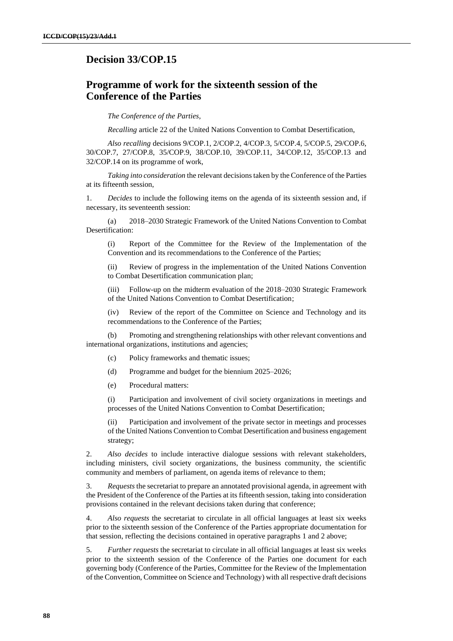### **Decision 33/COP.15**

### **Programme of work for the sixteenth session of the Conference of the Parties**

*The Conference of the Parties,* 

*Recalling* article 22 of the United Nations Convention to Combat Desertification,

*Also recalling* decisions 9/COP.1, 2/COP.2, 4/COP.3, 5/COP.4, 5/COP.5, 29/COP.6, 30/COP.7, 27/COP.8, 35/COP.9, 38/COP.10, 39/COP.11, 34/COP.12, 35/COP.13 and 32/COP.14 on its programme of work,

*Taking into consideration* the relevant decisions taken by the Conference of the Parties at its fifteenth session,

1. *Decides* to include the following items on the agenda of its sixteenth session and, if necessary, its seventeenth session:

(a) 2018–2030 Strategic Framework of the United Nations Convention to Combat Desertification:

(i) Report of the Committee for the Review of the Implementation of the Convention and its recommendations to the Conference of the Parties;

(ii) Review of progress in the implementation of the United Nations Convention to Combat Desertification communication plan;

(iii) Follow-up on the midterm evaluation of the 2018–2030 Strategic Framework of the United Nations Convention to Combat Desertification;

(iv) Review of the report of the Committee on Science and Technology and its recommendations to the Conference of the Parties;

(b) Promoting and strengthening relationships with other relevant conventions and international organizations, institutions and agencies;

- (c) Policy frameworks and thematic issues;
- (d) Programme and budget for the biennium 2025–2026;
- (e) Procedural matters:

(i) Participation and involvement of civil society organizations in meetings and processes of the United Nations Convention to Combat Desertification;

(ii) Participation and involvement of the private sector in meetings and processes of the United Nations Convention to Combat Desertification and business engagement strategy;

2. *Also decides* to include interactive dialogue sessions with relevant stakeholders, including ministers, civil society organizations, the business community, the scientific community and members of parliament, on agenda items of relevance to them;

3. *Requests* the secretariat to prepare an annotated provisional agenda, in agreement with the President of the Conference of the Parties at its fifteenth session, taking into consideration provisions contained in the relevant decisions taken during that conference;

4. *Also requests* the secretariat to circulate in all official languages at least six weeks prior to the sixteenth session of the Conference of the Parties appropriate documentation for that session, reflecting the decisions contained in operative paragraphs 1 and 2 above;

5. *Further requests* the secretariat to circulate in all official languages at least six weeks prior to the sixteenth session of the Conference of the Parties one document for each governing body (Conference of the Parties, Committee for the Review of the Implementation of the Convention, Committee on Science and Technology) with all respective draft decisions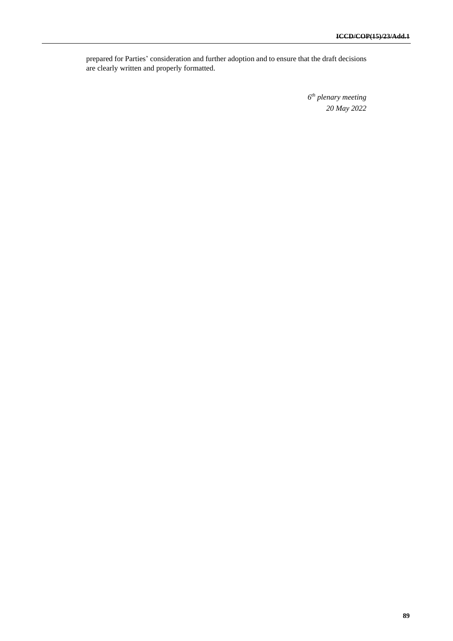prepared for Parties' consideration and further adoption and to ensure that the draft decisions are clearly written and properly formatted.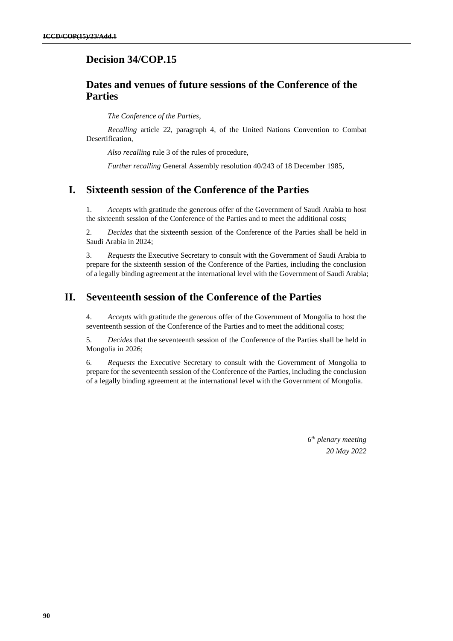## **Decision 34/COP.15**

### **Dates and venues of future sessions of the Conference of the Parties**

*The Conference of the Parties*,

*Recalling* article 22, paragraph 4, of the United Nations Convention to Combat Desertification,

*Also recalling* rule 3 of the rules of procedure,

*Further recalling* General Assembly resolution 40/243 of 18 December 1985,

### **I. Sixteenth session of the Conference of the Parties**

1. *Accepts* with gratitude the generous offer of the Government of Saudi Arabia to host the sixteenth session of the Conference of the Parties and to meet the additional costs;

2. *Decides* that the sixteenth session of the Conference of the Parties shall be held in Saudi Arabia in 2024;

3. *Requests* the Executive Secretary to consult with the Government of Saudi Arabia to prepare for the sixteenth session of the Conference of the Parties, including the conclusion of a legally binding agreement at the international level with the Government of Saudi Arabia;

### **II. Seventeenth session of the Conference of the Parties**

4. *Accepts* with gratitude the generous offer of the Government of Mongolia to host the seventeenth session of the Conference of the Parties and to meet the additional costs;

5. *Decides* that the seventeenth session of the Conference of the Parties shall be held in Mongolia in 2026;

6. *Requests* the Executive Secretary to consult with the Government of Mongolia to prepare for the seventeenth session of the Conference of the Parties, including the conclusion of a legally binding agreement at the international level with the Government of Mongolia.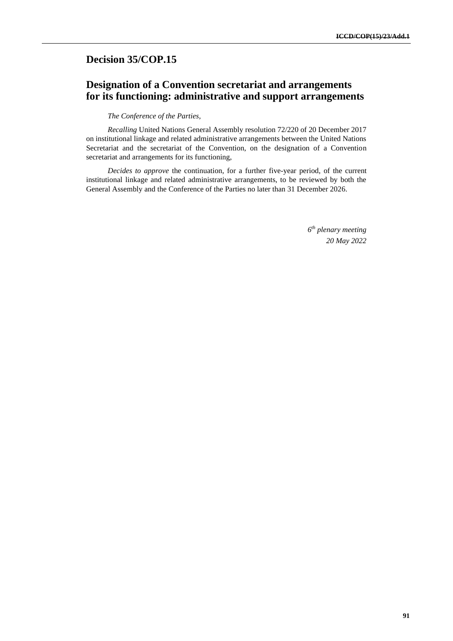### **Decision 35/COP.15**

## **Designation of a Convention secretariat and arrangements for its functioning: administrative and support arrangements**

#### *The Conference of the Parties,*

*Recalling* United Nations General Assembly resolution 72/220 of 20 December 2017 on institutional linkage and related administrative arrangements between the United Nations Secretariat and the secretariat of the Convention, on the designation of a Convention secretariat and arrangements for its functioning,

*Decides to approve* the continuation, for a further five-year period, of the current institutional linkage and related administrative arrangements, to be reviewed by both the General Assembly and the Conference of the Parties no later than 31 December 2026.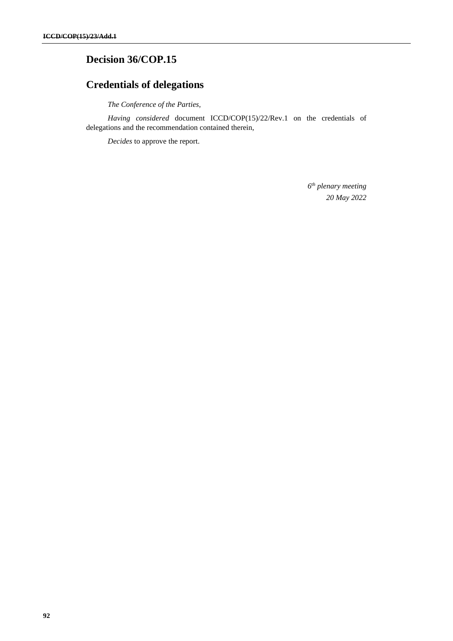# **Decision 36/COP.15**

# **Credentials of delegations**

*The Conference of the Parties,* 

*Having considered* document ICCD/COP(15)/22/Rev.1 on the credentials of delegations and the recommendation contained therein,

*Decides* to approve the report.